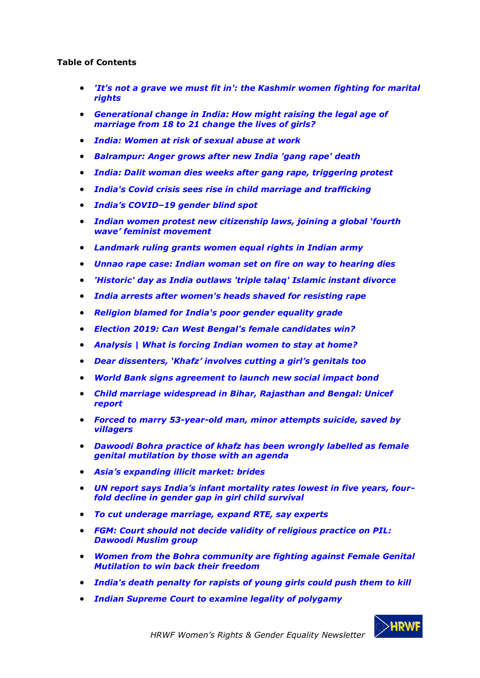## **Table of Contents**

- *['It's not a grave we must fit in': the Kashmir women fighting for marital](#page-1-0)  [rights](#page-1-0)*
- *[Generational change in India: How might raising the legal age of](#page-3-0)  [marriage from 18 to 21 change the lives of girls?](#page-3-0)*
- *[India: Women at risk of sexual abuse at work](#page-6-0)*
- *[Balrampur: Anger grows after new India 'gang rape' death](#page-9-0)*
- *[India: Dalit woman dies weeks after gang rape, triggering protest](#page-11-0)*
- *[India's Covid crisis sees rise in child marriage and trafficking](#page-11-1)*
- *India's COVID–[19 gender blind spot](#page-14-0)*
- *[Indian women protest new citizenship laws, joining a global 'fourth](#page-16-0)  [wave' feminist movement](#page-16-0)*
- *[Landmark ruling grants women equal rights in Indian army](#page-18-0)*
- *[Unnao rape case: Indian woman set on fire on way to hearing dies](#page-20-0)*
- *['Historic' day as India outlaws 'triple talaq' Islamic instant divorce](#page-20-1)*
- *[India arrests after women's heads shaved for resisting rape](#page-21-0)*
- *[Religion blamed for India's poor gender equality grade](#page-22-0)*
- *[Election 2019: Can West Bengal's female candidates win?](#page-24-0)*
- *[Analysis | What is forcing Indian women to stay at home?](#page-26-0)*
- *[Dear dissenters, 'Khafz' involves cutting a girl's genitals too](#page-28-0)*
- *[World Bank signs agreement to launch new social impact bond](#page-29-0)*
- *[Child marriage widespread in Bihar, Rajasthan and Bengal: Unicef](#page-30-0)  [report](#page-30-0)*
- *[Forced to marry 53-year-old man, minor attempts suicide, saved by](#page-31-0)  [villagers](#page-31-0)*
- *[Dawoodi Bohra practice of khafz has been wrongly labelled as female](#page-32-0)  [genital mutilation by those with an agenda](#page-32-0)*
- *[Asia's expanding illicit market: brides](#page-33-0)*
- *[UN report says India's infant mortality rates lowest in five years, four](#page-35-0)[fold decline in gender gap in girl child survival](#page-35-0)*
- *[To cut underage marriage, expand RTE, say experts](#page-36-0)*
- *[FGM: Court should not decide validity of religious practice on PIL:](#page-37-0)  [Dawoodi Muslim group](#page-37-0)*
- *Women from [the Bohra community are fighting against Female Genital](#page-38-0)  [Mutilation to win back their freedom](#page-38-0)*
- *[India's death penalty for rapists of young girls could push them to kill](#page-42-0)*
- *[Indian Supreme Court to examine legality of polygamy](#page-44-0)*

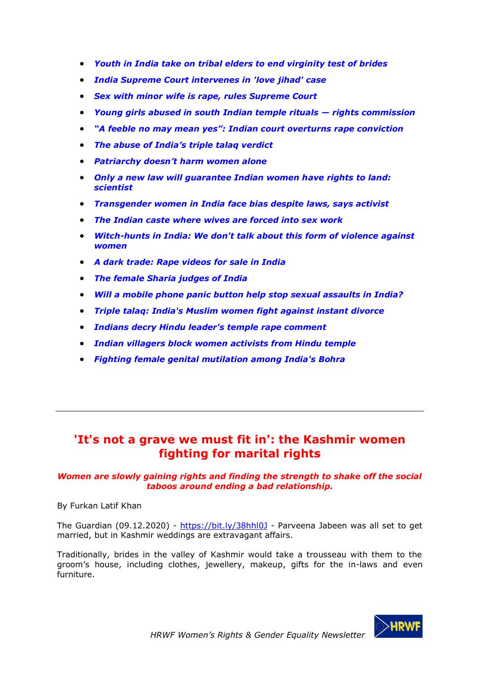- *[Youth in India take on tribal elders to end virginity test of brides](#page-45-0)*
- *[India Supreme Court intervenes in 'love jihad' case](#page-46-0)*
- *[Sex with minor wife is rape, rules Supreme Court](#page-47-0)*
- *[Young girls abused in south Indian temple rituals](#page-48-0) — rights commission*
- *"A feeble no may mean yes": I[ndian court overturns rape conviction](#page-49-0)*
- *[The abuse of India's triple talaq verdict](#page-50-0)*
- *[Patriarchy doesn't harm women alone](#page-53-0)*
- *[Only a new law will guarantee Indian women have rights to land:](#page-54-0)  [scientist](#page-54-0)*
- *[Transgender women in India face bias despite laws, says activist](#page-56-0)*
- *[The Indian caste where wives are forced into sex work](#page-57-0)*
- *Witch-hunts [in India: We don't talk about this form of violence against](#page-61-0)  [women](#page-61-0)*
- *[A dark trade: Rape videos for sale in India](#page-63-0)*
- *[The female Sharia judges of India](#page-66-0)*
- *[Will a mobile phone panic button help stop sexual assaults in India?](#page-68-0)*
- *[Triple talaq: India's Muslim women fight against instant divorce](#page-69-0)*
- *[Indians decry Hindu leader's temple rape comment](#page-71-0)*
- *[Indian villagers block women activists from Hindu temple](#page-72-0)*
- *[Fighting female genital mutilation among India's Bohra](#page-73-0)*

# <span id="page-1-0"></span>**'It's not a grave we must fit in': the Kashmir women fighting for marital rights**

## *Women are slowly gaining rights and finding the strength to shake off the social taboos around ending a bad relationship.*

By Furkan Latif Khan

The Guardian (09.12.2020) - <https://bit.ly/38hhl0J> - Parveena Jabeen was all set to get married, but in Kashmir weddings are extravagant affairs.

Traditionally, brides in the valley of Kashmir would take a trousseau with them to the groom's house, including clothes, jewellery, makeup, gifts for the in-laws and even furniture.

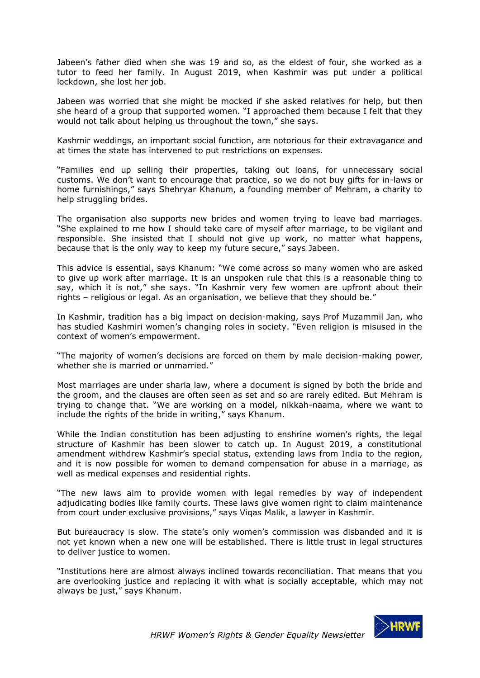Jabeen's father died when she was 19 and so, as the eldest of four, she worked as a tutor to feed her family. In August 2019, when Kashmir was put under a political lockdown, she lost her job.

Jabeen was worried that she might be mocked if she asked relatives for help, but then she heard of a group that supported women. "I approached them because I felt that they would not talk about helping us throughout the town," she says.

Kashmir weddings, an important social function, are notorious for their extravagance and at times the state has intervened to put restrictions on expenses.

"Families end up selling their properties, taking out loans, for unnecessary social customs. We don't want to encourage that practice, so we do not buy gifts for in-laws or home furnishings," says Shehryar Khanum, a founding member of Mehram, a charity to help struggling brides.

The organisation also supports new brides and women trying to leave bad marriages. "She explained to me how I should take care of myself after marriage, to be vigilant and responsible. She insisted that I should not give up work, no matter what happens, because that is the only way to keep my future secure," says Jabeen.

This advice is essential, says Khanum: "We come across so many women who are asked to give up work after marriage. It is an unspoken rule that this is a reasonable thing to say, which it is not," she says. "In Kashmir very few women are upfront about their rights – religious or legal. As an organisation, we believe that they should be."

In Kashmir, tradition has a big impact on decision-making, says Prof Muzammil Jan, who has studied Kashmiri women's changing roles in society. "Even religion is misused in the context of women's empowerment.

"The majority of women's decisions are forced on them by male decision-making power, whether she is married or unmarried."

Most marriages are under sharia law, where a document is signed by both the bride and the groom, and the clauses are often seen as set and so are rarely edited. But Mehram is trying to change that. "We are working on a model, nikkah-naama, where we want to include the rights of the bride in writing," says Khanum.

While the Indian constitution has been adjusting to enshrine women's rights, the legal structure of Kashmir has been slower to catch up. In August 2019, a constitutional amendment withdrew Kashmir's special status, extending laws from India to the region, and it is now possible for women to demand compensation for abuse in a marriage, as well as medical expenses and residential rights.

"The new laws aim to provide women with legal remedies by way of independent adjudicating bodies like family courts. These laws give women right to claim maintenance from court under exclusive provisions," says Viqas Malik, a lawyer in Kashmir.

But bureaucracy is slow. The state's only women's commission was disbanded and it is not yet known when a new one will be established. There is little trust in legal structures to deliver justice to women.

"Institutions here are almost always inclined towards reconciliation. That means that you are overlooking justice and replacing it with what is socially acceptable, which may not always be just," says Khanum.

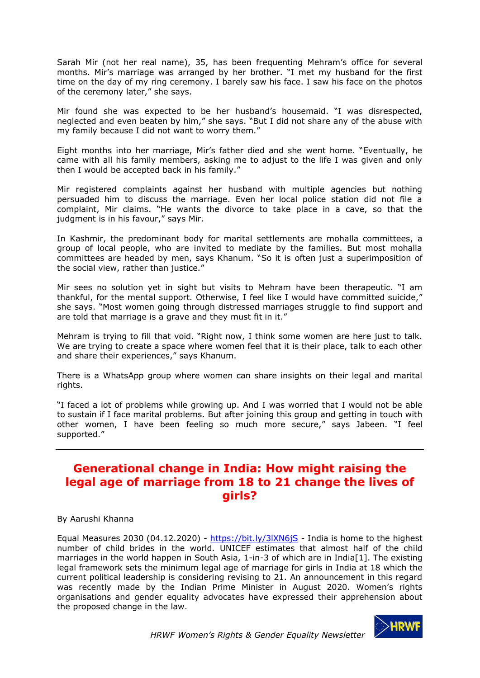Sarah Mir (not her real name), 35, has been frequenting Mehram's office for several months. Mir's marriage was arranged by her brother. "I met my husband for the first time on the day of my ring ceremony. I barely saw his face. I saw his face on the photos of the ceremony later," she says.

Mir found she was expected to be her husband's housemaid. "I was disrespected, neglected and even beaten by him," she says. "But I did not share any of the abuse with my family because I did not want to worry them."

Eight months into her marriage, Mir's father died and she went home. "Eventually, he came with all his family members, asking me to adjust to the life I was given and only then I would be accepted back in his family."

Mir registered complaints against her husband with multiple agencies but nothing persuaded him to discuss the marriage. Even her local police station did not file a complaint, Mir claims. "He wants the divorce to take place in a cave, so that the judgment is in his favour," says Mir.

In Kashmir, the predominant body for marital settlements are mohalla committees, a group of local people, who are invited to mediate by the families. But most mohalla committees are headed by men, says Khanum. "So it is often just a superimposition of the social view, rather than justice."

Mir sees no solution yet in sight but visits to Mehram have been therapeutic. "I am thankful, for the mental support. Otherwise, I feel like I would have committed suicide," she says. "Most women going through distressed marriages struggle to find support and are told that marriage is a grave and they must fit in it."

Mehram is trying to fill that void. "Right now, I think some women are here just to talk. We are trying to create a space where women feel that it is their place, talk to each other and share their experiences," says Khanum.

There is a WhatsApp group where women can share insights on their legal and marital rights.

"I faced a lot of problems while growing up. And I was worried that I would not be able to sustain if I face marital problems. But after joining this group and getting in touch with other women, I have been feeling so much more secure," says Jabeen. "I feel supported."

# <span id="page-3-0"></span>**Generational change in India: How might raising the legal age of marriage from 18 to 21 change the lives of girls?**

By Aarushi Khanna

Equal Measures 2030 (04.12.2020) - <https://bit.ly/3lXN6jS> - India is home to the highest number of child brides in the world. UNICEF estimates that almost half of the child marriages in the world happen in South Asia, 1-in-3 of which are in India[1]. The existing legal framework sets the minimum legal age of marriage for girls in India at 18 which the current political leadership is considering revising to 21. An announcement in this regard was recently made by the Indian Prime Minister in August 2020. Women's rights organisations and gender equality advocates have expressed their apprehension about the proposed change in the law.

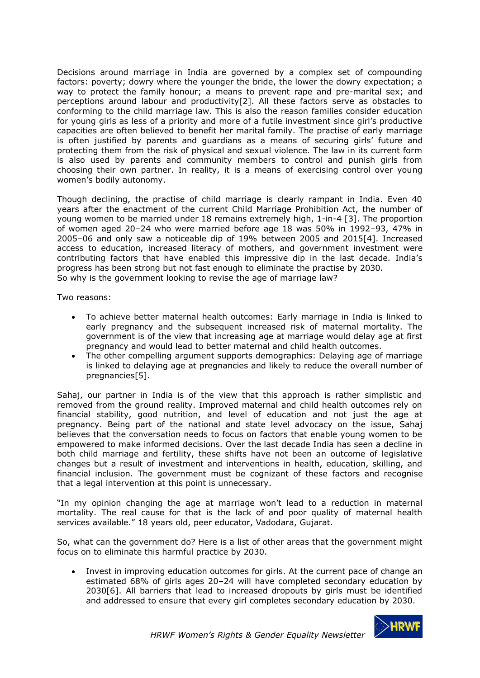Decisions around marriage in India are governed by a complex set of compounding factors: poverty; dowry where the younger the bride, the lower the dowry expectation; a way to protect the family honour; a means to prevent rape and pre-marital sex; and perceptions around labour and productivity[2]. All these factors serve as obstacles to conforming to the child marriage law. This is also the reason families consider education for young girls as less of a priority and more of a futile investment since girl's productive capacities are often believed to benefit her marital family. The practise of early marriage is often justified by parents and guardians as a means of securing girls' future and protecting them from the risk of physical and sexual violence. The law in its current form is also used by parents and community members to control and punish girls from choosing their own partner. In reality, it is a means of exercising control over young women's bodily autonomy.

Though declining, the practise of child marriage is clearly rampant in India. Even 40 years after the enactment of the current Child Marriage Prohibition Act, the number of young women to be married under 18 remains extremely high, 1-in-4 [3]. The proportion of women aged 20–24 who were married before age 18 was 50% in 1992–93, 47% in 2005–06 and only saw a noticeable dip of 19% between 2005 and 2015[4]. Increased access to education, increased literacy of mothers, and government investment were contributing factors that have enabled this impressive dip in the last decade. India's progress has been strong but not fast enough to eliminate the practise by 2030. So why is the government looking to revise the age of marriage law?

Two reasons:

- To achieve better maternal health outcomes: Early marriage in India is linked to early pregnancy and the subsequent increased risk of maternal mortality. The government is of the view that increasing age at marriage would delay age at first pregnancy and would lead to better maternal and child health outcomes.
- The other compelling argument supports demographics: Delaying age of marriage is linked to delaying age at pregnancies and likely to reduce the overall number of pregnancies[5].

Sahaj, our partner in India is of the view that this approach is rather simplistic and removed from the ground reality. Improved maternal and child health outcomes rely on financial stability, good nutrition, and level of education and not just the age at pregnancy. Being part of the national and state level advocacy on the issue, Sahaj believes that the conversation needs to focus on factors that enable young women to be empowered to make informed decisions. Over the last decade India has seen a decline in both child marriage and fertility, these shifts have not been an outcome of legislative changes but a result of investment and interventions in health, education, skilling, and financial inclusion. The government must be cognizant of these factors and recognise that a legal intervention at this point is unnecessary.

"In my opinion changing the age at marriage won't lead to a reduction in maternal mortality. The real cause for that is the lack of and poor quality of maternal health services available." 18 years old, peer educator, Vadodara, Gujarat.

So, what can the government do? Here is a list of other areas that the government might focus on to eliminate this harmful practice by 2030.

• Invest in improving education outcomes for girls. At the current pace of change an estimated 68% of girls ages 20–24 will have completed secondary education by 2030[6]. All barriers that lead to increased dropouts by girls must be identified and addressed to ensure that every girl completes secondary education by 2030.

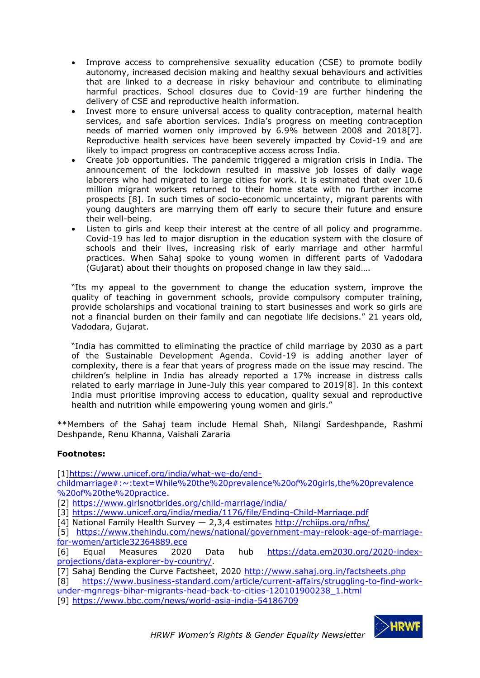- Improve access to comprehensive sexuality education (CSE) to promote bodily autonomy, increased decision making and healthy sexual behaviours and activities that are linked to a decrease in risky behaviour and contribute to eliminating harmful practices. School closures due to Covid-19 are further hindering the delivery of CSE and reproductive health information.
- Invest more to ensure universal access to quality contraception, maternal health services, and safe abortion services. India's progress on meeting contraception needs of married women only improved by 6.9% between 2008 and 2018[7]. Reproductive health services have been severely impacted by Covid-19 and are likely to impact progress on contraceptive access across India.
- Create job opportunities. The pandemic triggered a migration crisis in India. The announcement of the lockdown resulted in massive job losses of daily wage laborers who had migrated to large cities for work. It is estimated that over 10.6 million migrant workers returned to their home state with no further income prospects [8]. In such times of socio-economic uncertainty, migrant parents with young daughters are marrying them off early to secure their future and ensure their well-being.
- Listen to girls and keep their interest at the centre of all policy and programme. Covid-19 has led to major disruption in the education system with the closure of schools and their lives, increasing risk of early marriage and other harmful practices. When Sahaj spoke to young women in different parts of Vadodara (Gujarat) about their thoughts on proposed change in law they said….

"Its my appeal to the government to change the education system, improve the quality of teaching in government schools, provide compulsory computer training, provide scholarships and vocational training to start businesses and work so girls are not a financial burden on their family and can negotiate life decisions." 21 years old, Vadodara, Gujarat.

"India has committed to eliminating the practice of child marriage by 2030 as a part of the Sustainable Development Agenda. Covid-19 is adding another layer of complexity, there is a fear that years of progress made on the issue may rescind. The children's helpline in India has already reported a 17% increase in distress calls related to early marriage in June-July this year compared to 2019[8]. In this context India must prioritise improving access to education, quality sexual and reproductive health and nutrition while empowering young women and girls."

\*\*Members of the Sahaj team include Hemal Shah, Nilangi Sardeshpande, Rashmi Deshpande, Renu Khanna, Vaishali Zararia

## **Footnotes:**

[1[\]https://www.unicef.org/india/what-we-do/end-](https://www.unicef.org/india/what-we-do/end-childmarriage#:~:text=While%20the%20prevalence%20of%20girls,the%20prevalence%20of%20the%20practice)

[childmarriage#:~:text=While%20the%20prevalence%20of%20girls,the%20prevalence](https://www.unicef.org/india/what-we-do/end-childmarriage#:~:text=While%20the%20prevalence%20of%20girls,the%20prevalence%20of%20the%20practice) [%20of%20the%20practice.](https://www.unicef.org/india/what-we-do/end-childmarriage#:~:text=While%20the%20prevalence%20of%20girls,the%20prevalence%20of%20the%20practice)

[2]<https://www.girlsnotbrides.org/child-marriage/india/>

[3]<https://www.unicef.org/india/media/1176/file/Ending-Child-Marriage.pdf>

[4] National Family Health Survey - 2,3,4 estimates<http://rchiips.org/nfhs/>

[5] [https://www.thehindu.com/news/national/government-may-relook-age-of-marriage](https://www.thehindu.com/news/national/government-may-relook-age-of-marriage-for-women/article32364889.ece)[for-women/article32364889.ece](https://www.thehindu.com/news/national/government-may-relook-age-of-marriage-for-women/article32364889.ece)

[6] Equal Measures 2020 Data hub [https://data.em2030.org/2020-index](https://data.em2030.org/2020-index-projections/data-explorer-by-country/)[projections/data-explorer-by-country/.](https://data.em2030.org/2020-index-projections/data-explorer-by-country/)

[7] Sahaj Bending the Curve Factsheet, 2020<http://www.sahaj.org.in/factsheets.php>

[8] [https://www.business-standard.com/article/current-affairs/struggling-to-find-work](https://www.business-standard.com/article/current-affairs/struggling-to-find-work-under-mgnregs-bihar-migrants-head-back-to-cities-120101900238_1.html)[under-mgnregs-bihar-migrants-head-back-to-cities-120101900238\\_1.html](https://www.business-standard.com/article/current-affairs/struggling-to-find-work-under-mgnregs-bihar-migrants-head-back-to-cities-120101900238_1.html)

[9]<https://www.bbc.com/news/world-asia-india-54186709>

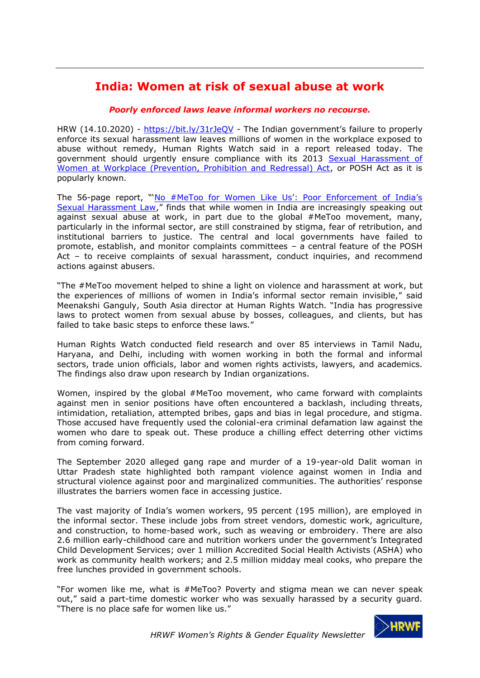# <span id="page-6-0"></span>**India: Women at risk of sexual abuse at work**

## *Poorly enforced laws leave informal workers no recourse.*

HRW (14.10.2020) - <https://bit.ly/31rJeQV> - The Indian government's failure to properly enforce its sexual harassment law leaves millions of women in the workplace exposed to abuse without remedy, Human Rights Watch said in a report released today. The government should urgently ensure compliance with its 2013 [Sexual Harassment of](https://wcd.nic.in/sites/default/files/Sexual-Harassment-at-Workplace-Act.pdf)  [Women at Workplace \(Prevention, Prohibition and Redressal\) Act,](https://wcd.nic.in/sites/default/files/Sexual-Harassment-at-Workplace-Act.pdf) or POSH Act as it is popularly known.

The 56-page report, "'No #MeToo for Women Like Us': Poor Enforcement of India's [Sexual Harassment Law](https://www.hrw.org/node/376602)," finds that while women in India are increasingly speaking out against sexual abuse at work, in part due to the global #MeToo movement, many, particularly in the informal sector, are still constrained by stigma, fear of retribution, and institutional barriers to justice. The central and local governments have failed to promote, establish, and monitor complaints committees – a central feature of the POSH Act – to receive complaints of sexual harassment, conduct inquiries, and recommend actions against abusers.

"The #MeToo movement helped to shine a light on violence and harassment at work, but the experiences of millions of women in India's informal sector remain invisible," said Meenakshi Ganguly, South Asia director at Human Rights Watch. "India has progressive laws to protect women from sexual abuse by bosses, colleagues, and clients, but has failed to take basic steps to enforce these laws."

Human Rights Watch conducted field research and over 85 interviews in Tamil Nadu, Haryana, and Delhi, including with women working in both the formal and informal sectors, trade union officials, labor and women rights activists, lawyers, and academics. The findings also draw upon research by Indian organizations.

Women, inspired by the global #MeToo movement, who came forward with complaints against men in senior positions have often encountered a backlash, including threats, intimidation, retaliation, attempted bribes, gaps and bias in legal procedure, and stigma. Those accused have frequently used the colonial-era criminal defamation law against the women who dare to speak out. These produce a chilling effect deterring other victims from coming forward.

The September 2020 alleged gang rape and murder of a 19-year-old Dalit woman in Uttar Pradesh state highlighted both rampant violence against women in India and structural violence against poor and marginalized communities. The authorities' response illustrates the barriers women face in accessing justice.

The vast majority of India's women workers, 95 percent (195 million), are employed in the informal sector. These include jobs from street vendors, domestic work, agriculture, and construction, to home-based work, such as weaving or embroidery. There are also 2.6 million early-childhood care and nutrition workers under the government's Integrated Child Development Services; over 1 million Accredited Social Health Activists (ASHA) who work as community health workers; and 2.5 million midday meal cooks, who prepare the free lunches provided in government schools.

"For women like me, what is #MeToo? Poverty and stigma mean we can never speak out," said a part-time domestic worker who was sexually harassed by a security guard. "There is no place safe for women like us."

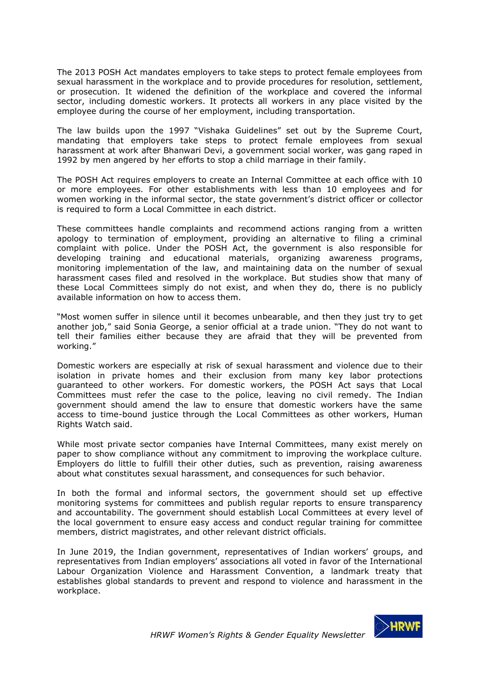The 2013 POSH Act mandates employers to take steps to protect female employees from sexual harassment in the workplace and to provide procedures for resolution, settlement, or prosecution. It widened the definition of the workplace and covered the informal sector, including domestic workers. It protects all workers in any place visited by the employee during the course of her employment, including transportation.

The law builds upon the 1997 "Vishaka Guidelines" set out by the Supreme Court, mandating that employers take steps to protect female employees from sexual harassment at work after Bhanwari Devi, a government social worker, was gang raped in 1992 by men angered by her efforts to stop a child marriage in their family.

The POSH Act requires employers to create an Internal Committee at each office with 10 or more employees. For other establishments with less than 10 employees and for women working in the informal sector, the state government's district officer or collector is required to form a Local Committee in each district.

These committees handle complaints and recommend actions ranging from a written apology to termination of employment, providing an alternative to filing a criminal complaint with police. Under the POSH Act, the government is also responsible for developing training and educational materials, organizing awareness programs, monitoring implementation of the law, and maintaining data on the number of sexual harassment cases filed and resolved in the workplace. But studies show that many of these Local Committees simply do not exist, and when they do, there is no publicly available information on how to access them.

"Most women suffer in silence until it becomes unbearable, and then they just try to get another job," said Sonia George, a senior official at a trade union. "They do not want to tell their families either because they are afraid that they will be prevented from working."

Domestic workers are especially at risk of sexual harassment and violence due to their isolation in private homes and their exclusion from many key labor protections guaranteed to other workers. For domestic workers, the POSH Act says that Local Committees must refer the case to the police, leaving no civil remedy. The Indian government should amend the law to ensure that domestic workers have the same access to time-bound justice through the Local Committees as other workers, Human Rights Watch said.

While most private sector companies have Internal Committees, many exist merely on paper to show compliance without any commitment to improving the workplace culture. Employers do little to fulfill their other duties, such as prevention, raising awareness about what constitutes sexual harassment, and consequences for such behavior.

In both the formal and informal sectors, the government should set up effective monitoring systems for committees and publish regular reports to ensure transparency and accountability. The government should establish Local Committees at every level of the local government to ensure easy access and conduct regular training for committee members, district magistrates, and other relevant district officials.

In June 2019, the Indian government, representatives of Indian workers' groups, and representatives from Indian employers' associations all voted in favor of the International Labour Organization Violence and Harassment Convention, a landmark treaty that establishes global standards to prevent and respond to violence and harassment in the workplace.

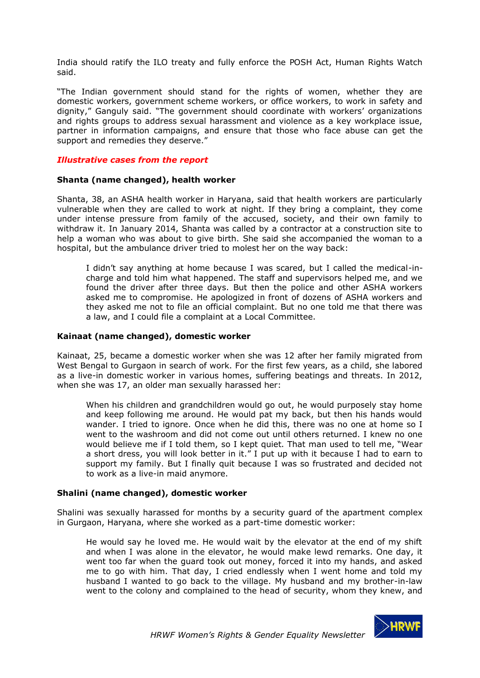India should ratify the ILO treaty and fully enforce the POSH Act, Human Rights Watch said.

"The Indian government should stand for the rights of women, whether they are domestic workers, government scheme workers, or office workers, to work in safety and dignity," Ganguly said. "The government should coordinate with workers' organizations and rights groups to address sexual harassment and violence as a key workplace issue, partner in information campaigns, and ensure that those who face abuse can get the support and remedies they deserve."

#### *Illustrative cases from the report*

#### **Shanta (name changed), health worker**

Shanta, 38, an ASHA health worker in Haryana, said that health workers are particularly vulnerable when they are called to work at night. If they bring a complaint, they come under intense pressure from family of the accused, society, and their own family to withdraw it. In January 2014, Shanta was called by a contractor at a construction site to help a woman who was about to give birth. She said she accompanied the woman to a hospital, but the ambulance driver tried to molest her on the way back:

I didn't say anything at home because I was scared, but I called the medical-incharge and told him what happened. The staff and supervisors helped me, and we found the driver after three days. But then the police and other ASHA workers asked me to compromise. He apologized in front of dozens of ASHA workers and they asked me not to file an official complaint. But no one told me that there was a law, and I could file a complaint at a Local Committee.

#### **Kainaat (name changed), domestic worker**

Kainaat, 25, became a domestic worker when she was 12 after her family migrated from West Bengal to Gurgaon in search of work. For the first few years, as a child, she labored as a live-in domestic worker in various homes, suffering beatings and threats. In 2012, when she was 17, an older man sexually harassed her:

When his children and grandchildren would go out, he would purposely stay home and keep following me around. He would pat my back, but then his hands would wander. I tried to ignore. Once when he did this, there was no one at home so I went to the washroom and did not come out until others returned. I knew no one would believe me if I told them, so I kept quiet. That man used to tell me, "Wear a short dress, you will look better in it." I put up with it because I had to earn to support my family. But I finally quit because I was so frustrated and decided not to work as a live-in maid anymore.

## **Shalini (name changed), domestic worker**

Shalini was sexually harassed for months by a security guard of the apartment complex in Gurgaon, Haryana, where she worked as a part-time domestic worker:

He would say he loved me. He would wait by the elevator at the end of my shift and when I was alone in the elevator, he would make lewd remarks. One day, it went too far when the guard took out money, forced it into my hands, and asked me to go with him. That day, I cried endlessly when I went home and told my husband I wanted to go back to the village. My husband and my brother-in-law went to the colony and complained to the head of security, whom they knew, and

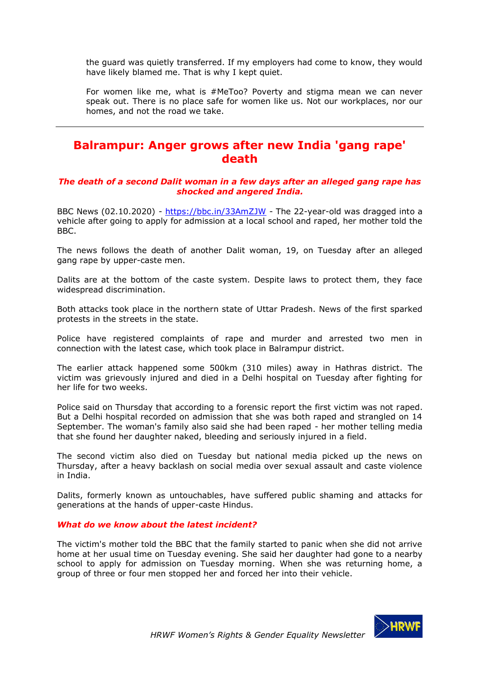the guard was quietly transferred. If my employers had come to know, they would have likely blamed me. That is why I kept quiet.

For women like me, what is #MeToo? Poverty and stigma mean we can never speak out. There is no place safe for women like us. Not our workplaces, nor our homes, and not the road we take.

## <span id="page-9-0"></span>**Balrampur: Anger grows after new India 'gang rape' death**

*The death of a second Dalit woman in a few days after an alleged gang rape has shocked and angered India.*

BBC News (02.10.2020) - <https://bbc.in/33AmZJW> - The 22-year-old was dragged into a vehicle after going to apply for admission at a local school and raped, her mother told the BBC.

The news follows the death of another Dalit woman, 19, on Tuesday after an alleged gang rape by upper-caste men.

Dalits are at the bottom of the caste system. Despite laws to protect them, they face widespread discrimination.

Both attacks took place in the northern state of Uttar Pradesh. News of the first sparked protests in the streets in the state.

Police have registered complaints of rape and murder and arrested two men in connection with the latest case, which took place in Balrampur district.

The earlier attack happened some 500km (310 miles) away in Hathras district. The victim was grievously injured and died in a Delhi hospital on Tuesday after fighting for her life for two weeks.

Police said on Thursday that according to a forensic report the first victim was not raped. But a Delhi hospital recorded on admission that she was both raped and strangled on 14 September. The woman's family also said she had been raped - her mother telling media that she found her daughter naked, bleeding and seriously injured in a field.

The second victim also died on Tuesday but national media picked up the news on Thursday, after a heavy backlash on social media over sexual assault and caste violence in India.

Dalits, formerly known as untouchables, have suffered public shaming and attacks for generations at the hands of upper-caste Hindus.

## *What do we know about the latest incident?*

The victim's mother told the BBC that the family started to panic when she did not arrive home at her usual time on Tuesday evening. She said her daughter had gone to a nearby school to apply for admission on Tuesday morning. When she was returning home, a group of three or four men stopped her and forced her into their vehicle.

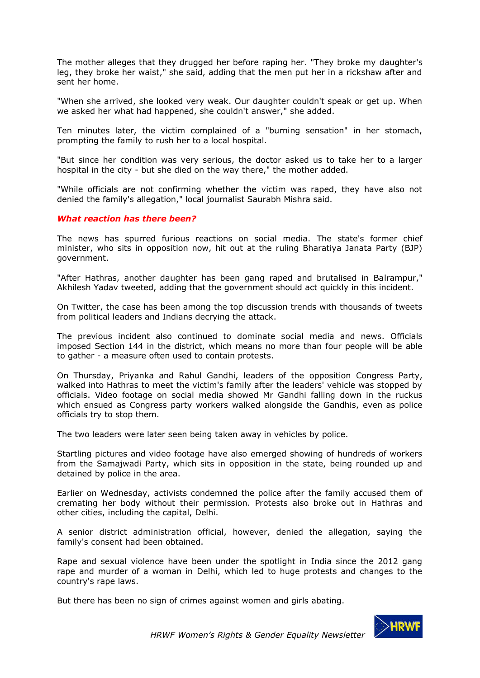The mother alleges that they drugged her before raping her. "They broke my daughter's leg, they broke her waist," she said, adding that the men put her in a rickshaw after and sent her home.

"When she arrived, she looked very weak. Our daughter couldn't speak or get up. When we asked her what had happened, she couldn't answer," she added.

Ten minutes later, the victim complained of a "burning sensation" in her stomach, prompting the family to rush her to a local hospital.

"But since her condition was very serious, the doctor asked us to take her to a larger hospital in the city - but she died on the way there," the mother added.

"While officials are not confirming whether the victim was raped, they have also not denied the family's allegation," local journalist Saurabh Mishra said.

#### *What reaction has there been?*

The news has spurred furious reactions on social media. The state's former chief minister, who sits in opposition now, hit out at the ruling Bharatiya Janata Party (BJP) government.

"After Hathras, another daughter has been gang raped and brutalised in Balrampur," Akhilesh Yadav tweeted, adding that the government should act quickly in this incident.

On Twitter, the case has been among the top discussion trends with thousands of tweets from political leaders and Indians decrying the attack.

The previous incident also continued to dominate social media and news. Officials imposed Section 144 in the district, which means no more than four people will be able to gather - a measure often used to contain protests.

On Thursday, Priyanka and Rahul Gandhi, leaders of the opposition Congress Party, walked into Hathras to meet the victim's family after the leaders' vehicle was stopped by officials. Video footage on social media showed Mr Gandhi falling down in the ruckus which ensued as Congress party workers walked alongside the Gandhis, even as police officials try to stop them.

The two leaders were later seen being taken away in vehicles by police.

Startling pictures and video footage have also emerged showing of hundreds of workers from the Samajwadi Party, which sits in opposition in the state, being rounded up and detained by police in the area.

Earlier on Wednesday, activists condemned the police after the family accused them of cremating her body without their permission. Protests also broke out in Hathras and other cities, including the capital, Delhi.

A senior district administration official, however, denied the allegation, saying the family's consent had been obtained.

Rape and sexual violence have been under the spotlight in India since the 2012 gang rape and murder of a woman in Delhi, which led to huge protests and changes to the country's rape laws.

But there has been no sign of crimes against women and girls abating.

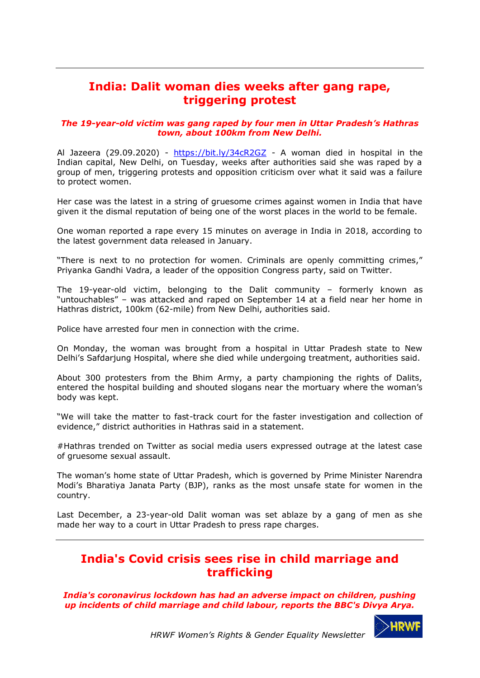# <span id="page-11-0"></span>**India: Dalit woman dies weeks after gang rape, triggering protest**

## *The 19-year-old victim was gang raped by four men in Uttar Pradesh's Hathras town, about 100km from New Delhi.*

Al Jazeera (29.09.2020) - <https://bit.ly/34cR2GZ> - A woman died in hospital in the Indian capital, New Delhi, on Tuesday, weeks after authorities said she was raped by a group of men, triggering protests and opposition criticism over what it said was a failure to protect women.

Her case was the latest in a string of gruesome crimes against women in India that have given it the dismal reputation of being one of the worst places in the world to be female.

One woman reported a rape every 15 minutes on average in India in 2018, according to the latest government data released in January.

"There is next to no protection for women. Criminals are openly committing crimes," Priyanka Gandhi Vadra, a leader of the opposition Congress party, said on Twitter.

The 19-year-old victim, belonging to the Dalit community – formerly known as "untouchables" – was attacked and raped on September 14 at a field near her home in Hathras district, 100km (62-mile) from New Delhi, authorities said.

Police have arrested four men in connection with the crime.

On Monday, the woman was brought from a hospital in Uttar Pradesh state to New Delhi's Safdarjung Hospital, where she died while undergoing treatment, authorities said.

About 300 protesters from the Bhim Army, a party championing the rights of Dalits, entered the hospital building and shouted slogans near the mortuary where the woman's body was kept.

"We will take the matter to fast-track court for the faster investigation and collection of evidence," district authorities in Hathras said in a statement.

#Hathras trended on Twitter as social media users expressed outrage at the latest case of gruesome sexual assault.

The woman's home state of Uttar Pradesh, which is governed by Prime Minister Narendra Modi's Bharatiya Janata Party (BJP), ranks as the most unsafe state for women in the country.

Last December, a 23-year-old Dalit woman was set ablaze by a gang of men as she made her way to a court in Uttar Pradesh to press rape charges.

# <span id="page-11-1"></span>**India's Covid crisis sees rise in child marriage and trafficking**

*India's coronavirus lockdown has had an adverse impact on children, pushing up incidents of child marriage and child labour, reports the BBC's Divya Arya.*

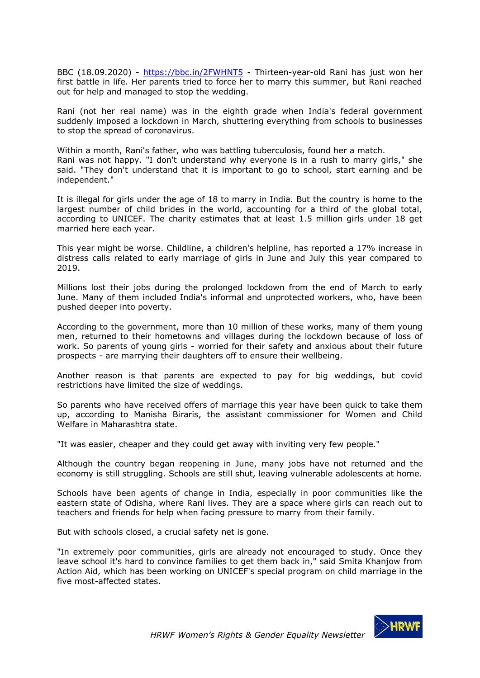BBC (18.09.2020) - <https://bbc.in/2FWHNT5> - Thirteen-year-old Rani has just won her first battle in life. Her parents tried to force her to marry this summer, but Rani reached out for help and managed to stop the wedding.

Rani (not her real name) was in the eighth grade when India's federal government suddenly imposed a lockdown in March, shuttering everything from schools to businesses to stop the spread of coronavirus.

Within a month, Rani's father, who was battling tuberculosis, found her a match. Rani was not happy. "I don't understand why everyone is in a rush to marry girls," she said. "They don't understand that it is important to go to school, start earning and be independent."

It is illegal for girls under the age of 18 to marry in India. But the country is home to the largest number of child brides in the world, accounting for a third of the global total, according to UNICEF. The charity estimates that at least 1.5 million girls under 18 get married here each year.

This year might be worse. Childline, a children's helpline, has reported a 17% increase in distress calls related to early marriage of girls in June and July this year compared to 2019.

Millions lost their jobs during the prolonged lockdown from the end of March to early June. Many of them included India's informal and unprotected workers, who, have been pushed deeper into poverty.

According to the government, more than 10 million of these works, many of them young men, returned to their hometowns and villages during the lockdown because of loss of work. So parents of young girls - worried for their safety and anxious about their future prospects - are marrying their daughters off to ensure their wellbeing.

Another reason is that parents are expected to pay for big weddings, but covid restrictions have limited the size of weddings.

So parents who have received offers of marriage this year have been quick to take them up, according to Manisha Biraris, the assistant commissioner for Women and Child Welfare in Maharashtra state.

"It was easier, cheaper and they could get away with inviting very few people."

Although the country began reopening in June, many jobs have not returned and the economy is still struggling. Schools are still shut, leaving vulnerable adolescents at home.

Schools have been agents of change in India, especially in poor communities like the eastern state of Odisha, where Rani lives. They are a space where girls can reach out to teachers and friends for help when facing pressure to marry from their family.

But with schools closed, a crucial safety net is gone.

"In extremely poor communities, girls are already not encouraged to study. Once they leave school it's hard to convince families to get them back in," said Smita Khanjow from Action Aid, which has been working on UNICEF's special program on child marriage in the five most-affected states.

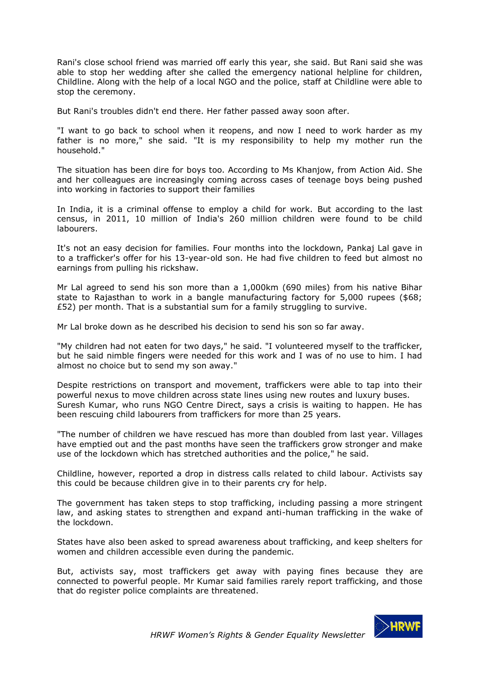Rani's close school friend was married off early this year, she said. But Rani said she was able to stop her wedding after she called the emergency national helpline for children, Childline. Along with the help of a local NGO and the police, staff at Childline were able to stop the ceremony.

But Rani's troubles didn't end there. Her father passed away soon after.

"I want to go back to school when it reopens, and now I need to work harder as my father is no more," she said. "It is my responsibility to help my mother run the household."

The situation has been dire for boys too. According to Ms Khanjow, from Action Aid. She and her colleagues are increasingly coming across cases of teenage boys being pushed into working in factories to support their families

In India, it is a criminal offense to employ a child for work. But according to the last census, in 2011, 10 million of India's 260 million children were found to be child labourers.

It's not an easy decision for families. Four months into the lockdown, Pankaj Lal gave in to a trafficker's offer for his 13-year-old son. He had five children to feed but almost no earnings from pulling his rickshaw.

Mr Lal agreed to send his son more than a 1,000km (690 miles) from his native Bihar state to Rajasthan to work in a bangle manufacturing factory for 5,000 rupees (\$68; £52) per month. That is a substantial sum for a family struggling to survive.

Mr Lal broke down as he described his decision to send his son so far away.

"My children had not eaten for two days," he said. "I volunteered myself to the trafficker, but he said nimble fingers were needed for this work and I was of no use to him. I had almost no choice but to send my son away."

Despite restrictions on transport and movement, traffickers were able to tap into their powerful nexus to move children across state lines using new routes and luxury buses. Suresh Kumar, who runs NGO Centre Direct, says a crisis is waiting to happen. He has been rescuing child labourers from traffickers for more than 25 years.

"The number of children we have rescued has more than doubled from last year. Villages have emptied out and the past months have seen the traffickers grow stronger and make use of the lockdown which has stretched authorities and the police," he said.

Childline, however, reported a drop in distress calls related to child labour. Activists say this could be because children give in to their parents cry for help.

The government has taken steps to stop trafficking, including passing a more stringent law, and asking states to strengthen and expand anti-human trafficking in the wake of the lockdown.

States have also been asked to spread awareness about trafficking, and keep shelters for women and children accessible even during the pandemic.

But, activists say, most traffickers get away with paying fines because they are connected to powerful people. Mr Kumar said families rarely report trafficking, and those that do register police complaints are threatened.

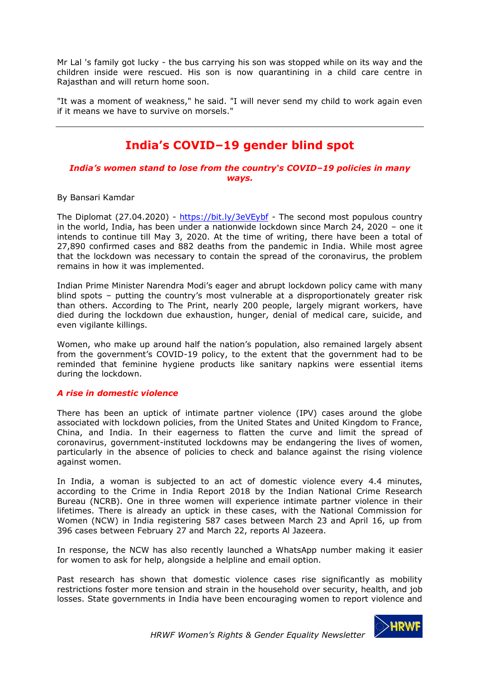Mr Lal 's family got lucky - the bus carrying his son was stopped while on its way and the children inside were rescued. His son is now quarantining in a child care centre in Rajasthan and will return home soon.

<span id="page-14-0"></span>"It was a moment of weakness," he said. "I will never send my child to work again even if it means we have to survive on morsels."

# **India's COVID–19 gender blind spot**

## *India's women stand to lose from the country's COVID–19 policies in many ways.*

#### By Bansari Kamdar

The Diplomat (27.04.2020) - <https://bit.ly/3eVEybf> - The second most populous country in the world, India, has been under a nationwide lockdown since March 24, 2020 – one it intends to continue till May 3, 2020. At the time of writing, there have been a total of 27,890 confirmed cases and 882 deaths from the pandemic in India. While most agree that the lockdown was necessary to contain the spread of the coronavirus, the problem remains in how it was implemented.

Indian Prime Minister Narendra Modi's eager and abrupt lockdown policy came with many blind spots – putting the country's most vulnerable at a disproportionately greater risk than others. According to The Print, nearly 200 people, largely migrant workers, have died during the lockdown due exhaustion, hunger, denial of medical care, suicide, and even vigilante killings.

Women, who make up around half the nation's population, also remained largely absent from the government's COVID-19 policy, to the extent that the government had to be reminded that feminine hygiene products like sanitary napkins were essential items during the lockdown.

## *A rise in domestic violence*

There has been an uptick of intimate partner violence (IPV) cases around the globe associated with lockdown policies, from the United States and United Kingdom to France, China, and India. In their eagerness to flatten the curve and limit the spread of coronavirus, government-instituted lockdowns may be endangering the lives of women, particularly in the absence of policies to check and balance against the rising violence against women.

In India, a woman is subjected to an act of domestic violence every 4.4 minutes, according to the Crime in India Report 2018 by the Indian National Crime Research Bureau (NCRB). One in three women will experience intimate partner violence in their lifetimes. There is already an uptick in these cases, with the National Commission for Women (NCW) in India registering 587 cases between March 23 and April 16, up from 396 cases between February 27 and March 22, reports Al Jazeera.

In response, the NCW has also recently launched a WhatsApp number making it easier for women to ask for help, alongside a helpline and email option.

Past research has shown that domestic violence cases rise significantly as mobility restrictions foster more tension and strain in the household over security, health, and job losses. State governments in India have been encouraging women to report violence and

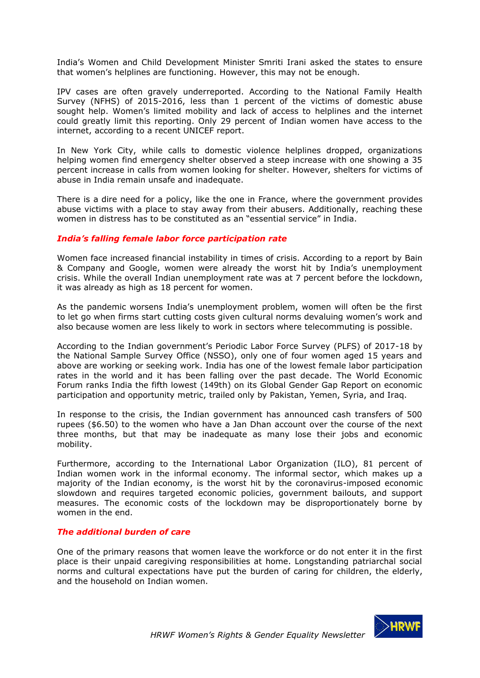India's Women and Child Development Minister Smriti Irani asked the states to ensure that women's helplines are functioning. However, this may not be enough.

IPV cases are often gravely underreported. According to the National Family Health Survey (NFHS) of 2015-2016, less than 1 percent of the victims of domestic abuse sought help. Women's limited mobility and lack of access to helplines and the internet could greatly limit this reporting. Only 29 percent of Indian women have access to the internet, according to a recent UNICEF report.

In New York City, while calls to domestic violence helplines dropped, organizations helping women find emergency shelter observed a steep increase with one showing a 35 percent increase in calls from women looking for shelter. However, shelters for victims of abuse in India remain unsafe and inadequate.

There is a dire need for a policy, like the one in France, where the government provides abuse victims with a place to stay away from their abusers. Additionally, reaching these women in distress has to be constituted as an "essential service" in India.

## *India's falling female labor force participation rate*

Women face increased financial instability in times of crisis. According to a report by Bain & Company and Google, women were already the worst hit by India's unemployment crisis. While the overall Indian unemployment rate was at 7 percent before the lockdown, it was already as high as 18 percent for women.

As the pandemic worsens India's unemployment problem, women will often be the first to let go when firms start cutting costs given cultural norms devaluing women's work and also because women are less likely to work in sectors where telecommuting is possible.

According to the Indian government's Periodic Labor Force Survey (PLFS) of 2017-18 by the National Sample Survey Office (NSSO), only one of four women aged 15 years and above are working or seeking work. India has one of the lowest female labor participation rates in the world and it has been falling over the past decade. The World Economic Forum ranks India the fifth lowest (149th) on its Global Gender Gap Report on economic participation and opportunity metric, trailed only by Pakistan, Yemen, Syria, and Iraq.

In response to the crisis, the Indian government has announced cash transfers of 500 rupees (\$6.50) to the women who have a Jan Dhan account over the course of the next three months, but that may be inadequate as many lose their jobs and economic mobility.

Furthermore, according to the International Labor Organization (ILO), 81 percent of Indian women work in the informal economy. The informal sector, which makes up a majority of the Indian economy, is the worst hit by the coronavirus-imposed economic slowdown and requires targeted economic policies, government bailouts, and support measures. The economic costs of the lockdown may be disproportionately borne by women in the end.

## *The additional burden of care*

One of the primary reasons that women leave the workforce or do not enter it in the first place is their unpaid caregiving responsibilities at home. Longstanding patriarchal social norms and cultural expectations have put the burden of caring for children, the elderly, and the household on Indian women.

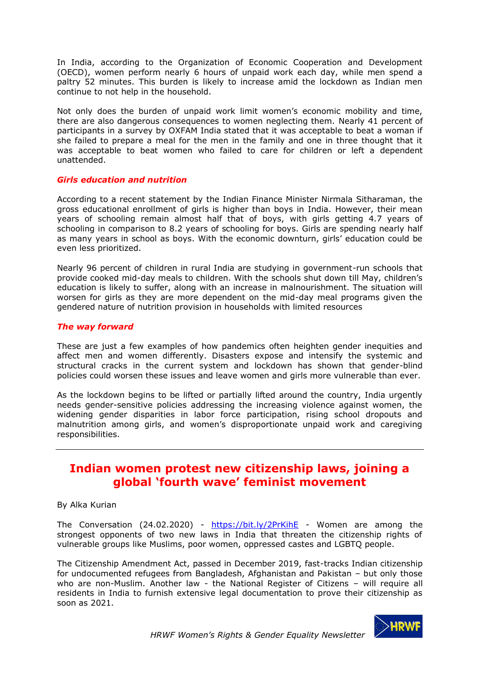In India, according to the Organization of Economic Cooperation and Development (OECD), women perform nearly 6 hours of unpaid work each day, while men spend a paltry 52 minutes. This burden is likely to increase amid the lockdown as Indian men continue to not help in the household.

Not only does the burden of unpaid work limit women's economic mobility and time, there are also dangerous consequences to women neglecting them. Nearly 41 percent of participants in a survey by OXFAM India stated that it was acceptable to beat a woman if she failed to prepare a meal for the men in the family and one in three thought that it was acceptable to beat women who failed to care for children or left a dependent unattended.

## *Girls education and nutrition*

According to a recent statement by the Indian Finance Minister Nirmala Sitharaman, the gross educational enrollment of girls is higher than boys in India. However, their mean years of schooling remain almost half that of boys, with girls getting 4.7 years of schooling in comparison to 8.2 years of schooling for boys. Girls are spending nearly half as many years in school as boys. With the economic downturn, girls' education could be even less prioritized.

Nearly 96 percent of children in rural India are studying in government-run schools that provide cooked mid-day meals to children. With the schools shut down till May, children's education is likely to suffer, along with an increase in malnourishment. The situation will worsen for girls as they are more dependent on the mid-day meal programs given the gendered nature of nutrition provision in households with limited resources

## *The way forward*

These are just a few examples of how pandemics often heighten gender inequities and affect men and women differently. Disasters expose and intensify the systemic and structural cracks in the current system and lockdown has shown that gender-blind policies could worsen these issues and leave women and girls more vulnerable than ever.

As the lockdown begins to be lifted or partially lifted around the country, India urgently needs gender-sensitive policies addressing the increasing violence against women, the widening gender disparities in labor force participation, rising school dropouts and malnutrition among girls, and women's disproportionate unpaid work and caregiving responsibilities.

# <span id="page-16-0"></span>**Indian women protest new citizenship laws, joining a global 'fourth wave' feminist movement**

By Alka Kurian

The Conversation (24.02.2020) - <https://bit.ly/2PrKihE> - Women are among the strongest opponents of two new laws in India that threaten the citizenship rights of vulnerable groups like Muslims, poor women, oppressed castes and LGBTQ people.

The Citizenship Amendment Act, passed in December 2019, fast-tracks Indian citizenship for undocumented refugees from Bangladesh, Afghanistan and Pakistan – but only those who are non-Muslim. Another law - the National Register of Citizens – will require all residents in India to furnish extensive legal documentation to prove their citizenship as soon as 2021.

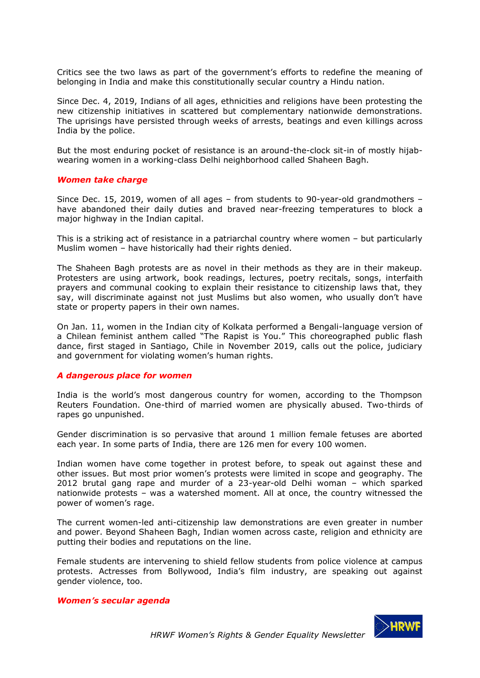Critics see the two laws as part of the government's efforts to redefine the meaning of belonging in India and make this constitutionally secular country a Hindu nation.

Since Dec. 4, 2019, Indians of all ages, ethnicities and religions have been protesting the new citizenship initiatives in scattered but complementary nationwide demonstrations. The uprisings have persisted through weeks of arrests, beatings and even killings across India by the police.

But the most enduring pocket of resistance is an around-the-clock sit-in of mostly hijabwearing women in a working-class Delhi neighborhood called Shaheen Bagh.

#### *Women take charge*

Since Dec. 15, 2019, women of all ages – from students to 90-year-old grandmothers – have abandoned their daily duties and braved near-freezing temperatures to block a major highway in the Indian capital.

This is a striking act of resistance in a patriarchal country where women – but particularly Muslim women – have historically had their rights denied.

The Shaheen Bagh protests are as novel in their methods as they are in their makeup. Protesters are using artwork, book readings, lectures, poetry recitals, songs, interfaith prayers and communal cooking to explain their resistance to citizenship laws that, they say, will discriminate against not just Muslims but also women, who usually don't have state or property papers in their own names.

On Jan. 11, women in the Indian city of Kolkata performed a Bengali-language version of a Chilean feminist anthem called "The Rapist is You." This choreographed public flash dance, first staged in Santiago, Chile in November 2019, calls out the police, judiciary and government for violating women's human rights.

## *A dangerous place for women*

India is the world's most dangerous country for women, according to the Thompson Reuters Foundation. One-third of married women are physically abused. Two-thirds of rapes go unpunished.

Gender discrimination is so pervasive that around 1 million female fetuses are aborted each year. In some parts of India, there are 126 men for every 100 women.

Indian women have come together in protest before, to speak out against these and other issues. But most prior women's protests were limited in scope and geography. The 2012 brutal gang rape and murder of a 23-year-old Delhi woman – which sparked nationwide protests – was a watershed moment. All at once, the country witnessed the power of women's rage.

The current women-led anti-citizenship law demonstrations are even greater in number and power. Beyond Shaheen Bagh, Indian women across caste, religion and ethnicity are putting their bodies and reputations on the line.

Female students are intervening to shield fellow students from police violence at campus protests. Actresses from Bollywood, India's film industry, are speaking out against gender violence, too.

#### *Women's secular agenda*

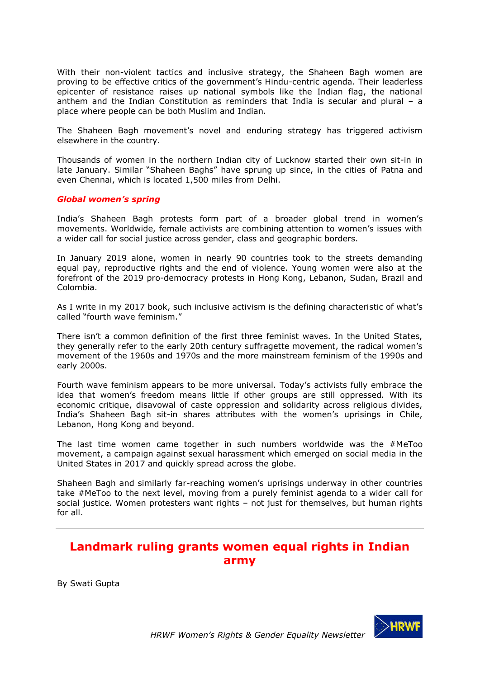With their non-violent tactics and inclusive strategy, the Shaheen Bagh women are proving to be effective critics of the government's Hindu-centric agenda. Their leaderless epicenter of resistance raises up national symbols like the Indian flag, the national anthem and the Indian Constitution as reminders that India is secular and plural – a place where people can be both Muslim and Indian.

The Shaheen Bagh movement's novel and enduring strategy has triggered activism elsewhere in the country.

Thousands of women in the northern Indian city of Lucknow started their own sit-in in late January. Similar "Shaheen Baghs" have sprung up since, in the cities of Patna and even Chennai, which is located 1,500 miles from Delhi.

#### *Global women's spring*

India's Shaheen Bagh protests form part of a broader global trend in women's movements. Worldwide, female activists are combining attention to women's issues with a wider call for social justice across gender, class and geographic borders.

In January 2019 alone, women in nearly 90 countries took to the streets demanding equal pay, reproductive rights and the end of violence. Young women were also at the forefront of the 2019 pro-democracy protests in Hong Kong, Lebanon, Sudan, Brazil and Colombia.

As I write in my 2017 book, such inclusive activism is the defining characteristic of what's called "fourth wave feminism."

There isn't a common definition of the first three feminist waves. In the United States, they generally refer to the early 20th century suffragette movement, the radical women's movement of the 1960s and 1970s and the more mainstream feminism of the 1990s and early 2000s.

Fourth wave feminism appears to be more universal. Today's activists fully embrace the idea that women's freedom means little if other groups are still oppressed. With its economic critique, disavowal of caste oppression and solidarity across religious divides, India's Shaheen Bagh sit-in shares attributes with the women's uprisings in Chile, Lebanon, Hong Kong and beyond.

The last time women came together in such numbers worldwide was the #MeToo movement, a campaign against sexual harassment which emerged on social media in the United States in 2017 and quickly spread across the globe.

Shaheen Bagh and similarly far-reaching women's uprisings underway in other countries take #MeToo to the next level, moving from a purely feminist agenda to a wider call for social justice. Women protesters want rights – not just for themselves, but human rights for all.

## <span id="page-18-0"></span>**Landmark ruling grants women equal rights in Indian army**

By Swati Gupta

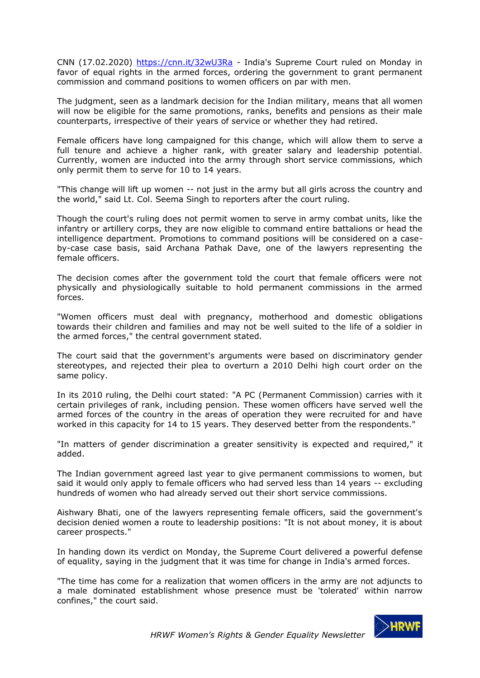CNN (17.02.2020)<https://cnn.it/32wU3Ra> - India's Supreme Court ruled on Monday in favor of equal rights in the armed forces, ordering the government to grant permanent commission and command positions to women officers on par with men.

The judgment, seen as a landmark decision for the Indian military, means that all women will now be eligible for the same promotions, ranks, benefits and pensions as their male counterparts, irrespective of their years of service or whether they had retired.

Female officers have long campaigned for this change, which will allow them to serve a full tenure and achieve a higher rank, with greater salary and leadership potential. Currently, women are inducted into the army through short service commissions, which only permit them to serve for 10 to 14 years.

"This change will lift up women -- not just in the army but all girls across the country and the world," said Lt. Col. Seema Singh to reporters after the court ruling.

Though the court's ruling does not permit women to serve in army combat units, like the infantry or artillery corps, they are now eligible to command entire battalions or head the intelligence department. Promotions to command positions will be considered on a caseby-case case basis, said Archana Pathak Dave, one of the lawyers representing the female officers.

The decision comes after the government told the court that female officers were not physically and physiologically suitable to hold permanent commissions in the armed forces.

"Women officers must deal with pregnancy, motherhood and domestic obligations towards their children and families and may not be well suited to the life of a soldier in the armed forces," the central government stated.

The court said that the government's arguments were based on discriminatory gender stereotypes, and rejected their plea to overturn a 2010 Delhi high court order on the same policy.

In its 2010 ruling, the Delhi court stated: "A PC (Permanent Commission) carries with it certain privileges of rank, including pension. These women officers have served well the armed forces of the country in the areas of operation they were recruited for and have worked in this capacity for 14 to 15 years. They deserved better from the respondents."

"In matters of gender discrimination a greater sensitivity is expected and required," it added.

The Indian government agreed last year to give permanent commissions to women, but said it would only apply to female officers who had served less than 14 years -- excluding hundreds of women who had already served out their short service commissions.

Aishwary Bhati, one of the lawyers representing female officers, said the government's decision denied women a route to leadership positions: "It is not about money, it is about career prospects."

In handing down its verdict on Monday, the Supreme Court delivered a powerful defense of equality, saying in the judgment that it was time for change in India's armed forces.

"The time has come for a realization that women officers in the army are not adjuncts to a male dominated establishment whose presence must be 'tolerated' within narrow confines," the court said.

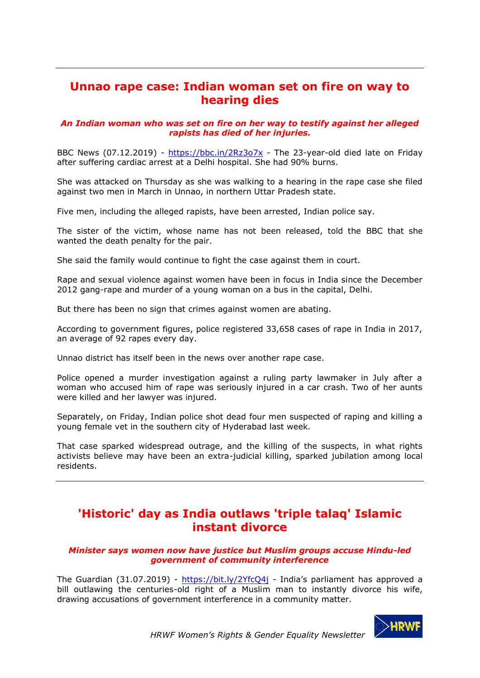# <span id="page-20-0"></span>**Unnao rape case: Indian woman set on fire on way to hearing dies**

## *An Indian woman who was set on fire on her way to testify against her alleged rapists has died of her injuries.*

BBC News (07.12.2019) -  $\frac{https://bbc.in/2Rz3o7x}{https://bbc.in/2Rz3o7x}$  $\frac{https://bbc.in/2Rz3o7x}{https://bbc.in/2Rz3o7x}$  $\frac{https://bbc.in/2Rz3o7x}{https://bbc.in/2Rz3o7x}$  - The 23-year-old died late on Friday after suffering cardiac arrest at a Delhi hospital. She had 90% burns.

She was attacked on Thursday as she was walking to a hearing in the rape case she filed against two men in March in Unnao, in northern Uttar Pradesh state.

Five men, including the alleged rapists, have been arrested, Indian police say.

The sister of the victim, whose name has not been released, told the BBC that she wanted the death penalty for the pair.

She said the family would continue to fight the case against them in court.

Rape and sexual violence against women have been in focus in India since the December 2012 gang-rape and murder of a young woman on a bus in the capital, Delhi.

But there has been no sign that crimes against women are abating.

According to government figures, police registered 33,658 cases of rape in India in 2017, an average of 92 rapes every day.

Unnao district has itself been in the news over another rape case.

Police opened a murder investigation against a ruling party lawmaker in July after a woman who accused him of rape was seriously injured in a car crash. Two of her aunts were killed and her lawyer was injured.

Separately, on Friday, Indian police shot dead four men suspected of raping and killing a young female vet in the southern city of Hyderabad last week.

That case sparked widespread outrage, and the killing of the suspects, in what rights activists believe may have been an extra-judicial killing, sparked jubilation among local residents.

# <span id="page-20-1"></span>**'Historic' day as India outlaws 'triple talaq' Islamic instant divorce**

## *Minister says women now have justice but Muslim groups accuse Hindu-led government of community interference*

The Guardian (31.07.2019) -  $\frac{https://bit.ly/2YfcQ4j}{http://bit.ly/2YfcQ4j}$  $\frac{https://bit.ly/2YfcQ4j}{http://bit.ly/2YfcQ4j}$  $\frac{https://bit.ly/2YfcQ4j}{http://bit.ly/2YfcQ4j}$  - India's parliament has approved a bill outlawing the centuries-old right of a Muslim man to instantly divorce his wife, drawing accusations of government interference in a community matter.

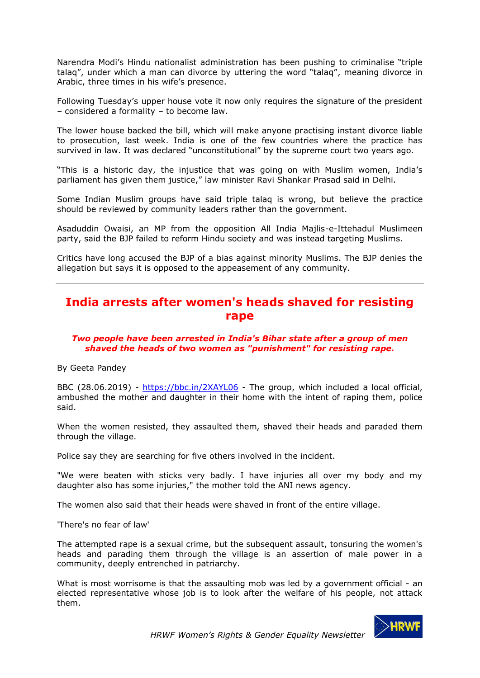Narendra Modi's Hindu nationalist administration has been pushing to criminalise "triple talaq", under which a man can divorce by uttering the word "talaq", meaning divorce in Arabic, three times in his wife's presence.

Following Tuesday's upper house vote it now only requires the signature of the president – considered a formality – to become law.

The lower house backed the bill, which will make anyone practising instant divorce liable to prosecution, last week. India is one of the few countries where the practice has survived in law. It was declared "unconstitutional" by the supreme court two years ago.

"This is a historic day, the injustice that was going on with Muslim women, India's parliament has given them justice," law minister Ravi Shankar Prasad said in Delhi.

Some Indian Muslim groups have said triple talaq is wrong, but believe the practice should be reviewed by community leaders rather than the government.

Asaduddin Owaisi, an MP from the opposition All India Majlis-e-Ittehadul Muslimeen party, said the BJP failed to reform Hindu society and was instead targeting Muslims.

Critics have long accused the BJP of a bias against minority Muslims. The BJP denies the allegation but says it is opposed to the appeasement of any community.

# <span id="page-21-0"></span>**India arrests after women's heads shaved for resisting rape**

## *Two people have been arrested in India's Bihar state after a group of men shaved the heads of two women as "punishment" for resisting rape.*

By Geeta Pandey

BBC (28.06.2019) - <https://bbc.in/2XAYL06> - The group, which included a local official, ambushed the mother and daughter in their home with the intent of raping them, police said.

When the women resisted, they assaulted them, shaved their heads and paraded them through the village.

Police say they are searching for five others involved in the incident.

"We were beaten with sticks very badly. I have injuries all over my body and my daughter also has some injuries," the mother told the ANI news agency.

The women also said that their heads were shaved in front of the entire village.

'There's no fear of law'

The attempted rape is a sexual crime, but the subsequent assault, tonsuring the women's heads and parading them through the village is an assertion of male power in a community, deeply entrenched in patriarchy.

What is most worrisome is that the assaulting mob was led by a government official - an elected representative whose job is to look after the welfare of his people, not attack them.

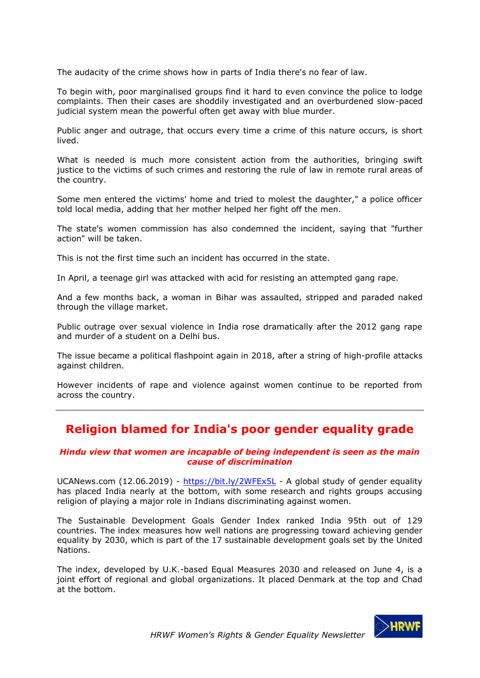The audacity of the crime shows how in parts of India there's no fear of law.

To begin with, poor marginalised groups find it hard to even convince the police to lodge complaints. Then their cases are shoddily investigated and an overburdened slow-paced judicial system mean the powerful often get away with blue murder.

Public anger and outrage, that occurs every time a crime of this nature occurs, is short lived.

What is needed is much more consistent action from the authorities, bringing swift justice to the victims of such crimes and restoring the rule of law in remote rural areas of the country.

Some men entered the victims' home and tried to molest the daughter," a police officer told local media, adding that her mother helped her fight off the men.

The state's women commission has also condemned the incident, saying that "further action" will be taken.

This is not the first time such an incident has occurred in the state.

In April, a teenage girl was attacked with acid for resisting an attempted gang rape.

And a few months back, a woman in Bihar was assaulted, stripped and paraded naked through the village market.

Public outrage over sexual violence in India rose dramatically after the 2012 gang rape and murder of a student on a Delhi bus.

The issue became a political flashpoint again in 2018, after a string of high-profile attacks against children.

However incidents of rape and violence against women continue to be reported from across the country.

# <span id="page-22-0"></span>**Religion blamed for India's poor gender equality grade**

## *Hindu view that women are incapable of being independent is seen as the main cause of discrimination*

UCANews.com (12.06.2019) - <https://bit.ly/2WFEx5L> - A global study of gender equality has placed India nearly at the bottom, with some research and rights groups accusing religion of playing a major role in Indians discriminating against women.

The Sustainable Development Goals Gender Index ranked India 95th out of 129 countries. The index measures how well nations are progressing toward achieving gender equality by 2030, which is part of the 17 sustainable development goals set by the United Nations.

The index, developed by U.K.-based Equal Measures 2030 and released on June 4, is a joint effort of regional and global organizations. It placed Denmark at the top and Chad at the bottom.

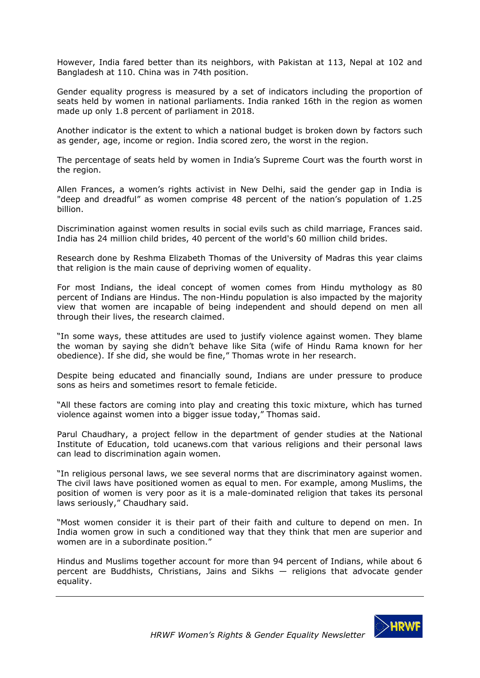However, India fared better than its neighbors, with Pakistan at 113, Nepal at 102 and Bangladesh at 110. China was in 74th position.

Gender equality progress is measured by a set of indicators including the proportion of seats held by women in national parliaments. India ranked 16th in the region as women made up only 1.8 percent of parliament in 2018.

Another indicator is the extent to which a national budget is broken down by factors such as gender, age, income or region. India scored zero, the worst in the region.

The percentage of seats held by women in India's Supreme Court was the fourth worst in the region.

Allen Frances, a women's rights activist in New Delhi, said the gender gap in India is "deep and dreadful" as women comprise 48 percent of the nation's population of 1.25 billion.

Discrimination against women results in social evils such as child marriage, Frances said. India has 24 million child brides, 40 percent of the world's 60 million child brides.

Research done by Reshma Elizabeth Thomas of the University of Madras this year claims that religion is the main cause of depriving women of equality.

For most Indians, the ideal concept of women comes from Hindu mythology as 80 percent of Indians are Hindus. The non-Hindu population is also impacted by the majority view that women are incapable of being independent and should depend on men all through their lives, the research claimed.

"In some ways, these attitudes are used to justify violence against women. They blame the woman by saying she didn't behave like Sita (wife of Hindu Rama known for her obedience). If she did, she would be fine," Thomas wrote in her research.

Despite being educated and financially sound, Indians are under pressure to produce sons as heirs and sometimes resort to female feticide.

"All these factors are coming into play and creating this toxic mixture, which has turned violence against women into a bigger issue today," Thomas said.

Parul Chaudhary, a project fellow in the department of gender studies at the National Institute of Education, told ucanews.com that various religions and their personal laws can lead to discrimination again women.

"In religious personal laws, we see several norms that are discriminatory against women. The civil laws have positioned women as equal to men. For example, among Muslims, the position of women is very poor as it is a male-dominated religion that takes its personal laws seriously," Chaudhary said.

"Most women consider it is their part of their faith and culture to depend on men. In India women grow in such a conditioned way that they think that men are superior and women are in a subordinate position."

Hindus and Muslims together account for more than 94 percent of Indians, while about 6 percent are Buddhists, Christians, Jains and Sikhs — religions that advocate gender equality.

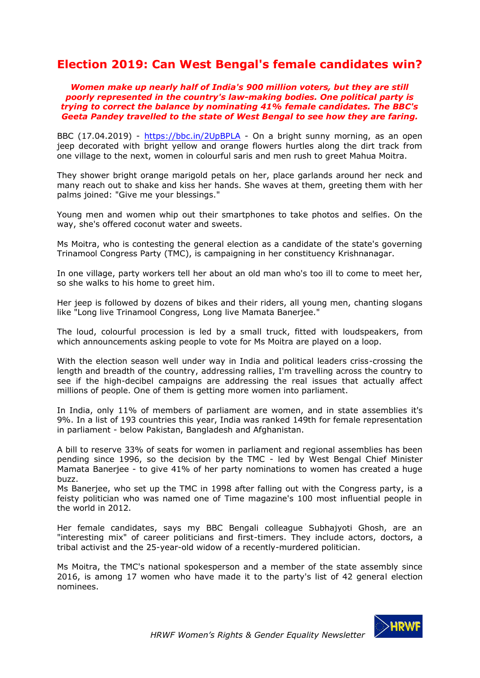# <span id="page-24-0"></span>**Election 2019: Can West Bengal's female candidates win?**

*Women make up nearly half of India's 900 million voters, but they are still poorly represented in the country's law-making bodies. One political party is trying to correct the balance by nominating 41% female candidates. The BBC's Geeta Pandey travelled to the state of West Bengal to see how they are faring.*

BBC (17.04.2019) - <https://bbc.in/2UpBPLA> - On a bright sunny morning, as an open jeep decorated with bright yellow and orange flowers hurtles along the dirt track from one village to the next, women in colourful saris and men rush to greet Mahua Moitra.

They shower bright orange marigold petals on her, place garlands around her neck and many reach out to shake and kiss her hands. She waves at them, greeting them with her palms joined: "Give me your blessings."

Young men and women whip out their smartphones to take photos and selfies. On the way, she's offered coconut water and sweets.

Ms Moitra, who is contesting the general election as a candidate of the state's governing Trinamool Congress Party (TMC), is campaigning in her constituency Krishnanagar.

In one village, party workers tell her about an old man who's too ill to come to meet her, so she walks to his home to greet him.

Her jeep is followed by dozens of bikes and their riders, all young men, chanting slogans like "Long live Trinamool Congress, Long live Mamata Banerjee."

The loud, colourful procession is led by a small truck, fitted with loudspeakers, from which announcements asking people to vote for Ms Moitra are played on a loop.

With the election season well under way in India and political leaders criss-crossing the length and breadth of the country, addressing rallies, I'm travelling across the country to see if the high-decibel campaigns are addressing the real issues that actually affect millions of people. One of them is getting more women into parliament.

In India, only 11% of members of parliament are women, and in state assemblies it's 9%. In a list of 193 countries this year, India was ranked 149th for female representation in parliament - below Pakistan, Bangladesh and Afghanistan.

A bill to reserve 33% of seats for women in parliament and regional assemblies has been pending since 1996, so the decision by the TMC - led by West Bengal Chief Minister Mamata Banerjee - to give 41% of her party nominations to women has created a huge buzz.

Ms Banerjee, who set up the TMC in 1998 after falling out with the Congress party, is a feisty politician who was named one of Time magazine's 100 most influential people in the world in 2012.

Her female candidates, says my BBC Bengali colleague Subhajyoti Ghosh, are an "interesting mix" of career politicians and first-timers. They include actors, doctors, a tribal activist and the 25-year-old widow of a recently-murdered politician.

Ms Moitra, the TMC's national spokesperson and a member of the state assembly since 2016, is among 17 women who have made it to the party's list of 42 general election nominees.

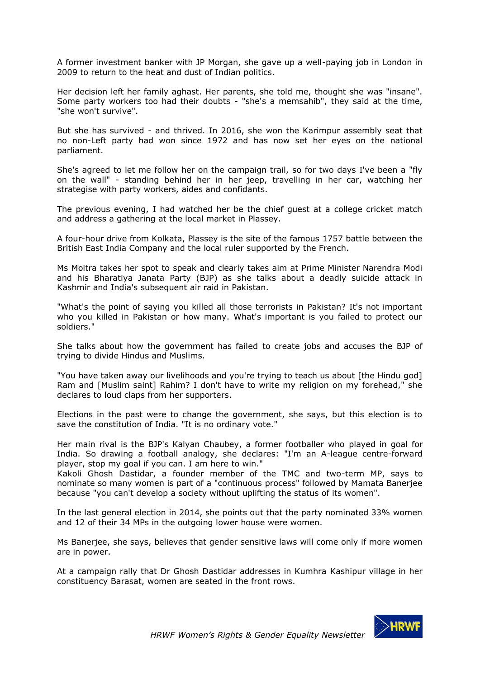A former investment banker with JP Morgan, she gave up a well-paying job in London in 2009 to return to the heat and dust of Indian politics.

Her decision left her family aghast. Her parents, she told me, thought she was "insane". Some party workers too had their doubts - "she's a memsahib", they said at the time, "she won't survive".

But she has survived - and thrived. In 2016, she won the Karimpur assembly seat that no non-Left party had won since 1972 and has now set her eyes on the national parliament.

She's agreed to let me follow her on the campaign trail, so for two days I've been a "fly on the wall" - standing behind her in her jeep, travelling in her car, watching her strategise with party workers, aides and confidants.

The previous evening, I had watched her be the chief guest at a college cricket match and address a gathering at the local market in Plassey.

A four-hour drive from Kolkata, Plassey is the site of the famous 1757 battle between the British East India Company and the local ruler supported by the French.

Ms Moitra takes her spot to speak and clearly takes aim at Prime Minister Narendra Modi and his Bharatiya Janata Party (BJP) as she talks about a deadly suicide attack in Kashmir and India's subsequent air raid in Pakistan.

"What's the point of saying you killed all those terrorists in Pakistan? It's not important who you killed in Pakistan or how many. What's important is you failed to protect our soldiers."

She talks about how the government has failed to create jobs and accuses the BJP of trying to divide Hindus and Muslims.

"You have taken away our livelihoods and you're trying to teach us about [the Hindu god] Ram and [Muslim saint] Rahim? I don't have to write my religion on my forehead," she declares to loud claps from her supporters.

Elections in the past were to change the government, she says, but this election is to save the constitution of India. "It is no ordinary vote."

Her main rival is the BJP's Kalyan Chaubey, a former footballer who played in goal for India. So drawing a football analogy, she declares: "I'm an A-league centre-forward player, stop my goal if you can. I am here to win."

Kakoli Ghosh Dastidar, a founder member of the TMC and two-term MP, says to nominate so many women is part of a "continuous process" followed by Mamata Banerjee because "you can't develop a society without uplifting the status of its women".

In the last general election in 2014, she points out that the party nominated 33% women and 12 of their 34 MPs in the outgoing lower house were women.

Ms Banerjee, she says, believes that gender sensitive laws will come only if more women are in power.

At a campaign rally that Dr Ghosh Dastidar addresses in Kumhra Kashipur village in her constituency Barasat, women are seated in the front rows.

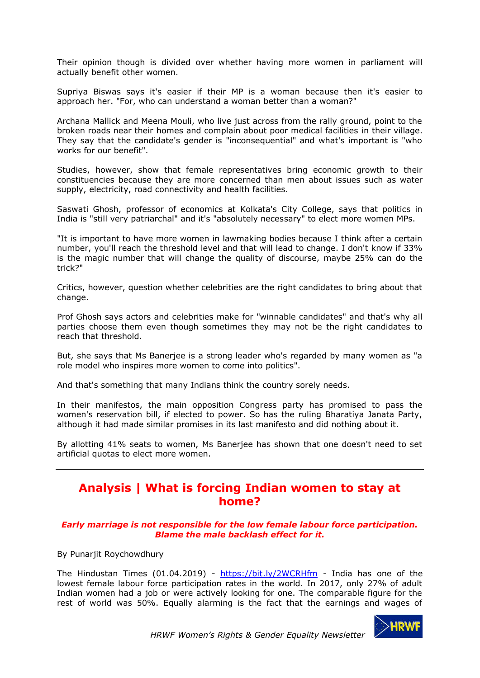Their opinion though is divided over whether having more women in parliament will actually benefit other women.

Supriya Biswas says it's easier if their MP is a woman because then it's easier to approach her. "For, who can understand a woman better than a woman?"

Archana Mallick and Meena Mouli, who live just across from the rally ground, point to the broken roads near their homes and complain about poor medical facilities in their village. They say that the candidate's gender is "inconsequential" and what's important is "who works for our benefit".

Studies, however, show that female representatives bring economic growth to their constituencies because they are more concerned than men about issues such as water supply, electricity, road connectivity and health facilities.

Saswati Ghosh, professor of economics at Kolkata's City College, says that politics in India is "still very patriarchal" and it's "absolutely necessary" to elect more women MPs.

"It is important to have more women in lawmaking bodies because I think after a certain number, you'll reach the threshold level and that will lead to change. I don't know if 33% is the magic number that will change the quality of discourse, maybe 25% can do the trick?"

Critics, however, question whether celebrities are the right candidates to bring about that change.

Prof Ghosh says actors and celebrities make for "winnable candidates" and that's why all parties choose them even though sometimes they may not be the right candidates to reach that threshold.

But, she says that Ms Banerjee is a strong leader who's regarded by many women as "a role model who inspires more women to come into politics".

And that's something that many Indians think the country sorely needs.

In their manifestos, the main opposition Congress party has promised to pass the women's reservation bill, if elected to power. So has the ruling Bharatiya Janata Party, although it had made similar promises in its last manifesto and did nothing about it.

By allotting 41% seats to women, Ms Banerjee has shown that one doesn't need to set artificial quotas to elect more women.

## <span id="page-26-0"></span>**Analysis | What is forcing Indian women to stay at home?**

## *Early marriage is not responsible for the low female labour force participation. Blame the male backlash effect for it.*

By Punarjit Roychowdhury

The Hindustan Times (01.04.2019) - <https://bit.ly/2WCRHfm> - India has one of the lowest female labour force participation rates in the world. In 2017, only 27% of adult Indian women had a job or were actively looking for one. The comparable figure for the rest of world was 50%. Equally alarming is the fact that the earnings and wages of

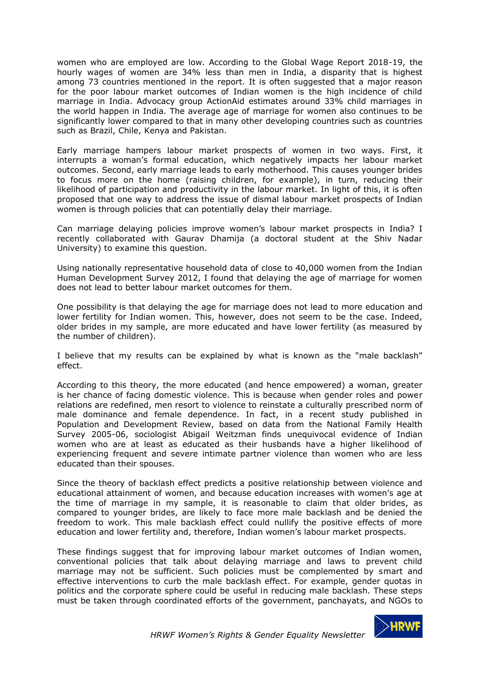women who are employed are low. According to the Global Wage Report 2018-19, the hourly wages of women are 34% less than men in India, a disparity that is highest among 73 countries mentioned in the report. It is often suggested that a major reason for the poor labour market outcomes of Indian women is the high incidence of child marriage in India. Advocacy group ActionAid estimates around 33% child marriages in the world happen in India. The average age of marriage for women also continues to be significantly lower compared to that in many other developing countries such as countries such as Brazil, Chile, Kenya and Pakistan.

Early marriage hampers labour market prospects of women in two ways. First, it interrupts a woman's formal education, which negatively impacts her labour market outcomes. Second, early marriage leads to early motherhood. This causes younger brides to focus more on the home (raising children, for example), in turn, reducing their likelihood of participation and productivity in the labour market. In light of this, it is often proposed that one way to address the issue of dismal labour market prospects of Indian women is through policies that can potentially delay their marriage.

Can marriage delaying policies improve women's labour market prospects in India? I recently collaborated with Gaurav Dhamija (a doctoral student at the Shiv Nadar University) to examine this question.

Using nationally representative household data of close to 40,000 women from the Indian Human Development Survey 2012, I found that delaying the age of marriage for women does not lead to better labour market outcomes for them.

One possibility is that delaying the age for marriage does not lead to more education and lower fertility for Indian women. This, however, does not seem to be the case. Indeed, older brides in my sample, are more educated and have lower fertility (as measured by the number of children).

I believe that my results can be explained by what is known as the "male backlash" effect.

According to this theory, the more educated (and hence empowered) a woman, greater is her chance of facing domestic violence. This is because when gender roles and power relations are redefined, men resort to violence to reinstate a culturally prescribed norm of male dominance and female dependence. In fact, in a recent study published in Population and Development Review, based on data from the National Family Health Survey 2005-06, sociologist Abigail Weitzman finds unequivocal evidence of Indian women who are at least as educated as their husbands have a higher likelihood of experiencing frequent and severe intimate partner violence than women who are less educated than their spouses.

Since the theory of backlash effect predicts a positive relationship between violence and educational attainment of women, and because education increases with women's age at the time of marriage in my sample, it is reasonable to claim that older brides, as compared to younger brides, are likely to face more male backlash and be denied the freedom to work. This male backlash effect could nullify the positive effects of more education and lower fertility and, therefore, Indian women's labour market prospects.

These findings suggest that for improving labour market outcomes of Indian women, conventional policies that talk about delaying marriage and laws to prevent child marriage may not be sufficient. Such policies must be complemented by smart and effective interventions to curb the male backlash effect. For example, gender quotas in politics and the corporate sphere could be useful in reducing male backlash. These steps must be taken through coordinated efforts of the government, panchayats, and NGOs to

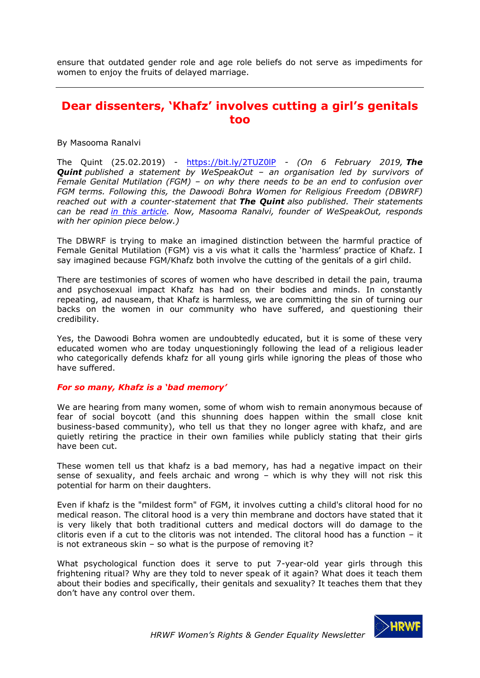ensure that outdated gender role and age role beliefs do not serve as impediments for women to enjoy the fruits of delayed marriage.

# <span id="page-28-0"></span>**Dear dissenters, 'Khafz' involves cutting a girl's genitals too**

By Masooma Ranalvi

The Quint (25.02.2019) - <https://bit.ly/2TUZ0lP> - *(On 6 February 2019, The Quint published a statement by WeSpeakOut – an organisation led by survivors of Female Genital Mutilation (FGM) – on why there needs to be an end to confusion over FGM terms. Following this, the Dawoodi Bohra Women for Religious Freedom (DBWRF) reached out with a counter-statement that The Quint also published. Their statements can be read [in this article.](https://www.thequint.com/neon/gender/international-day-of-zero-tolerance-for-fgm-india#gs.4skcaffK) Now, Masooma Ranalvi, founder of WeSpeakOut, responds with her opinion piece below.)*

The DBWRF is trying to make an imagined distinction between the harmful practice of Female Genital Mutilation (FGM) vis a vis what it calls the 'harmless' practice of Khafz. I say imagined because FGM/Khafz both involve the cutting of the genitals of a girl child.

There are testimonies of scores of women who have described in detail the pain, trauma and psychosexual impact Khafz has had on their bodies and minds. In constantly repeating, ad nauseam, that Khafz is harmless, we are committing the sin of turning our backs on the women in our community who have suffered, and questioning their credibility.

Yes, the Dawoodi Bohra women are undoubtedly educated, but it is some of these very educated women who are today unquestioningly following the lead of a religious leader who categorically defends khafz for all young girls while ignoring the pleas of those who have suffered.

## *For so many, Khafz is a 'bad memory'*

We are hearing from many women, some of whom wish to remain anonymous because of fear of social boycott (and this shunning does happen within the small close knit business-based community), who tell us that they no longer agree with khafz, and are quietly retiring the practice in their own families while publicly stating that their girls have been cut.

These women tell us that khafz is a bad memory, has had a negative impact on their sense of sexuality, and feels archaic and wrong – which is why they will not risk this potential for harm on their daughters.

Even if khafz is the "mildest form" of FGM, it involves cutting a child's clitoral hood for no medical reason. The clitoral hood is a very thin membrane and doctors have stated that it is very likely that both traditional cutters and medical doctors will do damage to the clitoris even if a cut to the clitoris was not intended. The clitoral hood has a function – it is not extraneous skin – so what is the purpose of removing it?

What psychological function does it serve to put 7-year-old year girls through this frightening ritual? Why are they told to never speak of it again? What does it teach them about their bodies and specifically, their genitals and sexuality? It teaches them that they don't have any control over them.

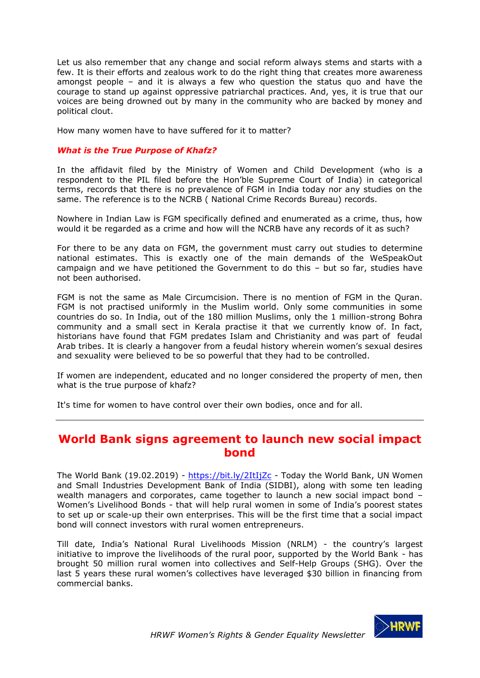Let us also remember that any change and social reform always stems and starts with a few. It is their efforts and zealous work to do the right thing that creates more awareness amongst people – and it is always a few who question the status quo and have the courage to stand up against oppressive patriarchal practices. And, yes, it is true that our voices are being drowned out by many in the community who are backed by money and political clout.

How many women have to have suffered for it to matter?

## *What is the True Purpose of Khafz?*

In the affidavit filed by the Ministry of Women and Child Development (who is a respondent to the PIL filed before the Hon'ble Supreme Court of India) in categorical terms, records that there is no prevalence of FGM in India today nor any studies on the same. The reference is to the NCRB ( National Crime Records Bureau) records.

Nowhere in Indian Law is FGM specifically defined and enumerated as a crime, thus, how would it be regarded as a crime and how will the NCRB have any records of it as such?

For there to be any data on FGM, the government must carry out studies to determine national estimates. This is exactly one of the main demands of the WeSpeakOut campaign and we have petitioned the Government to do this – but so far, studies have not been authorised.

FGM is not the same as Male Circumcision. There is no mention of FGM in the Quran. FGM is not practised uniformly in the Muslim world. Only some communities in some countries do so. In India, out of the 180 million Muslims, only the 1 million-strong Bohra community and a small sect in Kerala practise it that we currently know of. In fact, historians have found that FGM predates Islam and Christianity and was part of feudal Arab tribes. It is clearly a hangover from a feudal history wherein women's sexual desires and sexuality were believed to be so powerful that they had to be controlled.

If women are independent, educated and no longer considered the property of men, then what is the true purpose of khafz?

It's time for women to have control over their own bodies, once and for all.

## <span id="page-29-0"></span>**World Bank signs agreement to launch new social impact bond**

The World Bank (19.02.2019) - <https://bit.ly/2ItIjZc> - Today the World Bank, UN Women and Small Industries Development Bank of India (SIDBI), along with some ten leading wealth managers and corporates, came together to launch a new social impact bond – Women's Livelihood Bonds - that will help rural women in some of India's poorest states to set up or scale-up their own enterprises. This will be the first time that a social impact bond will connect investors with rural women entrepreneurs.

Till date, India's National Rural Livelihoods Mission (NRLM) - the country's largest initiative to improve the livelihoods of the rural poor, supported by the World Bank - has brought 50 million rural women into collectives and Self-Help Groups (SHG). Over the last 5 years these rural women's collectives have leveraged \$30 billion in financing from commercial banks.

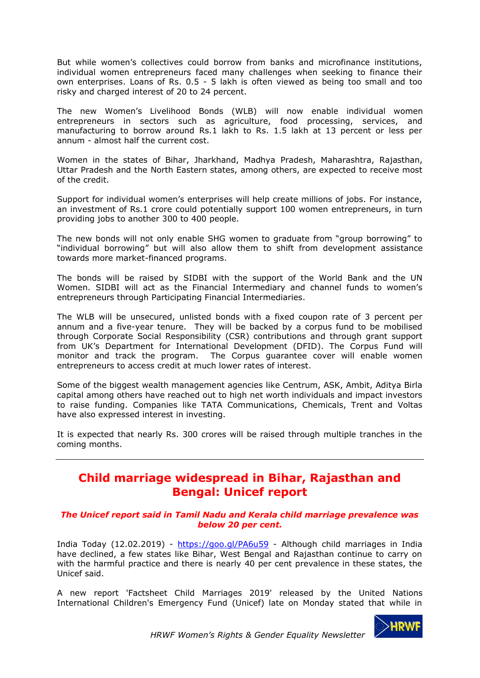But while women's collectives could borrow from banks and microfinance institutions, individual women entrepreneurs faced many challenges when seeking to finance their own enterprises. Loans of Rs. 0.5 - 5 lakh is often viewed as being too small and too risky and charged interest of 20 to 24 percent.

The new Women's Livelihood Bonds (WLB) will now enable individual women entrepreneurs in sectors such as agriculture, food processing, services, and manufacturing to borrow around Rs.1 lakh to Rs. 1.5 lakh at 13 percent or less per annum - almost half the current cost.

Women in the states of Bihar, Jharkhand, Madhya Pradesh, Maharashtra, Rajasthan, Uttar Pradesh and the North Eastern states, among others, are expected to receive most of the credit.

Support for individual women's enterprises will help create millions of jobs. For instance, an investment of Rs.1 crore could potentially support 100 women entrepreneurs, in turn providing jobs to another 300 to 400 people.

The new bonds will not only enable SHG women to graduate from "group borrowing" to "individual borrowing" but will also allow them to shift from development assistance towards more market-financed programs.

The bonds will be raised by SIDBI with the support of the World Bank and the UN Women. SIDBI will act as the Financial Intermediary and channel funds to women's entrepreneurs through Participating Financial Intermediaries.

The WLB will be unsecured, unlisted bonds with a fixed coupon rate of 3 percent per annum and a five-year tenure. They will be backed by a corpus fund to be mobilised through Corporate Social Responsibility (CSR) contributions and through grant support from UK's Department for International Development (DFID). The Corpus Fund will monitor and track the program. The Corpus guarantee cover will enable women entrepreneurs to access credit at much lower rates of interest.

Some of the biggest wealth management agencies like Centrum, ASK, Ambit, Aditya Birla capital among others have reached out to high net worth individuals and impact investors to raise funding. Companies like TATA Communications, Chemicals, Trent and Voltas have also expressed interest in investing.

It is expected that nearly Rs. 300 crores will be raised through multiple tranches in the coming months.

# <span id="page-30-0"></span>**Child marriage widespread in Bihar, Rajasthan and Bengal: Unicef report**

## *The Unicef report said in Tamil Nadu and Kerala child marriage prevalence was below 20 per cent.*

India Today (12.02.2019) - <https://goo.gl/PA6u59> - Although child marriages in India have declined, a few states like Bihar, West Bengal and Rajasthan continue to carry on with the harmful practice and there is nearly 40 per cent prevalence in these states, the Unicef said.

A new report 'Factsheet Child Marriages 2019' released by the United Nations International Children's Emergency Fund (Unicef) late on Monday stated that while in

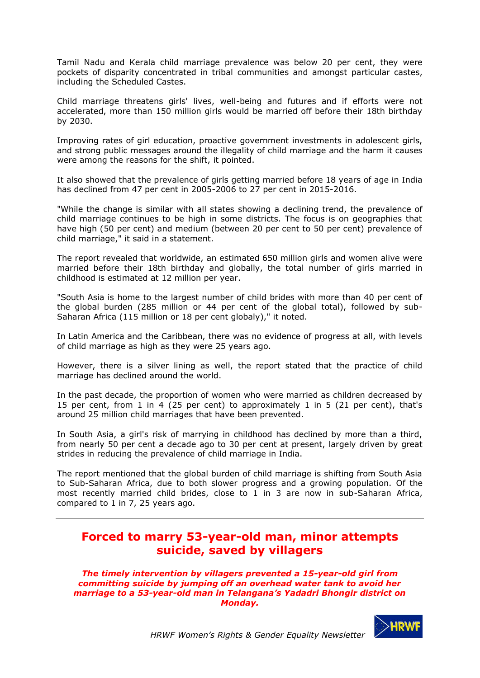Tamil Nadu and Kerala child marriage prevalence was below 20 per cent, they were pockets of disparity concentrated in tribal communities and amongst particular castes, including the Scheduled Castes.

Child marriage threatens girls' lives, well-being and futures and if efforts were not accelerated, more than 150 million girls would be married off before their 18th birthday by 2030.

Improving rates of girl education, proactive government investments in adolescent girls, and strong public messages around the illegality of child marriage and the harm it causes were among the reasons for the shift, it pointed.

It also showed that the prevalence of girls getting married before 18 years of age in India has declined from 47 per cent in 2005-2006 to 27 per cent in 2015-2016.

"While the change is similar with all states showing a declining trend, the prevalence of child marriage continues to be high in some districts. The focus is on geographies that have high (50 per cent) and medium (between 20 per cent to 50 per cent) prevalence of child marriage," it said in a statement.

The report revealed that worldwide, an estimated 650 million girls and women alive were married before their 18th birthday and globally, the total number of girls married in childhood is estimated at 12 million per year.

"South Asia is home to the largest number of child brides with more than 40 per cent of the global burden (285 million or 44 per cent of the global total), followed by sub-Saharan Africa (115 million or 18 per cent globaly)," it noted.

In Latin America and the Caribbean, there was no evidence of progress at all, with levels of child marriage as high as they were 25 years ago.

However, there is a silver lining as well, the report stated that the practice of child marriage has declined around the world.

In the past decade, the proportion of women who were married as children decreased by 15 per cent, from 1 in 4 (25 per cent) to approximately 1 in 5 (21 per cent), that's around 25 million child marriages that have been prevented.

In South Asia, a girl's risk of marrying in childhood has declined by more than a third, from nearly 50 per cent a decade ago to 30 per cent at present, largely driven by great strides in reducing the prevalence of child marriage in India.

The report mentioned that the global burden of child marriage is shifting from South Asia to Sub-Saharan Africa, due to both slower progress and a growing population. Of the most recently married child brides, close to 1 in 3 are now in sub-Saharan Africa, compared to 1 in 7, 25 years ago.

# <span id="page-31-0"></span>**Forced to marry 53-year-old man, minor attempts suicide, saved by villagers**

*The timely intervention by villagers prevented a 15-year-old girl from committing suicide by jumping off an overhead water tank to avoid her marriage to a 53-year-old man in Telangana's Yadadri Bhongir district on Monday.*

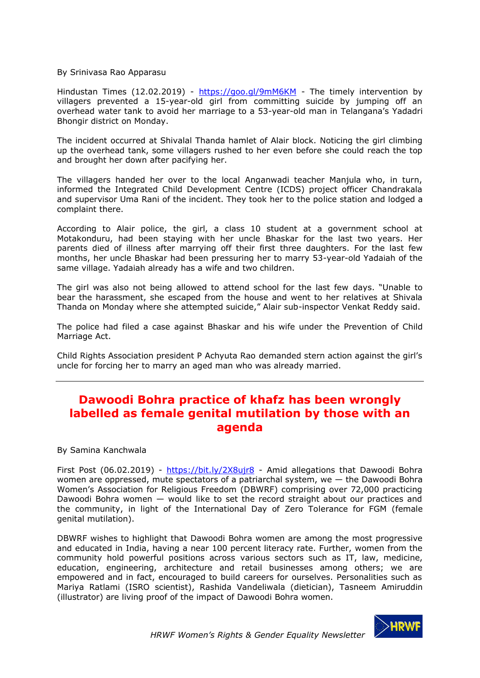#### By Srinivasa Rao Apparasu

Hindustan Times (12.02.2019) - <https://goo.gl/9mM6KM> - The timely intervention by villagers prevented a 15-year-old girl from committing suicide by jumping off an overhead water tank to avoid her marriage to a 53-year-old man in Telangana's Yadadri Bhongir district on Monday.

The incident occurred at Shivalal Thanda hamlet of Alair block. Noticing the girl climbing up the overhead tank, some villagers rushed to her even before she could reach the top and brought her down after pacifying her.

The villagers handed her over to the local Anganwadi teacher Manjula who, in turn, informed the Integrated Child Development Centre (ICDS) project officer Chandrakala and supervisor Uma Rani of the incident. They took her to the police station and lodged a complaint there.

According to Alair police, the girl, a class 10 student at a government school at Motakonduru, had been staying with her uncle Bhaskar for the last two years. Her parents died of illness after marrying off their first three daughters. For the last few months, her uncle Bhaskar had been pressuring her to marry 53-year-old Yadaiah of the same village. Yadaiah already has a wife and two children.

The girl was also not being allowed to attend school for the last few days. "Unable to bear the harassment, she escaped from the house and went to her relatives at Shivala Thanda on Monday where she attempted suicide," Alair sub-inspector Venkat Reddy said.

The police had filed a case against Bhaskar and his wife under the Prevention of Child Marriage Act.

Child Rights Association president P Achyuta Rao demanded stern action against the girl's uncle for forcing her to marry an aged man who was already married.

# <span id="page-32-0"></span>**Dawoodi Bohra practice of khafz has been wrongly labelled as female genital mutilation by those with an agenda**

By Samina Kanchwala

First Post (06.02.2019) - <https://bit.ly/2X8ujr8> - Amid allegations that Dawoodi Bohra women are oppressed, mute spectators of a patriarchal system, we — the Dawoodi Bohra Women's Association for Religious Freedom (DBWRF) comprising over 72,000 practicing Dawoodi Bohra women — would like to set the record straight about our practices and the community, in light of the International Day of Zero Tolerance for FGM (female genital mutilation).

DBWRF wishes to highlight that Dawoodi Bohra women are among the most progressive and educated in India, having a near 100 percent literacy rate. Further, women from the community hold powerful positions across various sectors such as IT, law, medicine, education, engineering, architecture and retail businesses among others; we are empowered and in fact, encouraged to build careers for ourselves. Personalities such as Mariya Ratlami (ISRO scientist), Rashida Vandeliwala (dietician), Tasneem Amiruddin (illustrator) are living proof of the impact of Dawoodi Bohra women.



*HRWF Women's Rights & Gender Equality Newsletter*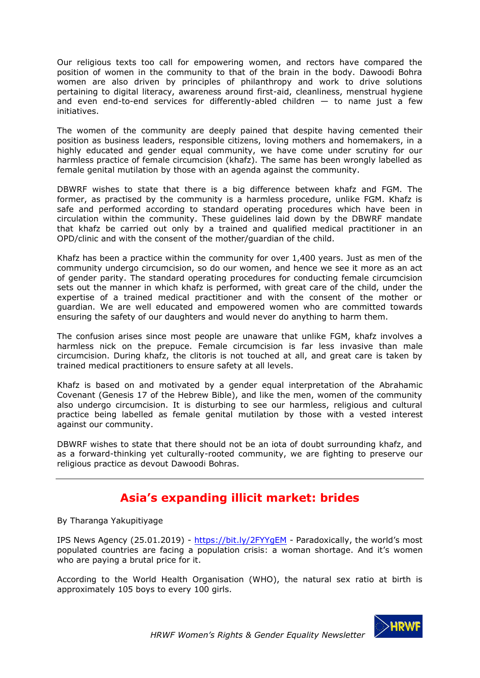Our religious texts too call for empowering women, and rectors have compared the position of women in the community to that of the brain in the body. Dawoodi Bohra women are also driven by principles of philanthropy and work to drive solutions pertaining to digital literacy, awareness around first-aid, cleanliness, menstrual hygiene and even end-to-end services for differently-abled children  $-$  to name just a few initiatives.

The women of the community are deeply pained that despite having cemented their position as business leaders, responsible citizens, loving mothers and homemakers, in a highly educated and gender equal community, we have come under scrutiny for our harmless practice of female circumcision (khafz). The same has been wrongly labelled as female genital mutilation by those with an agenda against the community.

DBWRF wishes to state that there is a big difference between khafz and FGM. The former, as practised by the community is a harmless procedure, unlike FGM. Khafz is safe and performed according to standard operating procedures which have been in circulation within the community. These guidelines laid down by the DBWRF mandate that khafz be carried out only by a trained and qualified medical practitioner in an OPD/clinic and with the consent of the mother/guardian of the child.

Khafz has been a practice within the community for over 1,400 years. Just as men of the community undergo circumcision, so do our women, and hence we see it more as an act of gender parity. The standard operating procedures for conducting female circumcision sets out the manner in which khafz is performed, with great care of the child, under the expertise of a trained medical practitioner and with the consent of the mother or guardian. We are well educated and empowered women who are committed towards ensuring the safety of our daughters and would never do anything to harm them.

The confusion arises since most people are unaware that unlike FGM, khafz involves a harmless nick on the prepuce. Female circumcision is far less invasive than male circumcision. During khafz, the clitoris is not touched at all, and great care is taken by trained medical practitioners to ensure safety at all levels.

Khafz is based on and motivated by a gender equal interpretation of the Abrahamic Covenant (Genesis 17 of the Hebrew Bible), and like the men, women of the community also undergo circumcision. It is disturbing to see our harmless, religious and cultural practice being labelled as female genital mutilation by those with a vested interest against our community.

DBWRF wishes to state that there should not be an iota of doubt surrounding khafz, and as a forward-thinking yet culturally-rooted community, we are fighting to preserve our religious practice as devout Dawoodi Bohras.

# **Asia's expanding illicit market: brides**

<span id="page-33-0"></span>By Tharanga Yakupitiyage

IPS News Agency (25.01.2019) - <https://bit.ly/2FYYgEM> - Paradoxically, the world's most populated countries are facing a population crisis: a woman shortage. And it's women who are paying a brutal price for it.

According to the World Health Organisation (WHO), the natural sex ratio at birth is approximately 105 boys to every 100 girls.

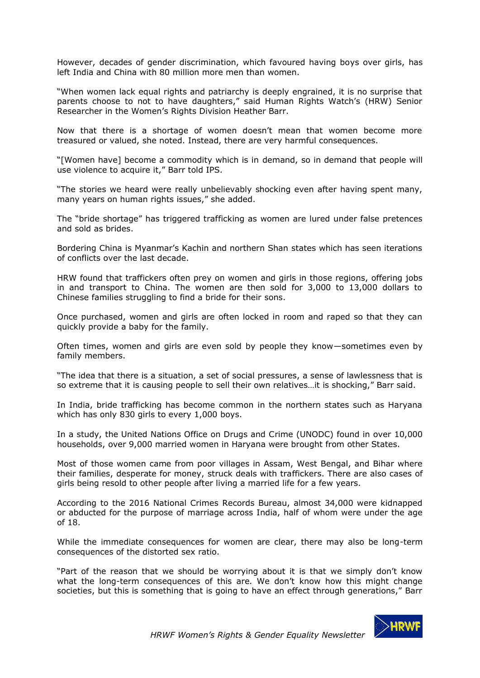However, decades of gender discrimination, which favoured having boys over girls, has left India and China with 80 million more men than women.

"When women lack equal rights and patriarchy is deeply engrained, it is no surprise that parents choose to not to have daughters," said Human Rights Watch's (HRW) Senior Researcher in the Women's Rights Division Heather Barr.

Now that there is a shortage of women doesn't mean that women become more treasured or valued, she noted. Instead, there are very harmful consequences.

"[Women have] become a commodity which is in demand, so in demand that people will use violence to acquire it," Barr told IPS.

"The stories we heard were really unbelievably shocking even after having spent many, many years on human rights issues," she added.

The "bride shortage" has triggered trafficking as women are lured under false pretences and sold as brides.

Bordering China is Myanmar's Kachin and northern Shan states which has seen iterations of conflicts over the last decade.

HRW found that traffickers often prey on women and girls in those regions, offering jobs in and transport to China. The women are then sold for 3,000 to 13,000 dollars to Chinese families struggling to find a bride for their sons.

Once purchased, women and girls are often locked in room and raped so that they can quickly provide a baby for the family.

Often times, women and girls are even sold by people they know—sometimes even by family members.

"The idea that there is a situation, a set of social pressures, a sense of lawlessness that is so extreme that it is causing people to sell their own relatives…it is shocking," Barr said.

In India, bride trafficking has become common in the northern states such as Haryana which has only 830 girls to every 1,000 boys.

In a study, the United Nations Office on Drugs and Crime (UNODC) found in over 10,000 households, over 9,000 married women in Haryana were brought from other States.

Most of those women came from poor villages in Assam, West Bengal, and Bihar where their families, desperate for money, struck deals with traffickers. There are also cases of girls being resold to other people after living a married life for a few years.

According to the 2016 National Crimes Records Bureau, almost 34,000 were kidnapped or abducted for the purpose of marriage across India, half of whom were under the age of 18.

While the immediate consequences for women are clear, there may also be long-term consequences of the distorted sex ratio.

"Part of the reason that we should be worrying about it is that we simply don't know what the long-term consequences of this are. We don't know how this might change societies, but this is something that is going to have an effect through generations," Barr

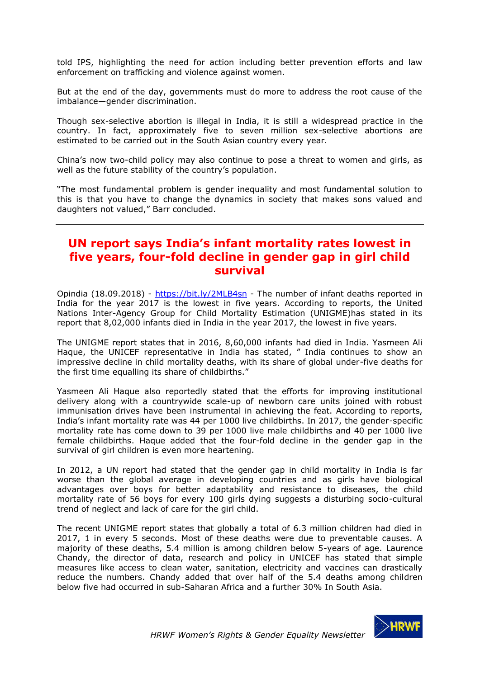told IPS, highlighting the need for action including better prevention efforts and law enforcement on trafficking and violence against women.

But at the end of the day, governments must do more to address the root cause of the imbalance—gender discrimination.

Though sex-selective abortion is illegal in India, it is still a widespread practice in the country. In fact, approximately five to seven million sex-selective abortions are estimated to be carried out in the South Asian country every year.

China's now two-child policy may also continue to pose a threat to women and girls, as well as the future stability of the country's population.

"The most fundamental problem is gender inequality and most fundamental solution to this is that you have to change the dynamics in society that makes sons valued and daughters not valued," Barr concluded.

## <span id="page-35-0"></span>**UN report says India's infant mortality rates lowest in five years, four-fold decline in gender gap in girl child survival**

Opindia (18.09.2018) - <https://bit.ly/2MLB4sn> - The number of infant deaths reported in India for the year 2017 is the lowest in five years. According to reports, the United Nations Inter-Agency Group for Child Mortality Estimation (UNIGME)has stated in its report that 8,02,000 infants died in India in the year 2017, the lowest in five years.

The UNIGME report states that in 2016, 8,60,000 infants had died in India. Yasmeen Ali Haque, the UNICEF representative in India has stated, " India continues to show an impressive decline in child mortality deaths, with its share of global under-five deaths for the first time equalling its share of childbirths."

Yasmeen Ali Haque also reportedly stated that the efforts for improving institutional delivery along with a countrywide scale-up of newborn care units joined with robust immunisation drives have been instrumental in achieving the feat. According to reports, India's infant mortality rate was 44 per 1000 live childbirths. In 2017, the gender-specific mortality rate has come down to 39 per 1000 live male childbirths and 40 per 1000 live female childbirths. Haque added that the four-fold decline in the gender gap in the survival of girl children is even more heartening.

In 2012, a UN report had stated that the gender gap in child mortality in India is far worse than the global average in developing countries and as girls have biological advantages over boys for better adaptability and resistance to diseases, the child mortality rate of 56 boys for every 100 girls dying suggests a disturbing socio-cultural trend of neglect and lack of care for the girl child.

The recent UNIGME report states that globally a total of 6.3 million children had died in 2017, 1 in every 5 seconds. Most of these deaths were due to preventable causes. A majority of these deaths, 5.4 million is among children below 5-years of age. Laurence Chandy, the director of data, research and policy in UNICEF has stated that simple measures like access to clean water, sanitation, electricity and vaccines can drastically reduce the numbers. Chandy added that over half of the 5.4 deaths among children below five had occurred in sub-Saharan Africa and a further 30% In South Asia.

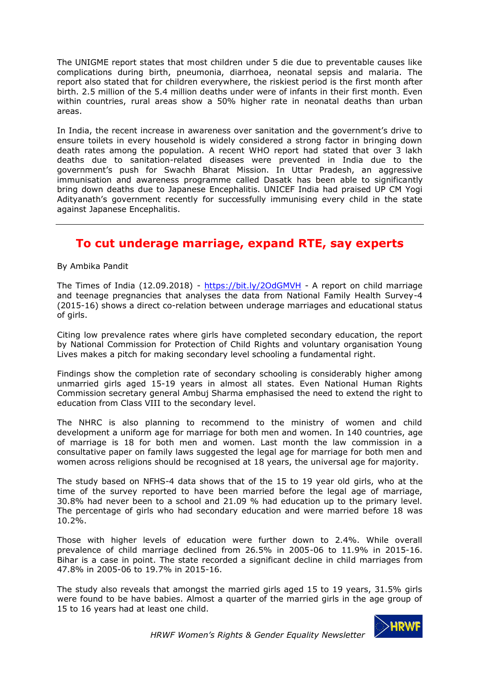The UNIGME report states that most children under 5 die due to preventable causes like complications during birth, pneumonia, diarrhoea, neonatal sepsis and malaria. The report also stated that for children everywhere, the riskiest period is the first month after birth. 2.5 million of the 5.4 million deaths under were of infants in their first month. Even within countries, rural areas show a 50% higher rate in neonatal deaths than urban areas.

In India, the recent increase in awareness over sanitation and the government's drive to ensure toilets in every household is widely considered a strong factor in bringing down death rates among the population. A recent WHO report had stated that over 3 lakh deaths due to sanitation-related diseases were prevented in India due to the government's push for Swachh Bharat Mission. In Uttar Pradesh, an aggressive immunisation and awareness programme called Dasatk has been able to significantly bring down deaths due to Japanese Encephalitis. UNICEF India had praised UP CM Yogi Adityanath's government recently for successfully immunising every child in the state against Japanese Encephalitis.

### **To cut underage marriage, expand RTE, say experts**

By Ambika Pandit

The Times of India (12.09.2018) - <https://bit.ly/2OdGMVH> - A report on child marriage and teenage pregnancies that analyses the data from National Family Health Survey-4 (2015-16) shows a direct co-relation between underage marriages and educational status of girls.

Citing low prevalence rates where girls have completed secondary education, the report by National Commission for Protection of Child Rights and voluntary organisation Young Lives makes a pitch for making secondary level schooling a fundamental right.

Findings show the completion rate of secondary schooling is considerably higher among unmarried girls aged 15-19 years in almost all states. Even National Human Rights Commission secretary general Ambuj Sharma emphasised the need to extend the right to education from Class VIII to the secondary level.

The NHRC is also planning to recommend to the ministry of women and child development a uniform age for marriage for both men and women. In 140 countries, age of marriage is 18 for both men and women. Last month the law commission in a consultative paper on family laws suggested the legal age for marriage for both men and women across religions should be recognised at 18 years, the universal age for majority.

The study based on NFHS-4 data shows that of the 15 to 19 year old girls, who at the time of the survey reported to have been married before the legal age of marriage, 30.8% had never been to a school and 21.09 % had education up to the primary level. The percentage of girls who had secondary education and were married before 18 was 10.2%.

Those with higher levels of education were further down to 2.4%. While overall prevalence of child marriage declined from 26.5% in 2005-06 to 11.9% in 2015-16. Bihar is a case in point. The state recorded a significant decline in child marriages from 47.8% in 2005-06 to 19.7% in 2015-16.

The study also reveals that amongst the married girls aged 15 to 19 years, 31.5% girls were found to be have babies. Almost a quarter of the married girls in the age group of 15 to 16 years had at least one child.

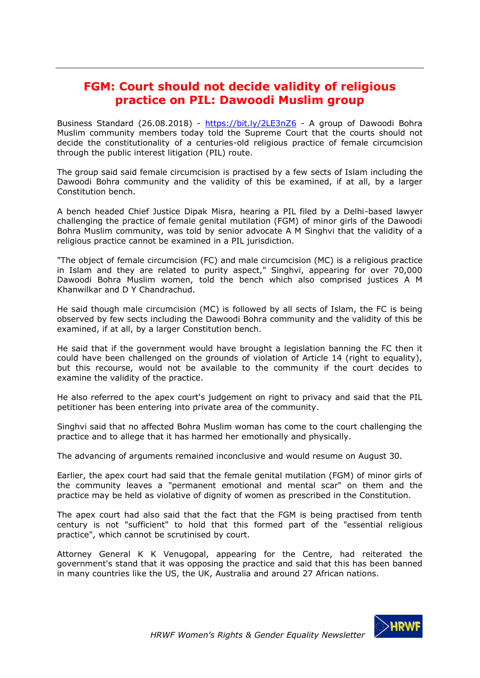### **FGM: Court should not decide validity of religious practice on PIL: Dawoodi Muslim group**

Business Standard (26.08.2018) - <https://bit.ly/2LE3nZ6> - A group of Dawoodi Bohra Muslim community members today told the Supreme Court that the courts should not decide the constitutionality of a centuries-old religious practice of female circumcision through the public interest litigation (PIL) route.

The group said said female circumcision is practised by a few sects of Islam including the Dawoodi Bohra community and the validity of this be examined, if at all, by a larger Constitution bench.

A bench headed Chief Justice Dipak Misra, hearing a PIL filed by a Delhi-based lawyer challenging the practice of female genital mutilation (FGM) of minor girls of the Dawoodi Bohra Muslim community, was told by senior advocate A M Singhvi that the validity of a religious practice cannot be examined in a PIL jurisdiction.

"The object of female circumcision (FC) and male circumcision (MC) is a religious practice in Islam and they are related to purity aspect," Singhvi, appearing for over 70,000 Dawoodi Bohra Muslim women, told the bench which also comprised justices A M Khanwilkar and D Y Chandrachud.

He said though male circumcision (MC) is followed by all sects of Islam, the FC is being observed by few sects including the Dawoodi Bohra community and the validity of this be examined, if at all, by a larger Constitution bench.

He said that if the government would have brought a legislation banning the FC then it could have been challenged on the grounds of violation of Article 14 (right to equality), but this recourse, would not be available to the community if the court decides to examine the validity of the practice.

He also referred to the apex court's judgement on right to privacy and said that the PIL petitioner has been entering into private area of the community.

Singhvi said that no affected Bohra Muslim woman has come to the court challenging the practice and to allege that it has harmed her emotionally and physically.

The advancing of arguments remained inconclusive and would resume on August 30.

Earlier, the apex court had said that the female genital mutilation (FGM) of minor girls of the community leaves a "permanent emotional and mental scar" on them and the practice may be held as violative of dignity of women as prescribed in the Constitution.

The apex court had also said that the fact that the FGM is being practised from tenth century is not "sufficient" to hold that this formed part of the "essential religious practice", which cannot be scrutinised by court.

Attorney General K K Venugopal, appearing for the Centre, had reiterated the government's stand that it was opposing the practice and said that this has been banned in many countries like the US, the UK, Australia and around 27 African nations.

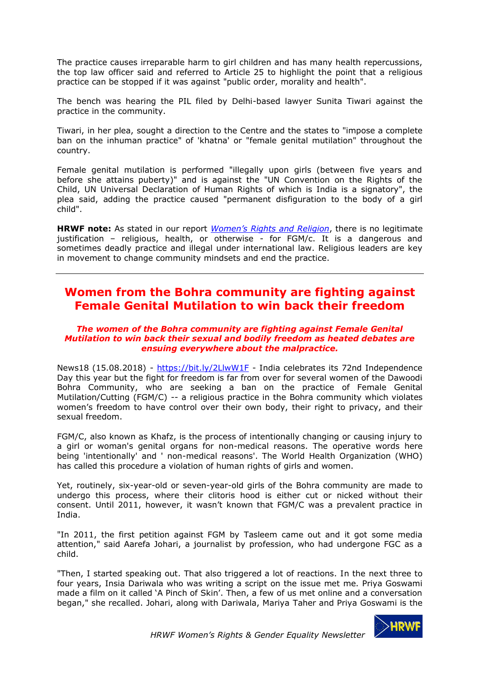The practice causes irreparable harm to girl children and has many health repercussions, the top law officer said and referred to Article 25 to highlight the point that a religious practice can be stopped if it was against "public order, morality and health".

The bench was hearing the PIL filed by Delhi-based lawyer Sunita Tiwari against the practice in the community.

Tiwari, in her plea, sought a direction to the Centre and the states to "impose a complete ban on the inhuman practice" of 'khatna' or "female genital mutilation" throughout the country.

Female genital mutilation is performed "illegally upon girls (between five years and before she attains puberty)" and is against the "UN Convention on the Rights of the Child, UN Universal Declaration of Human Rights of which is India is a signatory", the plea said, adding the practice caused "permanent disfiguration to the body of a girl child".

**HRWF note:** As stated in our report *[Women's Rights and Religion](http://hrwf.eu/wp-content/uploads/2018/07/WR_Religion_Full-report.pdf)*, there is no legitimate justification – religious, health, or otherwise - for FGM/c. It is a dangerous and sometimes deadly practice and illegal under international law. Religious leaders are key in movement to change community mindsets and end the practice.

### **Women from the Bohra community are fighting against Female Genital Mutilation to win back their freedom**

#### *The women of the Bohra community are fighting against Female Genital Mutilation to win back their sexual and bodily freedom as heated debates are ensuing everywhere about the malpractice.*

News18 (15.08.2018) - <https://bit.ly/2LlwW1F> - India celebrates its 72nd Independence Day this year but the fight for freedom is far from over for several women of the Dawoodi Bohra Community, who are seeking a ban on the practice of Female Genital Mutilation/Cutting (FGM/C) -- a religious practice in the Bohra community which violates women's freedom to have control over their own body, their right to privacy, and their sexual freedom.

FGM/C, also known as Khafz, is the process of intentionally changing or causing injury to a girl or woman's genital organs for non-medical reasons. The operative words here being 'intentionally' and ' non-medical reasons'. The World Health Organization (WHO) has called this procedure a violation of human rights of girls and women.

Yet, routinely, six-year-old or seven-year-old girls of the Bohra community are made to undergo this process, where their clitoris hood is either cut or nicked without their consent. Until 2011, however, it wasn't known that FGM/C was a prevalent practice in India.

"In 2011, the first petition against FGM by Tasleem came out and it got some media attention," said Aarefa Johari, a journalist by profession, who had undergone FGC as a child.

"Then, I started speaking out. That also triggered a lot of reactions. In the next three to four years, Insia Dariwala who was writing a script on the issue met me. Priya Goswami made a film on it called 'A Pinch of Skin'. Then, a few of us met online and a conversation began," she recalled. Johari, along with Dariwala, Mariya Taher and Priya Goswami is the

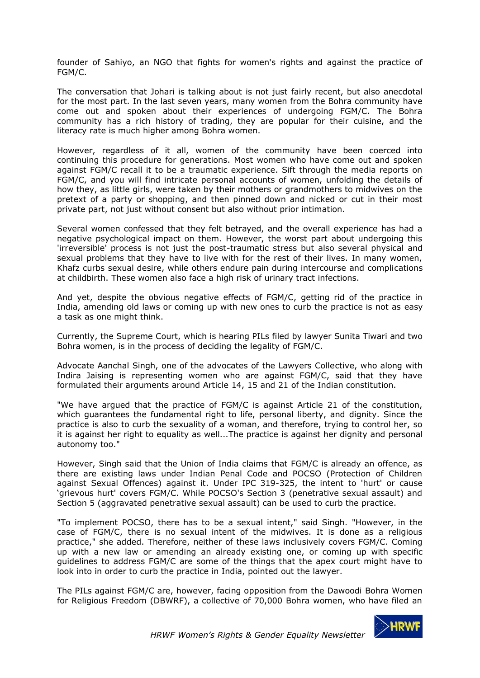founder of Sahiyo, an NGO that fights for women's rights and against the practice of FGM/C.

The conversation that Johari is talking about is not just fairly recent, but also anecdotal for the most part. In the last seven years, many women from the Bohra community have come out and spoken about their experiences of undergoing FGM/C. The Bohra community has a rich history of trading, they are popular for their cuisine, and the literacy rate is much higher among Bohra women.

However, regardless of it all, women of the community have been coerced into continuing this procedure for generations. Most women who have come out and spoken against FGM/C recall it to be a traumatic experience. Sift through the media reports on FGM/C, and you will find intricate personal accounts of women, unfolding the details of how they, as little girls, were taken by their mothers or grandmothers to midwives on the pretext of a party or shopping, and then pinned down and nicked or cut in their most private part, not just without consent but also without prior intimation.

Several women confessed that they felt betrayed, and the overall experience has had a negative psychological impact on them. However, the worst part about undergoing this 'irreversible' process is not just the post-traumatic stress but also several physical and sexual problems that they have to live with for the rest of their lives. In many women, Khafz curbs sexual desire, while others endure pain during intercourse and complications at childbirth. These women also face a high risk of urinary tract infections.

And yet, despite the obvious negative effects of FGM/C, getting rid of the practice in India, amending old laws or coming up with new ones to curb the practice is not as easy a task as one might think.

Currently, the Supreme Court, which is hearing PILs filed by lawyer Sunita Tiwari and two Bohra women, is in the process of deciding the legality of FGM/C.

Advocate Aanchal Singh, one of the advocates of the Lawyers Collective, who along with Indira Jaising is representing women who are against FGM/C, said that they have formulated their arguments around Article 14, 15 and 21 of the Indian constitution.

"We have argued that the practice of FGM/C is against Article 21 of the constitution, which guarantees the fundamental right to life, personal liberty, and dignity. Since the practice is also to curb the sexuality of a woman, and therefore, trying to control her, so it is against her right to equality as well...The practice is against her dignity and personal autonomy too."

However, Singh said that the Union of India claims that FGM/C is already an offence, as there are existing laws under Indian Penal Code and POCSO (Protection of Children against Sexual Offences) against it. Under IPC 319-325, the intent to 'hurt' or cause 'grievous hurt' covers FGM/C. While POCSO's Section 3 (penetrative sexual assault) and Section 5 (aggravated penetrative sexual assault) can be used to curb the practice.

"To implement POCSO, there has to be a sexual intent," said Singh. "However, in the case of FGM/C, there is no sexual intent of the midwives. It is done as a religious practice," she added. Therefore, neither of these laws inclusively covers FGM/C. Coming up with a new law or amending an already existing one, or coming up with specific guidelines to address FGM/C are some of the things that the apex court might have to look into in order to curb the practice in India, pointed out the lawyer.

The PILs against FGM/C are, however, facing opposition from the Dawoodi Bohra Women for Religious Freedom (DBWRF), a collective of 70,000 Bohra women, who have filed an

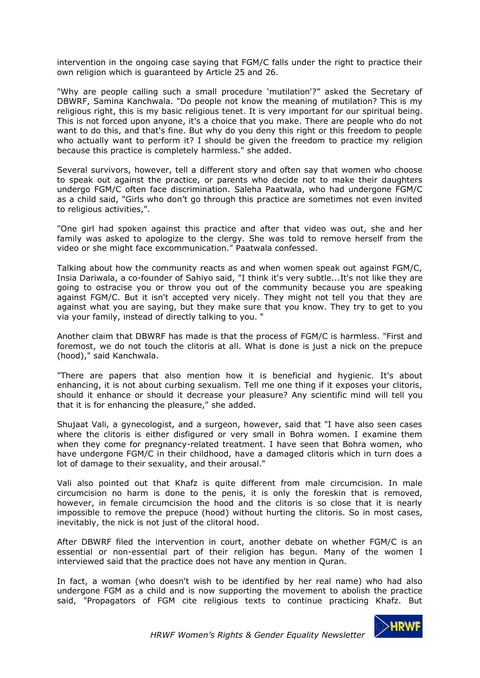intervention in the ongoing case saying that FGM/C falls under the right to practice their own religion which is guaranteed by Article 25 and 26.

"Why are people calling such a small procedure 'mutilation'?" asked the Secretary of DBWRF, Samina Kanchwala. "Do people not know the meaning of mutilation? This is my religious right, this is my basic religious tenet. It is very important for our spiritual being. This is not forced upon anyone, it's a choice that you make. There are people who do not want to do this, and that's fine. But why do you deny this right or this freedom to people who actually want to perform it? I should be given the freedom to practice my religion because this practice is completely harmless." she added.

Several survivors, however, tell a different story and often say that women who choose to speak out against the practice, or parents who decide not to make their daughters undergo FGM/C often face discrimination. Saleha Paatwala, who had undergone FGM/C as a child said, "Girls who don't go through this practice are sometimes not even invited to religious activities,".

"One girl had spoken against this practice and after that video was out, she and her family was asked to apologize to the clergy. She was told to remove herself from the video or she might face excommunication." Paatwala confessed.

Talking about how the community reacts as and when women speak out against FGM/C, Insia Dariwala, a co-founder of Sahiyo said, "I think it's very subtle...It's not like they are going to ostracise you or throw you out of the community because you are speaking against FGM/C. But it isn't accepted very nicely. They might not tell you that they are against what you are saying, but they make sure that you know. They try to get to you via your family, instead of directly talking to you. "

Another claim that DBWRF has made is that the process of FGM/C is harmless. "First and foremost, we do not touch the clitoris at all. What is done is just a nick on the prepuce (hood)," said Kanchwala.

"There are papers that also mention how it is beneficial and hygienic. It's about enhancing, it is not about curbing sexualism. Tell me one thing if it exposes your clitoris, should it enhance or should it decrease your pleasure? Any scientific mind will tell you that it is for enhancing the pleasure," she added.

Shujaat Vali, a gynecologist, and a surgeon, however, said that "I have also seen cases where the clitoris is either disfigured or very small in Bohra women. I examine them when they come for pregnancy-related treatment. I have seen that Bohra women, who have undergone FGM/C in their childhood, have a damaged clitoris which in turn does a lot of damage to their sexuality, and their arousal."

Vali also pointed out that Khafz is quite different from male circumcision. In male circumcision no harm is done to the penis, it is only the foreskin that is removed, however, in female circumcision the hood and the clitoris is so close that it is nearly impossible to remove the prepuce (hood) without hurting the clitoris. So in most cases, inevitably, the nick is not just of the clitoral hood.

After DBWRF filed the intervention in court, another debate on whether FGM/C is an essential or non-essential part of their religion has begun. Many of the women I interviewed said that the practice does not have any mention in Quran.

In fact, a woman (who doesn't wish to be identified by her real name) who had also undergone FGM as a child and is now supporting the movement to abolish the practice said, "Propagators of FGM cite religious texts to continue practicing Khafz. But

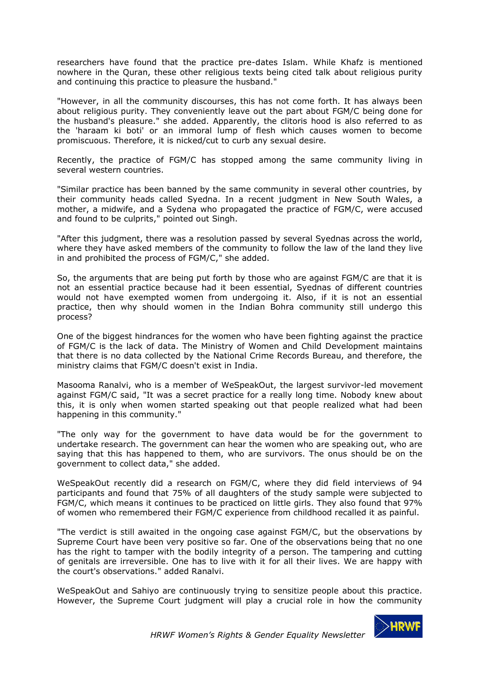researchers have found that the practice pre-dates Islam. While Khafz is mentioned nowhere in the Quran, these other religious texts being cited talk about religious purity and continuing this practice to pleasure the husband."

"However, in all the community discourses, this has not come forth. It has always been about religious purity. They conveniently leave out the part about FGM/C being done for the husband's pleasure." she added. Apparently, the clitoris hood is also referred to as the 'haraam ki boti' or an immoral lump of flesh which causes women to become promiscuous. Therefore, it is nicked/cut to curb any sexual desire.

Recently, the practice of FGM/C has stopped among the same community living in several western countries.

"Similar practice has been banned by the same community in several other countries, by their community heads called Syedna. In a recent judgment in New South Wales, a mother, a midwife, and a Sydena who propagated the practice of FGM/C, were accused and found to be culprits," pointed out Singh.

"After this judgment, there was a resolution passed by several Syednas across the world, where they have asked members of the community to follow the law of the land they live in and prohibited the process of FGM/C," she added.

So, the arguments that are being put forth by those who are against FGM/C are that it is not an essential practice because had it been essential, Syednas of different countries would not have exempted women from undergoing it. Also, if it is not an essential practice, then why should women in the Indian Bohra community still undergo this process?

One of the biggest hindrances for the women who have been fighting against the practice of FGM/C is the lack of data. The Ministry of Women and Child Development maintains that there is no data collected by the National Crime Records Bureau, and therefore, the ministry claims that FGM/C doesn't exist in India.

Masooma Ranalvi, who is a member of WeSpeakOut, the largest survivor-led movement against FGM/C said, "It was a secret practice for a really long time. Nobody knew about this, it is only when women started speaking out that people realized what had been happening in this community."

"The only way for the government to have data would be for the government to undertake research. The government can hear the women who are speaking out, who are saying that this has happened to them, who are survivors. The onus should be on the government to collect data," she added.

WeSpeakOut recently did a research on FGM/C, where they did field interviews of 94 participants and found that 75% of all daughters of the study sample were subjected to FGM/C, which means it continues to be practiced on little girls. They also found that 97% of women who remembered their FGM/C experience from childhood recalled it as painful.

"The verdict is still awaited in the ongoing case against FGM/C, but the observations by Supreme Court have been very positive so far. One of the observations being that no one has the right to tamper with the bodily integrity of a person. The tampering and cutting of genitals are irreversible. One has to live with it for all their lives. We are happy with the court's observations." added Ranalvi.

WeSpeakOut and Sahiyo are continuously trying to sensitize people about this practice. However, the Supreme Court judgment will play a crucial role in how the community

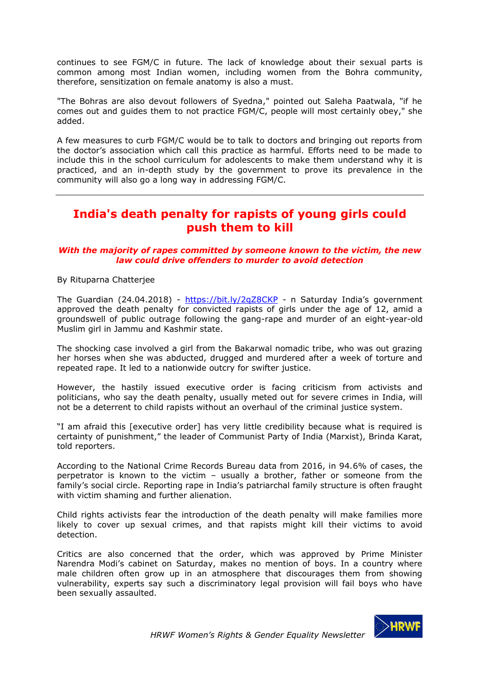continues to see FGM/C in future. The lack of knowledge about their sexual parts is common among most Indian women, including women from the Bohra community, therefore, sensitization on female anatomy is also a must.

"The Bohras are also devout followers of Syedna," pointed out Saleha Paatwala, "if he comes out and guides them to not practice FGM/C, people will most certainly obey," she added.

A few measures to curb FGM/C would be to talk to doctors and bringing out reports from the doctor's association which call this practice as harmful. Efforts need to be made to include this in the school curriculum for adolescents to make them understand why it is practiced, and an in-depth study by the government to prove its prevalence in the community will also go a long way in addressing FGM/C.

### **India's death penalty for rapists of young girls could push them to kill**

### *With the majority of rapes committed by someone known to the victim, the new law could drive offenders to murder to avoid detection*

By Rituparna Chatterjee

The Guardian (24.04.2018) - <https://bit.ly/2qZ8CKP> - n Saturday India's government approved the death penalty for convicted rapists of girls under the age of 12, amid a groundswell of public outrage following the gang-rape and murder of an eight-year-old Muslim girl in Jammu and Kashmir state.

The shocking case involved a girl from the Bakarwal nomadic tribe, who was out grazing her horses when she was abducted, drugged and murdered after a week of torture and repeated rape. It led to a nationwide outcry for swifter justice.

However, the hastily issued executive order is facing criticism from activists and politicians, who say the death penalty, usually meted out for severe crimes in India, will not be a deterrent to child rapists without an overhaul of the criminal justice system.

"I am afraid this [executive order] has very little credibility because what is required is certainty of punishment," the leader of Communist Party of India (Marxist), Brinda Karat, told reporters.

According to the National Crime Records Bureau data from 2016, in 94.6% of cases, the perpetrator is known to the victim – usually a brother, father or someone from the family's social circle. Reporting rape in India's patriarchal family structure is often fraught with victim shaming and further alienation.

Child rights activists fear the introduction of the death penalty will make families more likely to cover up sexual crimes, and that rapists might kill their victims to avoid detection.

Critics are also concerned that the order, which was approved by Prime Minister Narendra Modi's cabinet on Saturday, makes no mention of boys. In a country where male children often grow up in an atmosphere that discourages them from showing vulnerability, experts say such a discriminatory legal provision will fail boys who have been sexually assaulted.

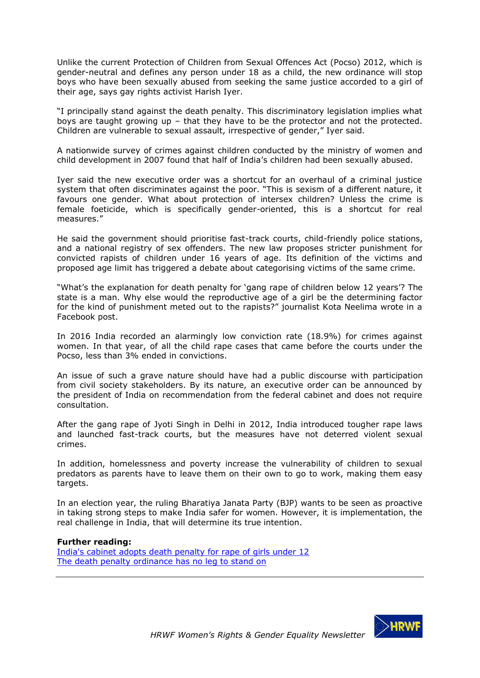Unlike the current Protection of Children from Sexual Offences Act (Pocso) 2012, which is gender-neutral and defines any person under 18 as a child, the new ordinance will stop boys who have been sexually abused from seeking the same justice accorded to a girl of their age, says gay rights activist Harish Iyer.

"I principally stand against the death penalty. This discriminatory legislation implies what boys are taught growing up – that they have to be the protector and not the protected. Children are vulnerable to sexual assault, irrespective of gender," Iyer said.

A nationwide survey of crimes against children conducted by the ministry of women and child development in 2007 found that half of India's children had been sexually abused.

Iyer said the new executive order was a shortcut for an overhaul of a criminal justice system that often discriminates against the poor. "This is sexism of a different nature, it favours one gender. What about protection of intersex children? Unless the crime is female foeticide, which is specifically gender-oriented, this is a shortcut for real measures."

He said the government should prioritise fast-track courts, child-friendly police stations, and a national registry of sex offenders. The new law proposes stricter punishment for convicted rapists of children under 16 years of age. Its definition of the victims and proposed age limit has triggered a debate about categorising victims of the same crime.

"What's the explanation for death penalty for 'gang rape of children below 12 years'? The state is a man. Why else would the reproductive age of a girl be the determining factor for the kind of punishment meted out to the rapists?" journalist Kota Neelima wrote in a Facebook post.

In 2016 India recorded an alarmingly low conviction rate (18.9%) for crimes against women. In that year, of all the child rape cases that came before the courts under the Pocso, less than 3% ended in convictions.

An issue of such a grave nature should have had a public discourse with participation from civil society stakeholders. By its nature, an executive order can be announced by the president of India on recommendation from the federal cabinet and does not require consultation.

After the gang rape of Jyoti Singh in Delhi in 2012, India introduced tougher rape laws and launched fast-track courts, but the measures have not deterred violent sexual crimes.

In addition, homelessness and poverty increase the vulnerability of children to sexual predators as parents have to leave them on their own to go to work, making them easy targets.

In an election year, the ruling Bharatiya Janata Party (BJP) wants to be seen as proactive in taking strong steps to make India safer for women. However, it is implementation, the real challenge in India, that will determine its true intention.

#### **Further reading:**

[India's cabinet adopts death penalty for rape of girls under 12](https://www.aljazeera.com/news/2018/04/india-cabinet-adopts-death-penalty-rape-girls-12-180421182808733.html) [The death penalty ordinance has no leg to stand on](https://thewire.in/women/death-penalty-myopic-ordinance)

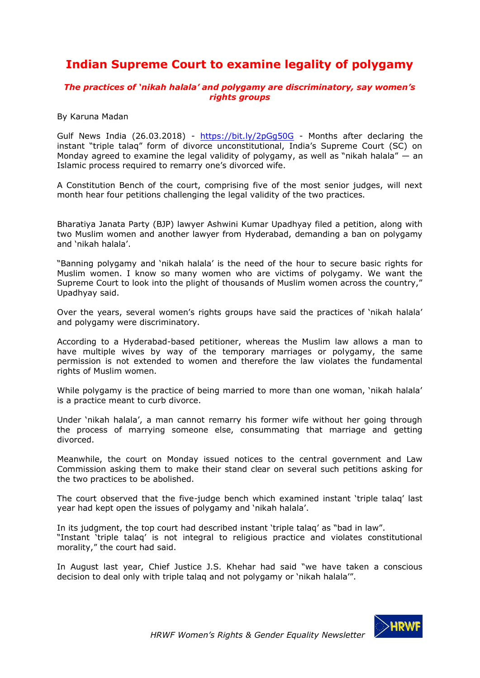# **Indian Supreme Court to examine legality of polygamy**

### *The practices of 'nikah halala' and polygamy are discriminatory, say women's rights groups*

#### By Karuna Madan

Gulf News India (26.03.2018) - https://bit.ly/2pGq50G - Months after declaring the instant "triple talaq" form of divorce unconstitutional, India's Supreme Court (SC) on Monday agreed to examine the legal validity of polygamy, as well as "nikah halala"  $-$  an Islamic process required to remarry one's divorced wife.

A Constitution Bench of the court, comprising five of the most senior judges, will next month hear four petitions challenging the legal validity of the two practices.

Bharatiya Janata Party (BJP) lawyer Ashwini Kumar Upadhyay filed a petition, along with two Muslim women and another lawyer from Hyderabad, demanding a ban on polygamy and 'nikah halala'.

"Banning polygamy and 'nikah halala' is the need of the hour to secure basic rights for Muslim women. I know so many women who are victims of polygamy. We want the Supreme Court to look into the plight of thousands of Muslim women across the country," Upadhyay said.

Over the years, several women's rights groups have said the practices of 'nikah halala' and polygamy were discriminatory.

According to a Hyderabad-based petitioner, whereas the Muslim law allows a man to have multiple wives by way of the temporary marriages or polygamy, the same permission is not extended to women and therefore the law violates the fundamental rights of Muslim women.

While polygamy is the practice of being married to more than one woman, 'nikah halala' is a practice meant to curb divorce.

Under 'nikah halala', a man cannot remarry his former wife without her going through the process of marrying someone else, consummating that marriage and getting divorced.

Meanwhile, the court on Monday issued notices to the central government and Law Commission asking them to make their stand clear on several such petitions asking for the two practices to be abolished.

The court observed that the five-judge bench which examined instant 'triple talaq' last year had kept open the issues of polygamy and 'nikah halala'.

In its judgment, the top court had described instant 'triple talaq' as "bad in law". "Instant 'triple talaq' is not integral to religious practice and violates constitutional morality," the court had said.

In August last year, Chief Justice J.S. Khehar had said "we have taken a conscious decision to deal only with triple talaq and not polygamy or 'nikah halala'".

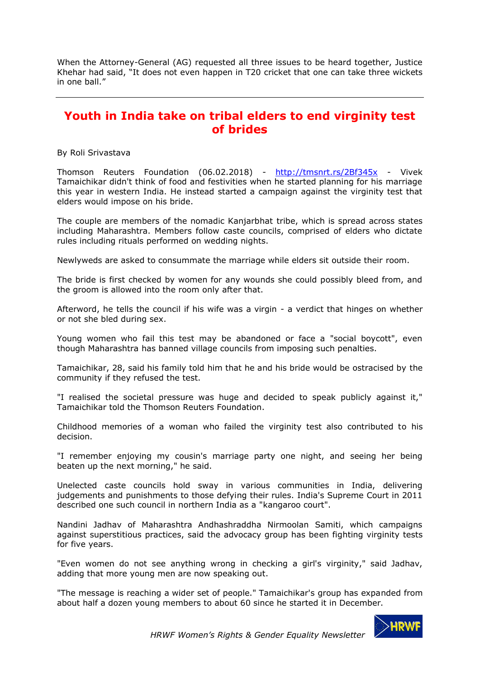When the Attorney-General (AG) requested all three issues to be heard together, Justice Khehar had said, "It does not even happen in T20 cricket that one can take three wickets in one ball."

### **Youth in India take on tribal elders to end virginity test of brides**

By Roli Srivastava

Thomson Reuters Foundation (06.02.2018) - <http://tmsnrt.rs/2Bf345x> - Vivek Tamaichikar didn't think of food and festivities when he started planning for his marriage this year in western India. He instead started a campaign against the virginity test that elders would impose on his bride.

The couple are members of the nomadic Kanjarbhat tribe, which is spread across states including Maharashtra. Members follow caste councils, comprised of elders who dictate rules including rituals performed on wedding nights.

Newlyweds are asked to consummate the marriage while elders sit outside their room.

The bride is first checked by women for any wounds she could possibly bleed from, and the groom is allowed into the room only after that.

Afterword, he tells the council if his wife was a virgin - a verdict that hinges on whether or not she bled during sex.

Young women who fail this test may be abandoned or face a "social boycott", even though Maharashtra has banned village councils from imposing such penalties.

Tamaichikar, 28, said his family told him that he and his bride would be ostracised by the community if they refused the test.

"I realised the societal pressure was huge and decided to speak publicly against it," Tamaichikar told the Thomson Reuters Foundation.

Childhood memories of a woman who failed the virginity test also contributed to his decision.

"I remember enjoying my cousin's marriage party one night, and seeing her being beaten up the next morning," he said.

Unelected caste councils hold sway in various communities in India, delivering judgements and punishments to those defying their rules. India's Supreme Court in 2011 described one such council in northern India as a "kangaroo court".

Nandini Jadhav of Maharashtra Andhashraddha Nirmoolan Samiti, which campaigns against superstitious practices, said the advocacy group has been fighting virginity tests for five years.

"Even women do not see anything wrong in checking a girl's virginity," said Jadhav, adding that more young men are now speaking out.

"The message is reaching a wider set of people." Tamaichikar's group has expanded from about half a dozen young members to about 60 since he started it in December.

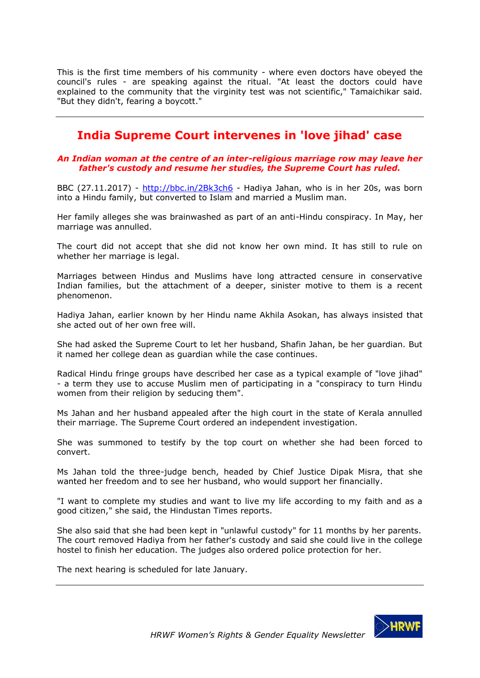This is the first time members of his community - where even doctors have obeyed the council's rules - are speaking against the ritual. "At least the doctors could have explained to the community that the virginity test was not scientific," Tamaichikar said. "But they didn't, fearing a boycott."

# **India Supreme Court intervenes in 'love jihad' case**

#### *An Indian woman at the centre of an inter-religious marriage row may leave her father's custody and resume her studies, the Supreme Court has ruled.*

BBC (27.11.2017) - <http://bbc.in/2Bk3ch6> - Hadiya Jahan, who is in her 20s, was born into a Hindu family, but converted to Islam and married a Muslim man.

Her family alleges she was brainwashed as part of an anti-Hindu conspiracy. In May, her marriage was annulled.

The court did not accept that she did not know her own mind. It has still to rule on whether her marriage is legal.

Marriages between Hindus and Muslims have long attracted censure in conservative Indian families, but the attachment of a deeper, sinister motive to them is a recent phenomenon.

Hadiya Jahan, earlier known by her Hindu name Akhila Asokan, has always insisted that she acted out of her own free will.

She had asked the Supreme Court to let her husband, Shafin Jahan, be her guardian. But it named her college dean as guardian while the case continues.

Radical Hindu fringe groups have described her case as a typical example of "love jihad" - a term they use to accuse Muslim men of participating in a "conspiracy to turn Hindu women from their religion by seducing them".

Ms Jahan and her husband appealed after the high court in the state of Kerala annulled their marriage. The Supreme Court ordered an independent investigation.

She was summoned to testify by the top court on whether she had been forced to convert.

Ms Jahan told the three-judge bench, headed by Chief Justice Dipak Misra, that she wanted her freedom and to see her husband, who would support her financially.

"I want to complete my studies and want to live my life according to my faith and as a good citizen," she said, the Hindustan Times reports.

She also said that she had been kept in "unlawful custody" for 11 months by her parents. The court removed Hadiya from her father's custody and said she could live in the college hostel to finish her education. The judges also ordered police protection for her.

The next hearing is scheduled for late January.

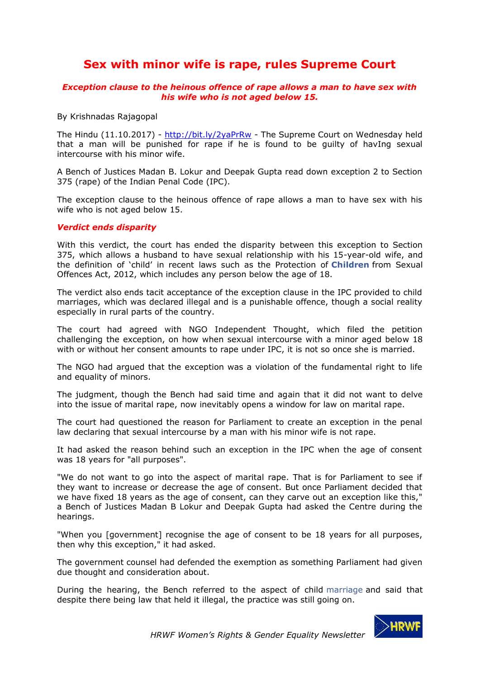### **Sex with minor wife is rape, rules Supreme Court**

### *Exception clause to the heinous offence of rape allows a man to have sex with his wife who is not aged below 15.*

By Krishnadas Rajagopal

The Hindu (11.10.2017) - <http://bit.ly/2yaPrRw> - The Supreme Court on Wednesday held that a man will be punished for rape if he is found to be guilty of havIng sexual intercourse with his minor wife.

A Bench of Justices Madan B. Lokur and Deepak Gupta read down exception 2 to Section 375 (rape) of the Indian Penal Code (IPC).

The exception clause to the heinous offence of rape allows a man to have sex with his wife who is not aged below 15.

#### *Verdict ends disparity*

With this verdict, the court has ended the disparity between this exception to Section 375, which allows a husband to have sexual relationship with his 15-year-old wife, and the definition of 'child' in recent laws such as the Protection of **[Children](http://www.thehindu.com/tag/1548-1546-1510/children?utm=bodytag)** from Sexual Offences Act, 2012, which includes any person below the age of 18.

The verdict also ends tacit acceptance of the exception clause in the IPC provided to child marriages, which was declared illegal and is a punishable offence, though a social reality especially in rural parts of the country.

The court had agreed with NGO Independent Thought, which filed the petition challenging the exception, on how when sexual intercourse with a minor aged below 18 with or without her consent amounts to rape under IPC, it is not so once she is married.

The NGO had argued that the exception was a violation of the fundamental right to life and equality of minors.

The judgment, though the Bench had said time and again that it did not want to delve into the issue of marital rape, now inevitably opens a window for law on marital rape.

The court had questioned the reason for Parliament to create an exception in the penal law declaring that sexual intercourse by a man with his minor wife is not rape.

It had asked the reason behind such an exception in the IPC when the age of consent was 18 years for "all purposes".

"We do not want to go into the aspect of marital rape. That is for Parliament to see if they want to increase or decrease the age of consent. But once Parliament decided that we have fixed 18 years as the age of consent, can they carve out an exception like this," a Bench of Justices Madan B Lokur and Deepak Gupta had asked the Centre during the hearings.

"When you [government] recognise the age of consent to be 18 years for all purposes, then why this exception," it had asked.

The government counsel had defended the exemption as something Parliament had given due thought and consideration about.

During the hearing, the Bench referred to the aspect of child [marriage](http://www.thehindu.com/tag/1531-1527-1510/marriage?utm=bodytag) and said that despite there being law that held it illegal, the practice was still going on.

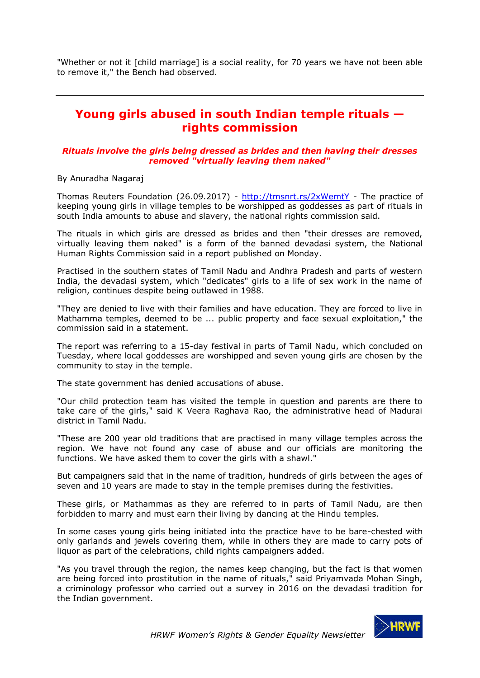"Whether or not it [child marriage] is a social reality, for 70 years we have not been able to remove it," the Bench had observed.

### **Young girls abused in south Indian temple rituals rights commission**

### *Rituals involve the girls being dressed as brides and then having their dresses removed "virtually leaving them naked"*

By Anuradha Nagaraj

Thomas Reuters Foundation (26.09.2017) - <http://tmsnrt.rs/2xWemtY> - The practice of keeping young girls in village temples to be worshipped as goddesses as part of rituals in south India amounts to abuse and slavery, the national rights commission said.

The rituals in which girls are dressed as brides and then "their dresses are removed, virtually leaving them naked" is a form of the banned devadasi system, the National Human Rights Commission said in a report published on Monday.

Practised in the southern states of Tamil Nadu and Andhra Pradesh and parts of western India, the devadasi system, which "dedicates" girls to a life of sex work in the name of religion, continues despite being outlawed in 1988.

"They are denied to live with their families and have education. They are forced to live in Mathamma temples, deemed to be ... public property and face sexual exploitation," the commission said in a statement.

The report was referring to a 15-day festival in parts of Tamil Nadu, which concluded on Tuesday, where local goddesses are worshipped and seven young girls are chosen by the community to stay in the temple.

The state government has denied accusations of abuse.

"Our child protection team has visited the temple in question and parents are there to take care of the girls," said K Veera Raghava Rao, the administrative head of Madurai district in Tamil Nadu.

"These are 200 year old traditions that are practised in many village temples across the region. We have not found any case of abuse and our officials are monitoring the functions. We have asked them to cover the girls with a shawl."

But campaigners said that in the name of tradition, hundreds of girls between the ages of seven and 10 years are made to stay in the temple premises during the festivities.

These girls, or Mathammas as they are referred to in parts of Tamil Nadu, are then forbidden to marry and must earn their living by dancing at the Hindu temples.

In some cases young girls being initiated into the practice have to be bare-chested with only garlands and jewels covering them, while in others they are made to carry pots of liquor as part of the celebrations, child rights campaigners added.

"As you travel through the region, the names keep changing, but the fact is that women are being forced into prostitution in the name of rituals," said Priyamvada Mohan Singh, a criminology professor who carried out a survey in 2016 on the devadasi tradition for the Indian government.

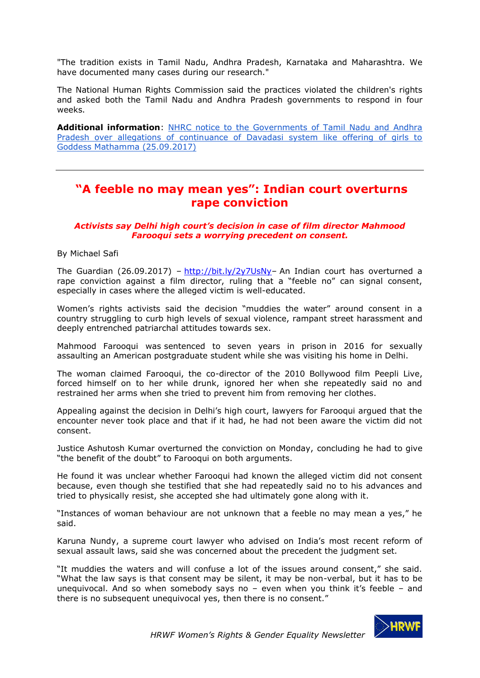"The tradition exists in Tamil Nadu, Andhra Pradesh, Karnataka and Maharashtra. We have documented many cases during our research."

The National Human Rights Commission said the practices violated the children's rights and asked both the Tamil Nadu and Andhra Pradesh governments to respond in four weeks.

Additional information: NHRC notice to the Governments of Tamil Nadu and Andhra [Pradesh over allegations of continuance of Davadasi system like offering of girls to](http://nhrc.nic.in/dispArchive.asp?fno=34365)  [Goddess Mathamma \(25.09.2017\)](http://nhrc.nic.in/dispArchive.asp?fno=34365)

### **"A feeble no may mean yes": Indian court overturns rape conviction**

### *Activists say Delhi high court's decision in case of film director Mahmood Farooqui sets a worrying precedent on consent.*

By Michael Safi

The Guardian (26.09.2017) –  $\frac{http://bit.ly/2y7UsNy \frac{http://bit.ly/2y7UsNy \frac{http://bit.ly/2y7UsNy-$  An Indian court has overturned a rape conviction against a film director, ruling that a "feeble no" can signal consent, especially in cases where the alleged victim is well-educated.

Women's rights activists said the decision "muddies the water" around consent in a country struggling to curb high levels of sexual violence, rampant street harassment and deeply entrenched patriarchal attitudes towards sex.

Mahmood Farooqui was sentenced to seven years in prison in 2016 for sexually assaulting an American postgraduate student while she was visiting his home in Delhi.

The woman claimed Farooqui, the co-director of the 2010 Bollywood film Peepli Live, forced himself on to her while drunk, ignored her when she repeatedly said no and restrained her arms when she tried to prevent him from removing her clothes.

Appealing against the decision in Delhi's high court, lawyers for Farooqui argued that the encounter never took place and that if it had, he had not been aware the victim did not consent.

Justice Ashutosh Kumar overturned the conviction on Monday, concluding he had to give "the benefit of the doubt" to Farooqui on both arguments.

He found it was unclear whether Farooqui had known the alleged victim did not consent because, even though she testified that she had repeatedly said no to his advances and tried to physically resist, she accepted she had ultimately gone along with it.

"Instances of woman behaviour are not unknown that a feeble no may mean a yes," he said.

Karuna Nundy, a supreme court lawyer who advised on India's most recent reform of sexual assault laws, said she was concerned about the precedent the judgment set.

"It muddies the waters and will confuse a lot of the issues around consent," she said. "What the law says is that consent may be silent, it may be non-verbal, but it has to be unequivocal. And so when somebody says no  $-$  even when you think it's feeble  $-$  and there is no subsequent unequivocal yes, then there is no consent."

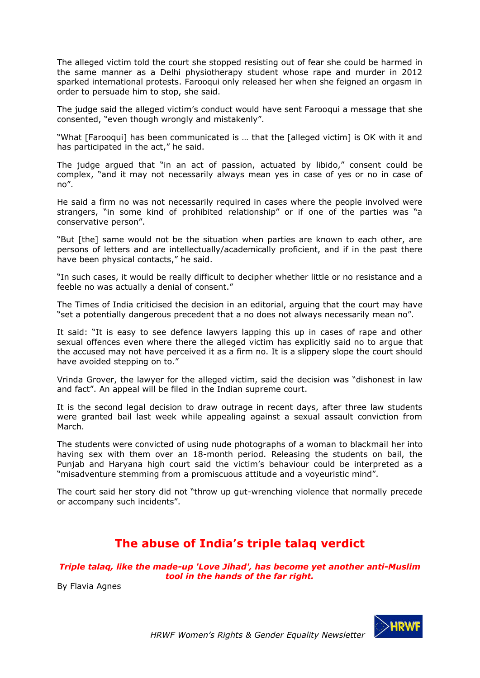The alleged victim told the court she stopped resisting out of fear she could be harmed in the same manner as a Delhi physiotherapy student whose rape and murder in 2012 sparked international protests. Farooqui only released her when she feigned an orgasm in order to persuade him to stop, she said.

The judge said the alleged victim's conduct would have sent Farooqui a message that she consented, "even though wrongly and mistakenly".

"What [Farooqui] has been communicated is … that the [alleged victim] is OK with it and has participated in the act," he said.

The judge argued that "in an act of passion, actuated by libido," consent could be complex, "and it may not necessarily always mean yes in case of yes or no in case of no".

He said a firm no was not necessarily required in cases where the people involved were strangers, "in some kind of prohibited relationship" or if one of the parties was "a conservative person".

"But [the] same would not be the situation when parties are known to each other, are persons of letters and are intellectually/academically proficient, and if in the past there have been physical contacts," he said.

"In such cases, it would be really difficult to decipher whether little or no resistance and a feeble no was actually a denial of consent."

The Times of India criticised the decision in an editorial, arguing that the court may have "set a potentially dangerous precedent that a no does not always necessarily mean no".

It said: "It is easy to see defence lawyers lapping this up in cases of rape and other sexual offences even where there the alleged victim has explicitly said no to argue that the accused may not have perceived it as a firm no. It is a slippery slope the court should have avoided stepping on to."

Vrinda Grover, the lawyer for the alleged victim, said the decision was "dishonest in law and fact". An appeal will be filed in the Indian supreme court.

It is the second legal decision to draw outrage in recent days, after three law students were granted bail last week while appealing against a sexual assault conviction from March.

The students were convicted of using nude photographs of a woman to blackmail her into having sex with them over an 18-month period. Releasing the students on bail, the Punjab and Haryana high court said the victim's behaviour could be interpreted as a "misadventure stemming from a promiscuous attitude and a voyeuristic mind".

The court said her story did not "throw up gut-wrenching violence that normally precede or accompany such incidents".

### **The abuse of India's triple talaq verdict**

*Triple talaq, like the made-up 'Love Jihad', has become yet another anti-Muslim tool in the hands of the far right.*

By Flavia Agnes

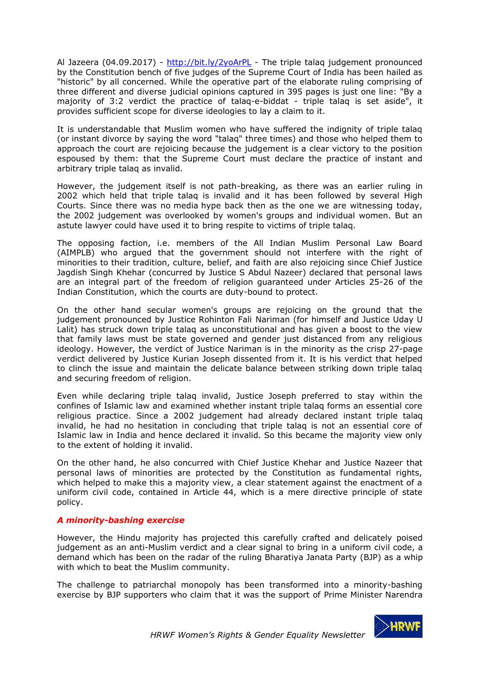Al Jazeera (04.09.2017) - <http://bit.ly/2yoArPL> - The triple talaq judgement pronounced by the Constitution bench of five judges of the Supreme Court of India has been hailed as "historic" by all concerned. While the operative part of the elaborate ruling comprising of three different and diverse judicial opinions captured in 395 pages is just one line: "By a majority of 3:2 verdict the practice of talaq-e-biddat - triple talaq is set aside", it provides sufficient scope for diverse ideologies to lay a claim to it.

It is understandable that Muslim women who have suffered the indignity of triple talaq (or instant divorce by saying the word "talaq" three times) and those who helped them to approach the court are rejoicing because the judgement is a clear victory to the position espoused by them: that the Supreme Court must declare the practice of instant and arbitrary triple talaq as invalid.

However, the judgement itself is not path-breaking, as there was an earlier ruling in 2002 which held that triple talaq is invalid and it has been followed by several High Courts. Since there was no media hype back then as the one we are witnessing today, the 2002 judgement was overlooked by women's groups and individual women. But an astute lawyer could have used it to bring respite to victims of triple talaq.

The opposing faction, i.e. members of the All Indian Muslim Personal Law Board (AIMPLB) who argued that the government should not interfere with the right of minorities to their tradition, culture, belief, and faith are also rejoicing since Chief Justice Jagdish Singh Khehar (concurred by Justice S Abdul Nazeer) declared that personal laws are an integral part of the freedom of religion guaranteed under Articles 25-26 of the Indian Constitution, which the courts are duty-bound to protect.

On the other hand secular women's groups are rejoicing on the ground that the judgement pronounced by Justice Rohinton Fali Nariman (for himself and Justice Uday U Lalit) has struck down triple talaq as unconstitutional and has given a boost to the view that family laws must be state governed and gender just distanced from any religious ideology. However, the verdict of Justice Nariman is in the minority as the crisp 27-page verdict delivered by Justice Kurian Joseph dissented from it. It is his verdict that helped to clinch the issue and maintain the delicate balance between striking down triple talaq and securing freedom of religion.

Even while declaring triple talaq invalid, Justice Joseph preferred to stay within the confines of Islamic law and examined whether instant triple talaq forms an essential core religious practice. Since a 2002 judgement had already declared instant triple talaq invalid, he had no hesitation in concluding that triple talaq is not an essential core of Islamic law in India and hence declared it invalid. So this became the majority view only to the extent of holding it invalid.

On the other hand, he also concurred with Chief Justice Khehar and Justice Nazeer that personal laws of minorities are protected by the Constitution as fundamental rights, which helped to make this a majority view, a clear statement against the enactment of a uniform civil code, contained in Article 44, which is a mere directive principle of state policy.

### *A minority-bashing exercise*

However, the Hindu majority has projected this carefully crafted and delicately poised judgement as an anti-Muslim verdict and a clear signal to bring in a uniform civil code, a demand which has been on the radar of the ruling Bharatiya Janata Party (BJP) as a whip with which to beat the Muslim community.

The challenge to patriarchal monopoly has been transformed into a minority-bashing exercise by BJP supporters who claim that it was the support of Prime Minister Narendra

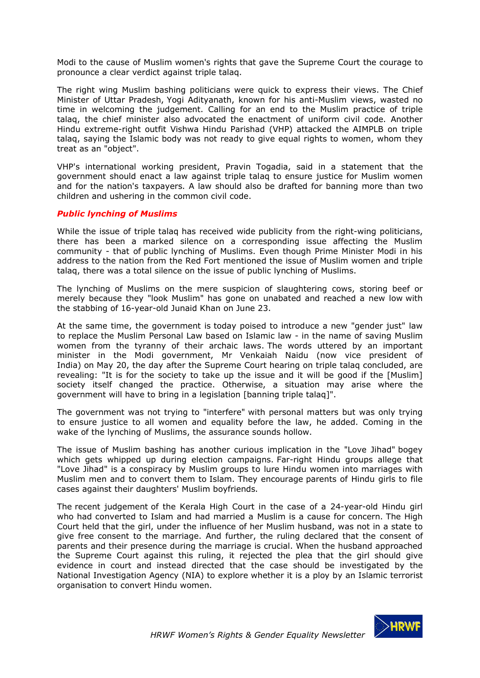Modi to the cause of Muslim women's rights that gave the Supreme Court the courage to pronounce a clear verdict against triple talaq.

The right wing Muslim bashing politicians were quick to express their views. The Chief Minister of Uttar Pradesh, Yogi Adityanath, known for his anti-Muslim views, wasted no time in welcoming the judgement. Calling for an end to the Muslim practice of triple talaq, the chief minister also advocated the enactment of uniform civil code. Another Hindu extreme-right outfit Vishwa Hindu Parishad (VHP) attacked the AIMPLB on triple talaq, saying the Islamic body was not ready to give equal rights to women, whom they treat as an "object".

VHP's international working president, Pravin Togadia, said in a statement that the government should enact a law against triple talaq to ensure justice for Muslim women and for the nation's taxpayers. A law should also be drafted for banning more than two children and ushering in the common civil code.

### *Public lynching of Muslims*

While the issue of triple talaq has received wide publicity from the right-wing politicians, there has been a marked silence on a corresponding issue affecting the Muslim community - that of public lynching of Muslims. Even though Prime Minister Modi in his address to the nation from the Red Fort mentioned the issue of Muslim women and triple talaq, there was a total silence on the issue of public lynching of Muslims.

The lynching of Muslims on the mere suspicion of slaughtering cows, storing beef or merely because they "look Muslim" has gone on unabated and reached a new low with the stabbing of 16-year-old Junaid Khan on June 23.

At the same time, the government is today poised to introduce a new "gender just" law to replace the Muslim Personal Law based on Islamic law - in the name of saving Muslim women from the tyranny of their archaic laws. The words uttered by an important minister in the Modi government, Mr Venkaiah Naidu (now vice president of India) on May 20, the day after the Supreme Court hearing on triple talaq concluded, are revealing: "It is for the society to take up the issue and it will be good if the [Muslim] society itself changed the practice. Otherwise, a situation may arise where the government will have to bring in a legislation [banning triple talaq]".

The government was not trying to "interfere" with personal matters but was only trying to ensure justice to all women and equality before the law, he added. Coming in the wake of the lynching of Muslims, the assurance sounds hollow.

The issue of Muslim bashing has another curious implication in the "Love Jihad" bogey which gets whipped up during election campaigns. Far-right Hindu groups allege that "Love Jihad" is a conspiracy by Muslim groups to lure Hindu women into marriages with Muslim men and to convert them to Islam. They encourage parents of Hindu girls to file cases against their daughters' Muslim boyfriends.

The recent judgement of the Kerala High Court in the case of a 24-year-old Hindu girl who had converted to Islam and had married a Muslim is a cause for concern. The High Court held that the girl, under the influence of her Muslim husband, was not in a state to give free consent to the marriage. And further, the ruling declared that the consent of parents and their presence during the marriage is crucial. When the husband approached the Supreme Court against this ruling, it rejected the plea that the girl should give evidence in court and instead directed that the case should be investigated by the National Investigation Agency (NIA) to explore whether it is a ploy by an Islamic terrorist organisation to convert Hindu women.

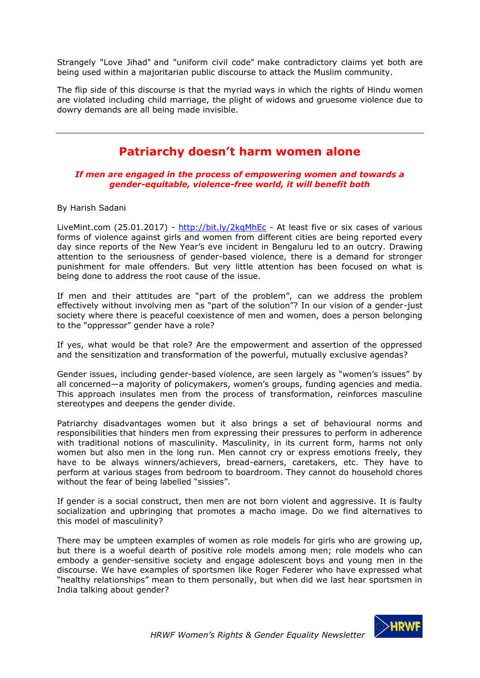Strangely "Love Jihad" and "uniform civil code" make contradictory claims yet both are being used within a majoritarian public discourse to attack the Muslim community.

The flip side of this discourse is that the myriad ways in which the rights of Hindu women are violated including child marriage, the plight of widows and gruesome violence due to dowry demands are all being made invisible.

### **Patriarchy doesn't harm women alone**

### *If men are engaged in the process of empowering women and towards a gender-equitable, violence-free world, it will benefit both*

By Harish Sadani

LiveMint.com (25.01.2017) - <http://bit.ly/2kqMhEc> - At least five or six cases of various forms of violence against girls and women from different cities are being reported every day since reports of the New Year's eve incident in Bengaluru led to an outcry. Drawing attention to the seriousness of gender-based violence, there is a demand for stronger punishment for male offenders. But very little attention has been focused on what is being done to address the root cause of the issue.

If men and their attitudes are "part of the problem", can we address the problem effectively without involving men as "part of the solution"? In our vision of a gender-just society where there is peaceful coexistence of men and women, does a person belonging to the "oppressor" gender have a role?

If yes, what would be that role? Are the empowerment and assertion of the oppressed and the sensitization and transformation of the powerful, mutually exclusive agendas?

Gender issues, including gender-based violence, are seen largely as "women's issues" by all concerned—a majority of policymakers, women's groups, funding agencies and media. This approach insulates men from the process of transformation, reinforces masculine stereotypes and deepens the gender divide.

Patriarchy disadvantages women but it also brings a set of behavioural norms and responsibilities that hinders men from expressing their pressures to perform in adherence with traditional notions of masculinity. Masculinity, in its current form, harms not only women but also men in the long run. Men cannot cry or express emotions freely, they have to be always winners/achievers, bread-earners, caretakers, etc. They have to perform at various stages from bedroom to boardroom. They cannot do household chores without the fear of being labelled "sissies".

If gender is a social construct, then men are not born violent and aggressive. It is faulty socialization and upbringing that promotes a macho image. Do we find alternatives to this model of masculinity?

There may be umpteen examples of women as role models for girls who are growing up, but there is a woeful dearth of positive role models among men; role models who can embody a gender-sensitive society and engage adolescent boys and young men in the discourse. We have examples of sportsmen like Roger Federer who have expressed what "healthy relationships" mean to them personally, but when did we last hear sportsmen in India talking about gender?

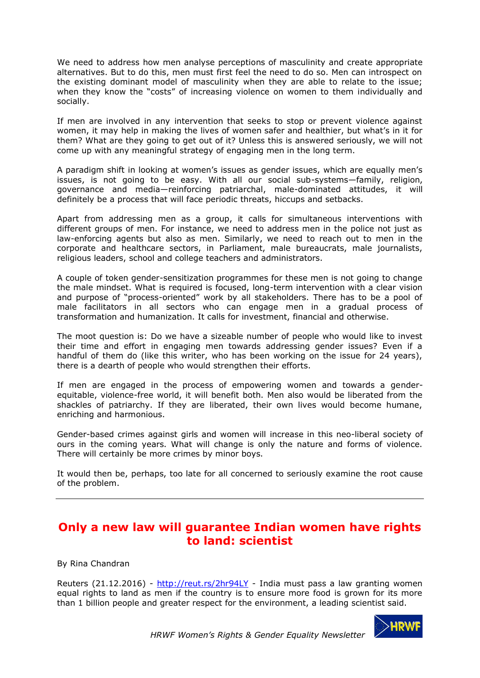We need to address how men analyse perceptions of masculinity and create appropriate alternatives. But to do this, men must first feel the need to do so. Men can introspect on the existing dominant model of masculinity when they are able to relate to the issue; when they know the "costs" of increasing violence on women to them individually and socially.

If men are involved in any intervention that seeks to stop or prevent violence against women, it may help in making the lives of women safer and healthier, but what's in it for them? What are they going to get out of it? Unless this is answered seriously, we will not come up with any meaningful strategy of engaging men in the long term.

A paradigm shift in looking at women's issues as gender issues, which are equally men's issues, is not going to be easy. With all our social sub-systems—family, religion, governance and media—reinforcing patriarchal, male-dominated attitudes, it will definitely be a process that will face periodic threats, hiccups and setbacks.

Apart from addressing men as a group, it calls for simultaneous interventions with different groups of men. For instance, we need to address men in the police not just as law-enforcing agents but also as men. Similarly, we need to reach out to men in the corporate and healthcare sectors, in Parliament, male bureaucrats, male journalists, religious leaders, school and college teachers and administrators.

A couple of token gender-sensitization programmes for these men is not going to change the male mindset. What is required is focused, long-term intervention with a clear vision and purpose of "process-oriented" work by all stakeholders. There has to be a pool of male facilitators in all sectors who can engage men in a gradual process of transformation and humanization. It calls for investment, financial and otherwise.

The moot question is: Do we have a sizeable number of people who would like to invest their time and effort in engaging men towards addressing gender issues? Even if a handful of them do (like this writer, who has been working on the issue for 24 years), there is a dearth of people who would strengthen their efforts.

If men are engaged in the process of empowering women and towards a genderequitable, violence-free world, it will benefit both. Men also would be liberated from the shackles of patriarchy. If they are liberated, their own lives would become humane, enriching and harmonious.

Gender-based crimes against girls and women will increase in this neo-liberal society of ours in the coming years. What will change is only the nature and forms of violence. There will certainly be more crimes by minor boys.

It would then be, perhaps, too late for all concerned to seriously examine the root cause of the problem.

### **Only a new law will guarantee Indian women have rights to land: scientist**

By Rina Chandran

Reuters (21.12.2016) - <http://reut.rs/2hr94LY> - India must pass a law granting women equal rights to land as men if the country is to ensure more food is grown for its more than 1 billion people and greater respect for the environment, a leading scientist said.

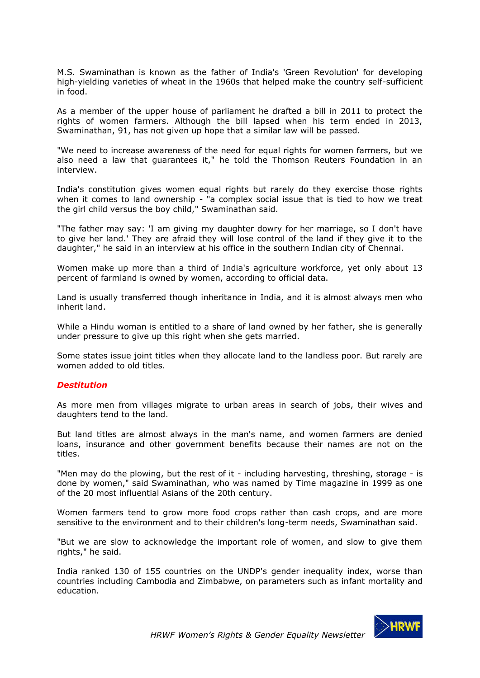M.S. Swaminathan is known as the father of India's 'Green Revolution' for developing high-yielding varieties of wheat in the 1960s that helped make the country self-sufficient in food.

As a member of the upper house of parliament he drafted a bill in 2011 to protect the rights of women farmers. Although the bill lapsed when his term ended in 2013, Swaminathan, 91, has not given up hope that a similar law will be passed.

"We need to increase awareness of the need for equal rights for women farmers, but we also need a law that guarantees it," he told the Thomson Reuters Foundation in an interview.

India's constitution gives women equal rights but rarely do they exercise those rights when it comes to land ownership - "a complex social issue that is tied to how we treat the girl child versus the boy child," Swaminathan said.

"The father may say: 'I am giving my daughter dowry for her marriage, so I don't have to give her land.' They are afraid they will lose control of the land if they give it to the daughter," he said in an interview at his office in the southern Indian city of Chennai.

Women make up more than a third of India's agriculture workforce, yet only about 13 percent of farmland is owned by women, according to official data.

Land is usually transferred though inheritance in India, and it is almost always men who inherit land.

While a Hindu woman is entitled to a share of land owned by her father, she is generally under pressure to give up this right when she gets married.

Some states issue joint titles when they allocate land to the landless poor. But rarely are women added to old titles.

#### *Destitution*

As more men from villages migrate to urban areas in search of jobs, their wives and daughters tend to the land.

But land titles are almost always in the man's name, and women farmers are denied loans, insurance and other government benefits because their names are not on the titles.

"Men may do the plowing, but the rest of it - including harvesting, threshing, storage - is done by women," said Swaminathan, who was named by Time magazine in 1999 as one of the 20 most influential Asians of the 20th century.

Women farmers tend to grow more food crops rather than cash crops, and are more sensitive to the environment and to their children's long-term needs, Swaminathan said.

"But we are slow to acknowledge the important role of women, and slow to give them rights," he said.

India ranked 130 of 155 countries on the UNDP's gender inequality index, worse than countries including Cambodia and Zimbabwe, on parameters such as infant mortality and education.

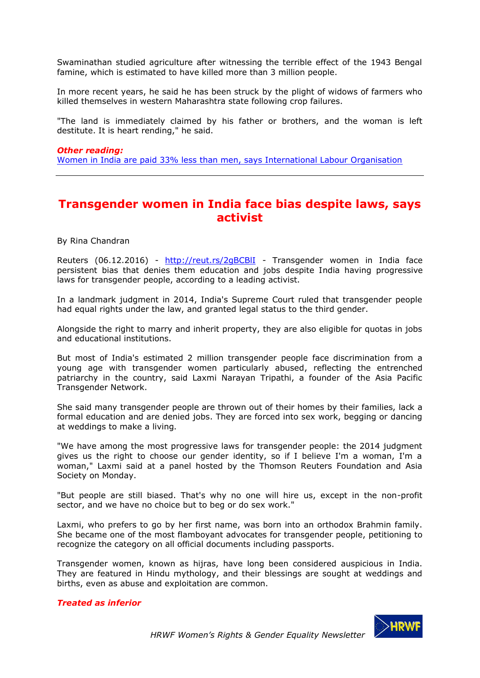Swaminathan studied agriculture after witnessing the terrible effect of the 1943 Bengal famine, which is estimated to have killed more than 3 million people.

In more recent years, he said he has been struck by the plight of widows of farmers who killed themselves in western Maharashtra state following crop failures.

"The land is immediately claimed by his father or brothers, and the woman is left destitute. It is heart rending," he said.

#### *Other reading:*

[Women in India are paid 33% less than men, says International Labour Organisation](https://www.nextbigwhat.com/women-in-india-are-paid-33-less-than-men-says-international-labour-organisation-297/?utm_medium=email&utm_source=flipboard)

### **Transgender women in India face bias despite laws, says activist**

By Rina Chandran

Reuters (06.12.2016) - http://reut.rs/2qBCBII - Transgender women in India face persistent bias that denies them education and jobs despite India having progressive laws for transgender people, according to a leading activist.

In a landmark judgment in 2014, India's Supreme Court ruled that transgender people had equal rights under the law, and granted legal status to the third gender.

Alongside the right to marry and inherit property, they are also eligible for quotas in jobs and educational institutions.

But most of India's estimated 2 million transgender people face discrimination from a young age with transgender women particularly abused, reflecting the entrenched patriarchy in the country, said Laxmi Narayan Tripathi, a founder of the Asia Pacific Transgender Network.

She said many transgender people are thrown out of their homes by their families, lack a formal education and are denied jobs. They are forced into sex work, begging or dancing at weddings to make a living.

"We have among the most progressive laws for transgender people: the 2014 judgment gives us the right to choose our gender identity, so if I believe I'm a woman, I'm a woman," Laxmi said at a panel hosted by the Thomson Reuters Foundation and Asia Society on Monday.

"But people are still biased. That's why no one will hire us, except in the non-profit sector, and we have no choice but to beg or do sex work."

Laxmi, who prefers to go by her first name, was born into an orthodox Brahmin family. She became one of the most flamboyant advocates for transgender people, petitioning to recognize the category on all official documents including passports.

Transgender women, known as hijras, have long been considered auspicious in India. They are featured in Hindu mythology, and their blessings are sought at weddings and births, even as abuse and exploitation are common.



### *Treated as inferior*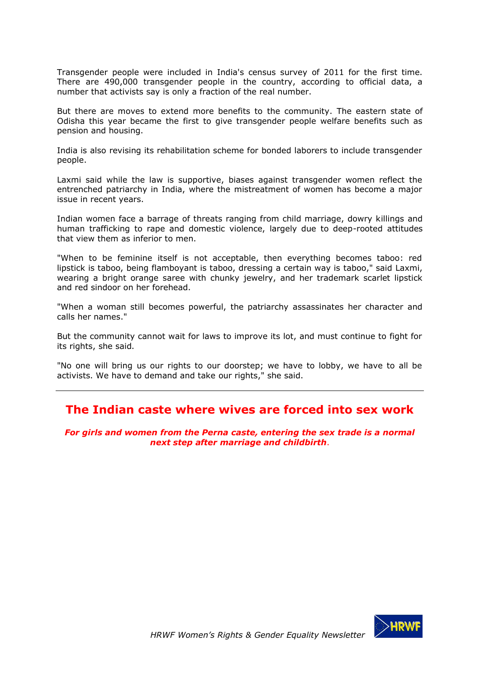Transgender people were included in India's census survey of 2011 for the first time. There are 490,000 transgender people in the country, according to official data, a number that activists say is only a fraction of the real number.

But there are moves to extend more benefits to the community. The eastern state of Odisha this year became the first to give transgender people welfare benefits such as pension and housing.

India is also revising its rehabilitation scheme for bonded laborers to include transgender people.

Laxmi said while the law is supportive, biases against transgender women reflect the entrenched patriarchy in India, where the mistreatment of women has become a major issue in recent years.

Indian women face a barrage of threats ranging from child marriage, dowry killings and human trafficking to rape and domestic violence, largely due to deep-rooted attitudes that view them as inferior to men.

"When to be feminine itself is not acceptable, then everything becomes taboo: red lipstick is taboo, being flamboyant is taboo, dressing a certain way is taboo," said Laxmi, wearing a bright orange saree with chunky jewelry, and her trademark scarlet lipstick and red sindoor on her forehead.

"When a woman still becomes powerful, the patriarchy assassinates her character and calls her names."

But the community cannot wait for laws to improve its lot, and must continue to fight for its rights, she said.

"No one will bring us our rights to our doorstep; we have to lobby, we have to all be activists. We have to demand and take our rights," she said.

### **The Indian caste where wives are forced into sex work**

*For girls and women from the Perna caste, entering the sex trade is a normal next step after marriage and childbirth*.

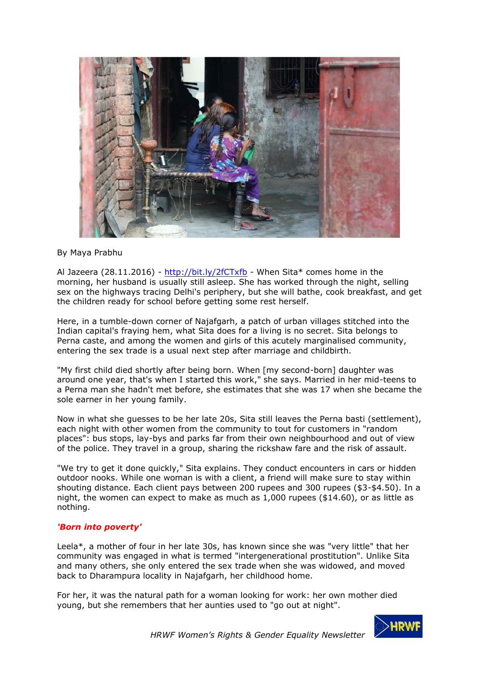

#### By Maya Prabhu

Al Jazeera (28.11.2016) - <http://bit.ly/2fCTxfb> - When Sita\* comes home in the morning, her husband is usually still asleep. She has worked through the night, selling sex on the highways tracing Delhi's periphery, but she will bathe, cook breakfast, and get the children ready for school before getting some rest herself.

Here, in a tumble-down corner of Najafgarh, a patch of urban villages stitched into the Indian capital's fraying hem, what Sita does for a living is no secret. Sita belongs to Perna caste, and among the women and girls of this acutely marginalised community, entering the sex trade is a usual next step after marriage and childbirth.

"My first child died shortly after being born. When [my second-born] daughter was around one year, that's when I started this work," she says. Married in her mid-teens to a Perna man she hadn't met before, she estimates that she was 17 when she became the sole earner in her young family.

Now in what she guesses to be her late 20s, Sita still leaves the Perna basti (settlement), each night with other women from the community to tout for customers in "random places": bus stops, lay-bys and parks far from their own neighbourhood and out of view of the police. They travel in a group, sharing the rickshaw fare and the risk of assault.

"We try to get it done quickly," Sita explains. They conduct encounters in cars or hidden outdoor nooks. While one woman is with a client, a friend will make sure to stay within shouting distance. Each client pays between 200 rupees and 300 rupees (\$3-\$4.50). In a night, the women can expect to make as much as 1,000 rupees (\$14.60), or as little as nothing.

#### *'Born into poverty'*

Leela\*, a mother of four in her late 30s, has known since she was "very little" that her community was engaged in what is termed "intergenerational prostitution". Unlike Sita and many others, she only entered the sex trade when she was widowed, and moved back to Dharampura locality in Najafgarh, her childhood home.

For her, it was the natural path for a woman looking for work: her own mother died young, but she remembers that her aunties used to "go out at night".

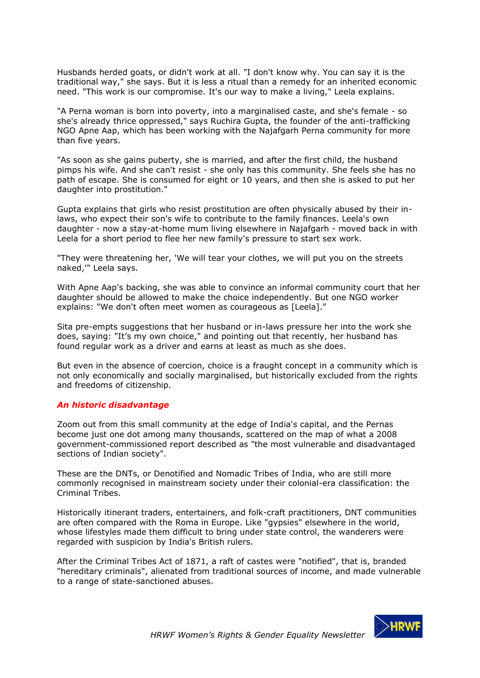Husbands herded goats, or didn't work at all. "I don't know why. You can say it is the traditional way," she says. But it is less a ritual than a remedy for an inherited economic need. "This work is our compromise. It's our way to make a living," Leela explains.

"A Perna woman is born into poverty, into a marginalised caste, and she's female - so she's already thrice oppressed," says Ruchira Gupta, the founder of the anti-trafficking NGO Apne Aap, which has been working with the Najafgarh Perna community for more than five years.

"As soon as she gains puberty, she is married, and after the first child, the husband pimps his wife. And she can't resist - she only has this community. She feels she has no path of escape. She is consumed for eight or 10 years, and then she is asked to put her daughter into prostitution."

Gupta explains that girls who resist prostitution are often physically abused by their inlaws, who expect their son's wife to contribute to the family finances. Leela's own daughter - now a stay-at-home mum living elsewhere in Najafgarh - moved back in with Leela for a short period to flee her new family's pressure to start sex work.

"They were threatening her, 'We will tear your clothes, we will put you on the streets naked,'" Leela says.

With Apne Aap's backing, she was able to convince an informal community court that her daughter should be allowed to make the choice independently. But one NGO worker explains: "We don't often meet women as courageous as [Leela]."

Sita pre-empts suggestions that her husband or in-laws pressure her into the work she does, saying: "It's my own choice," and pointing out that recently, her husband has found regular work as a driver and earns at least as much as she does.

But even in the absence of coercion, choice is a fraught concept in a community which is not only economically and socially marginalised, but historically excluded from the rights and freedoms of citizenship.

#### *An historic disadvantage*

Zoom out from this small community at the edge of India's capital, and the Pernas become just one dot among many thousands, scattered on the map of what a 2008 government-commissioned report described as "the most vulnerable and disadvantaged sections of Indian society".

These are the DNTs, or Denotified and Nomadic Tribes of India, who are still more commonly recognised in mainstream society under their colonial-era classification: the Criminal Tribes.

Historically itinerant traders, entertainers, and folk-craft practitioners, DNT communities are often compared with the Roma in Europe. Like "gypsies" elsewhere in the world, whose lifestyles made them difficult to bring under state control, the wanderers were regarded with suspicion by India's British rulers.

After the Criminal Tribes Act of 1871, a raft of castes were "notified", that is, branded "hereditary criminals", alienated from traditional sources of income, and made vulnerable to a range of state-sanctioned abuses.

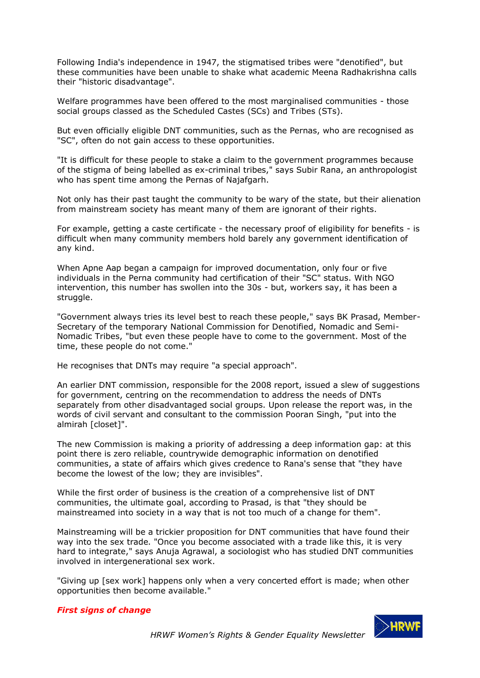Following India's independence in 1947, the stigmatised tribes were "denotified", but these communities have been unable to shake what academic Meena Radhakrishna calls their "historic disadvantage".

Welfare programmes have been offered to the most marginalised communities - those social groups classed as the Scheduled Castes (SCs) and Tribes (STs).

But even officially eligible DNT communities, such as the Pernas, who are recognised as "SC", often do not gain access to these opportunities.

"It is difficult for these people to stake a claim to the government programmes because of the stigma of being labelled as ex-criminal tribes," says Subir Rana, an anthropologist who has spent time among the Pernas of Najafgarh.

Not only has their past taught the community to be wary of the state, but their alienation from mainstream society has meant many of them are ignorant of their rights.

For example, getting a caste certificate - the necessary proof of eligibility for benefits - is difficult when many community members hold barely any government identification of any kind.

When Apne Aap began a campaign for improved documentation, only four or five individuals in the Perna community had certification of their "SC" status. With NGO intervention, this number has swollen into the 30s - but, workers say, it has been a struggle.

"Government always tries its level best to reach these people," says BK Prasad, Member-Secretary of the temporary National Commission for Denotified, Nomadic and Semi-Nomadic Tribes, "but even these people have to come to the government. Most of the time, these people do not come."

He recognises that DNTs may require "a special approach".

An earlier DNT commission, responsible for the 2008 report, issued a slew of suggestions for government, centring on the recommendation to address the needs of DNTs separately from other disadvantaged social groups. Upon release the report was, in the words of civil servant and consultant to the commission Pooran Singh, "put into the almirah [closet]".

The new Commission is making a priority of addressing a deep information gap: at this point there is zero reliable, countrywide demographic information on denotified communities, a state of affairs which gives credence to Rana's sense that "they have become the lowest of the low; they are invisibles".

While the first order of business is the creation of a comprehensive list of DNT communities, the ultimate goal, according to Prasad, is that "they should be mainstreamed into society in a way that is not too much of a change for them".

Mainstreaming will be a trickier proposition for DNT communities that have found their way into the sex trade. "Once you become associated with a trade like this, it is very hard to integrate," says Anuja Agrawal, a sociologist who has studied DNT communities involved in intergenerational sex work.

"Giving up [sex work] happens only when a very concerted effort is made; when other opportunities then become available."

### *First signs of change*

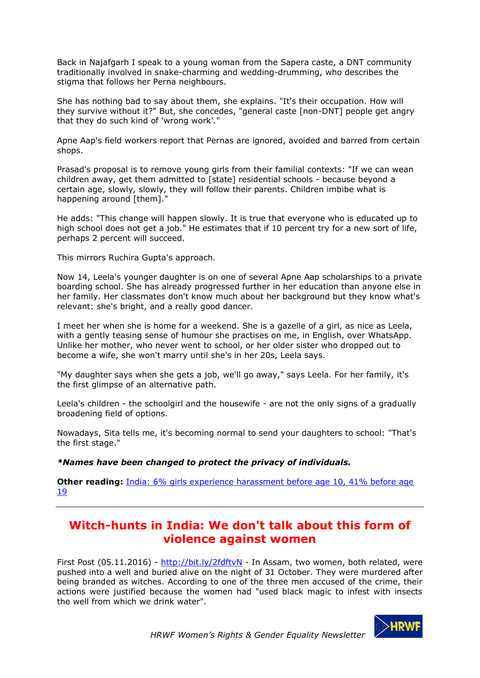Back in Najafgarh I speak to a young woman from the Sapera caste, a DNT community traditionally involved in snake-charming and wedding-drumming, who describes the stigma that follows her Perna neighbours.

She has nothing bad to say about them, she explains. "It's their occupation. How will they survive without it?" But, she concedes, "general caste [non-DNT] people get angry that they do such kind of 'wrong work'."

Apne Aap's field workers report that Pernas are ignored, avoided and barred from certain shops.

Prasad's proposal is to remove young girls from their familial contexts: "If we can wean children away, get them admitted to [state] residential schools - because beyond a certain age, slowly, slowly, they will follow their parents. Children imbibe what is happening around [them]."

He adds: "This change will happen slowly. It is true that everyone who is educated up to high school does not get a job." He estimates that if 10 percent try for a new sort of life, perhaps 2 percent will succeed.

This mirrors Ruchira Gupta's approach.

Now 14, Leela's younger daughter is on one of several Apne Aap scholarships to a private boarding school. She has already progressed further in her education than anyone else in her family. Her classmates don't know much about her background but they know what's relevant: she's bright, and a really good dancer.

I meet her when she is home for a weekend. She is a gazelle of a girl, as nice as Leela, with a gently teasing sense of humour she practises on me, in English, over WhatsApp. Unlike her mother, who never went to school, or her older sister who dropped out to become a wife, she won't marry until she's in her 20s, Leela says.

"My daughter says when she gets a job, we'll go away," says Leela. For her family, it's the first glimpse of an alternative path.

Leela's children - the schoolgirl and the housewife - are not the only signs of a gradually broadening field of options.

Nowadays, Sita tells me, it's becoming normal to send your daughters to school: "That's the first stage."

*\*Names have been changed to protect the privacy of individuals.*

**Other reading:** [India: 6% girls experience harassment before age 10, 41% before age](http://www.dnaindia.com/india/report-india-6-girls-experience-harassment-before-age-10-41-before-age-19-2276980?utm_medium=email&utm_source=flipboard)  [19](http://www.dnaindia.com/india/report-india-6-girls-experience-harassment-before-age-10-41-before-age-19-2276980?utm_medium=email&utm_source=flipboard)

## **Witch-hunts in India: We don't talk about this form of violence against women**

First Post (05.11.2016) - <http://bit.ly/2fdftvN> - In Assam, two women, both related, were pushed into a well and buried alive on the night of 31 October. They were murdered after being branded as witches. According to one of the three men accused of the crime, their actions were justified because the women had "used black magic to infest with insects the well from which we drink water".

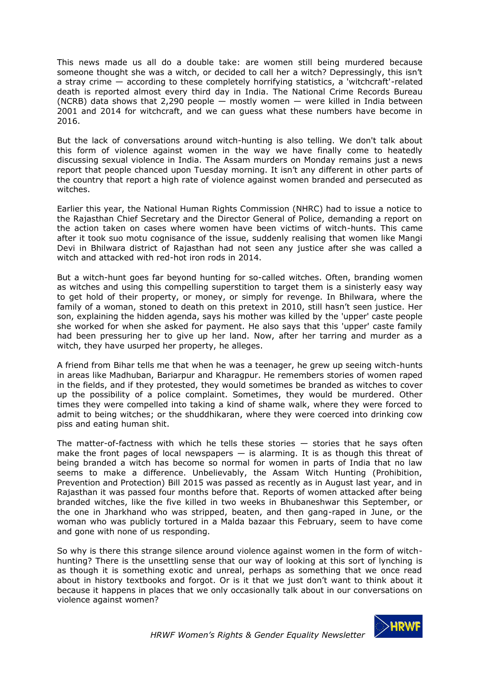This news made us all do a double take: are women still being murdered because someone thought she was a witch, or decided to call her a witch? Depressingly, this isn't a stray crime — according to these completely horrifying statistics, a 'witchcraft'-related death is reported almost every third day in India. The National Crime Records Bureau (NCRB) data shows that 2,290 people  $-$  mostly women  $-$  were killed in India between 2001 and 2014 for witchcraft, and we can guess what these numbers have become in 2016.

But the lack of conversations around witch-hunting is also telling. We don't talk about this form of violence against women in the way we have finally come to heatedly discussing sexual violence in India. The Assam murders on Monday remains just a news report that people chanced upon Tuesday morning. It isn't any different in other parts of the country that report a high rate of violence against women branded and persecuted as witches.

Earlier this year, the National Human Rights Commission (NHRC) had to issue a notice to the Rajasthan Chief Secretary and the Director General of Police, demanding a report on the action taken on cases where women have been victims of witch-hunts. This came after it took suo motu cognisance of the issue, suddenly realising that women like Mangi Devi in Bhilwara district of Rajasthan had not seen any justice after she was called a witch and attacked with red-hot iron rods in 2014.

But a witch-hunt goes far beyond hunting for so-called witches. Often, branding women as witches and using this compelling superstition to target them is a sinisterly easy way to get hold of their property, or money, or simply for revenge. In Bhilwara, where the family of a woman, stoned to death on this pretext in 2010, still hasn't seen justice. Her son, explaining the hidden agenda, says his mother was killed by the 'upper' caste people she worked for when she asked for payment. He also says that this 'upper' caste family had been pressuring her to give up her land. Now, after her tarring and murder as a witch, they have usurped her property, he alleges.

A friend from Bihar tells me that when he was a teenager, he grew up seeing witch-hunts in areas like Madhuban, Bariarpur and Kharagpur. He remembers stories of women raped in the fields, and if they protested, they would sometimes be branded as witches to cover up the possibility of a police complaint. Sometimes, they would be murdered. Other times they were compelled into taking a kind of shame walk, where they were forced to admit to being witches; or the shuddhikaran, where they were coerced into drinking cow piss and eating human shit.

The matter-of-factness with which he tells these stories  $-$  stories that he says often make the front pages of local newspapers  $-$  is alarming. It is as though this threat of being branded a witch has become so normal for women in parts of India that no law seems to make a difference. Unbelievably, the Assam Witch Hunting (Prohibition, Prevention and Protection) Bill 2015 was passed as recently as in August last year, and in Rajasthan it was passed four months before that. Reports of women attacked after being branded witches, like the five killed in two weeks in Bhubaneshwar this September, or the one in Jharkhand who was stripped, beaten, and then gang-raped in June, or the woman who was publicly tortured in a Malda bazaar this February, seem to have come and gone with none of us responding.

So why is there this strange silence around violence against women in the form of witchhunting? There is the unsettling sense that our way of looking at this sort of lynching is as though it is something exotic and unreal, perhaps as something that we once read about in history textbooks and forgot. Or is it that we just don't want to think about it because it happens in places that we only occasionally talk about in our conversations on violence against women?

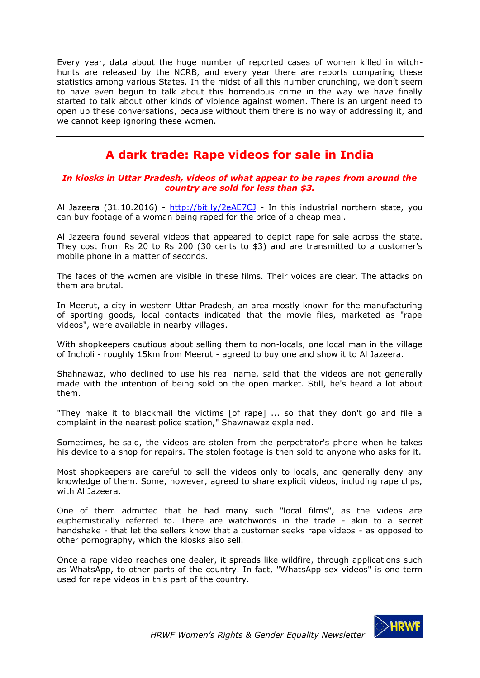Every year, data about the huge number of reported cases of women killed in witchhunts are released by the NCRB, and every year there are reports comparing these statistics among various States. In the midst of all this number crunching, we don't seem to have even begun to talk about this horrendous crime in the way we have finally started to talk about other kinds of violence against women. There is an urgent need to open up these conversations, because without them there is no way of addressing it, and we cannot keep ignoring these women.

# **A dark trade: Rape videos for sale in India**

### *In kiosks in Uttar Pradesh, videos of what appear to be rapes from around the country are sold for less than \$3.*

Al Jazeera (31.10.2016) - <http://bit.ly/2eAE7CJ> - In this industrial northern state, you can buy footage of a woman being raped for the price of a cheap meal.

Al Jazeera found several videos that appeared to depict rape for sale across the state. They cost from Rs 20 to Rs 200 (30 cents to \$3) and are transmitted to a customer's mobile phone in a matter of seconds.

The faces of the women are visible in these films. Their voices are clear. The attacks on them are brutal.

In Meerut, a city in western Uttar Pradesh, an area mostly known for the manufacturing of sporting goods, local contacts indicated that the movie files, marketed as "rape videos", were available in nearby villages.

With shopkeepers cautious about selling them to non-locals, one local man in the village of Incholi - roughly 15km from Meerut - agreed to buy one and show it to Al Jazeera.

Shahnawaz, who declined to use his real name, said that the videos are not generally made with the intention of being sold on the open market. Still, he's heard a lot about them.

"They make it to blackmail the victims [of rape] ... so that they don't go and file a complaint in the nearest police station," Shawnawaz explained.

Sometimes, he said, the videos are stolen from the perpetrator's phone when he takes his device to a shop for repairs. The stolen footage is then sold to anyone who asks for it.

Most shopkeepers are careful to sell the videos only to locals, and generally deny any knowledge of them. Some, however, agreed to share explicit videos, including rape clips, with Al Jazeera.

One of them admitted that he had many such "local films", as the videos are euphemistically referred to. There are watchwords in the trade - akin to a secret handshake - that let the sellers know that a customer seeks rape videos - as opposed to other pornography, which the kiosks also sell.

Once a rape video reaches one dealer, it spreads like wildfire, through applications such as WhatsApp, to other parts of the country. In fact, "WhatsApp sex videos" is one term used for rape videos in this part of the country.

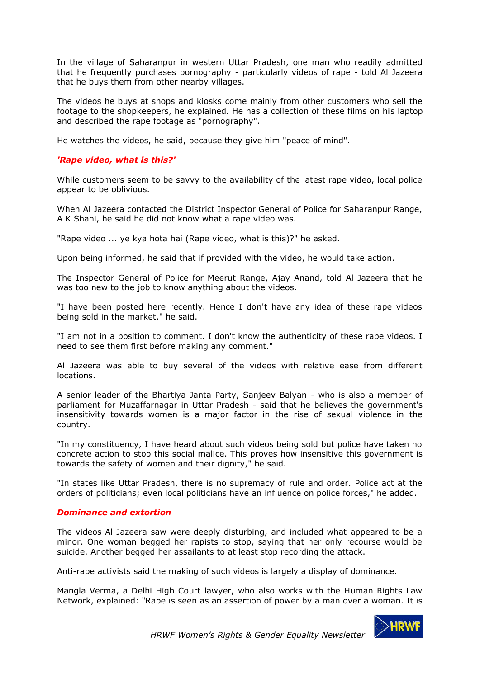In the village of Saharanpur in western Uttar Pradesh, one man who readily admitted that he frequently purchases pornography - particularly videos of rape - told Al Jazeera that he buys them from other nearby villages.

The videos he buys at shops and kiosks come mainly from other customers who sell the footage to the shopkeepers, he explained. He has a collection of these films on his laptop and described the rape footage as "pornography".

He watches the videos, he said, because they give him "peace of mind".

### *'Rape video, what is this?'*

While customers seem to be savvy to the availability of the latest rape video, local police appear to be oblivious.

When Al Jazeera contacted the District Inspector General of Police for Saharanpur Range, A K Shahi, he said he did not know what a rape video was.

"Rape video ... ye kya hota hai (Rape video, what is this)?" he asked.

Upon being informed, he said that if provided with the video, he would take action.

The Inspector General of Police for Meerut Range, Ajay Anand, told Al Jazeera that he was too new to the job to know anything about the videos.

"I have been posted here recently. Hence I don't have any idea of these rape videos being sold in the market," he said.

"I am not in a position to comment. I don't know the authenticity of these rape videos. I need to see them first before making any comment."

Al Jazeera was able to buy several of the videos with relative ease from different locations.

A senior leader of the Bhartiya Janta Party, Sanjeev Balyan - who is also a member of parliament for Muzaffarnagar in Uttar Pradesh - said that he believes the government's insensitivity towards women is a major factor in the rise of sexual violence in the country.

"In my constituency, I have heard about such videos being sold but police have taken no concrete action to stop this social malice. This proves how insensitive this government is towards the safety of women and their dignity," he said.

"In states like Uttar Pradesh, there is no supremacy of rule and order. Police act at the orders of politicians; even local politicians have an influence on police forces," he added.

#### *Dominance and extortion*

The videos Al Jazeera saw were deeply disturbing, and included what appeared to be a minor. One woman begged her rapists to stop, saying that her only recourse would be suicide. Another begged her assailants to at least stop recording the attack.

Anti-rape activists said the making of such videos is largely a display of dominance.

Mangla Verma, a Delhi High Court lawyer, who also works with the Human Rights Law Network, explained: "Rape is seen as an assertion of power by a man over a woman. It is

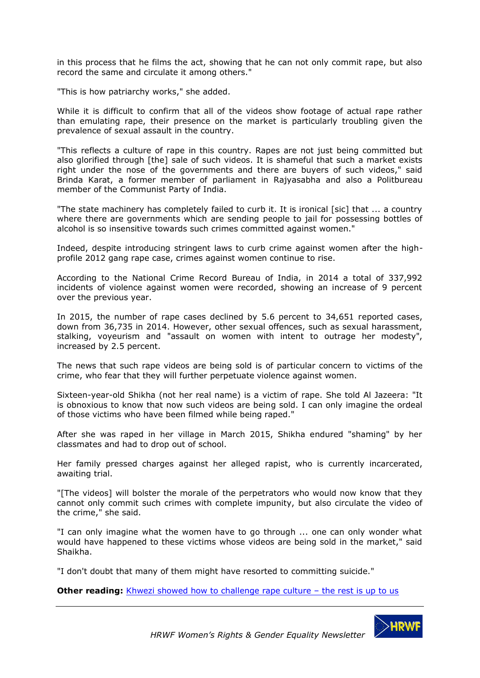in this process that he films the act, showing that he can not only commit rape, but also record the same and circulate it among others."

"This is how patriarchy works," she added.

While it is difficult to confirm that all of the videos show footage of actual rape rather than emulating rape, their presence on the market is particularly troubling given the prevalence of sexual assault in the country.

"This reflects a culture of rape in this country. Rapes are not just being committed but also glorified through [the] sale of such videos. It is shameful that such a market exists right under the nose of the governments and there are buyers of such videos," said Brinda Karat, a former member of parliament in Rajyasabha and also a Politbureau member of the Communist Party of India.

"The state machinery has completely failed to curb it. It is ironical [sic] that ... a country where there are governments which are sending people to jail for possessing bottles of alcohol is so insensitive towards such crimes committed against women."

Indeed, despite introducing stringent laws to curb crime against women after the highprofile 2012 gang rape case, crimes against women continue to rise.

According to the National Crime Record Bureau of India, in 2014 a total of 337,992 incidents of violence against women were recorded, showing an increase of 9 percent over the previous year.

In 2015, the number of rape cases declined by 5.6 percent to 34,651 reported cases, down from 36,735 in 2014. However, other sexual offences, such as sexual harassment, stalking, voyeurism and "assault on women with intent to outrage her modesty", increased by 2.5 percent.

The news that such rape videos are being sold is of particular concern to victims of the crime, who fear that they will further perpetuate violence against women.

Sixteen-year-old Shikha (not her real name) is a victim of rape. She told Al Jazeera: "It is obnoxious to know that now such videos are being sold. I can only imagine the ordeal of those victims who have been filmed while being raped."

After she was raped in her village in March 2015, Shikha endured "shaming" by her classmates and had to drop out of school.

Her family pressed charges against her alleged rapist, who is currently incarcerated, awaiting trial.

"[The videos] will bolster the morale of the perpetrators who would now know that they cannot only commit such crimes with complete impunity, but also circulate the video of the crime," she said.

"I can only imagine what the women have to go through ... one can only wonder what would have happened to these victims whose videos are being sold in the market," said Shaikha.

"I don't doubt that many of them might have resorted to committing suicide."

**Other reading:** [Khwezi showed how to challenge rape culture](https://www.theguardian.com/global-development/2016/nov/03/khwezi-showed-how-to-challenge-culture-fezekile-ntsukela-kuzwayo-fezeka-jacob-zuma?utm_medium=email&utm_source=flipboard) – the rest is up to us

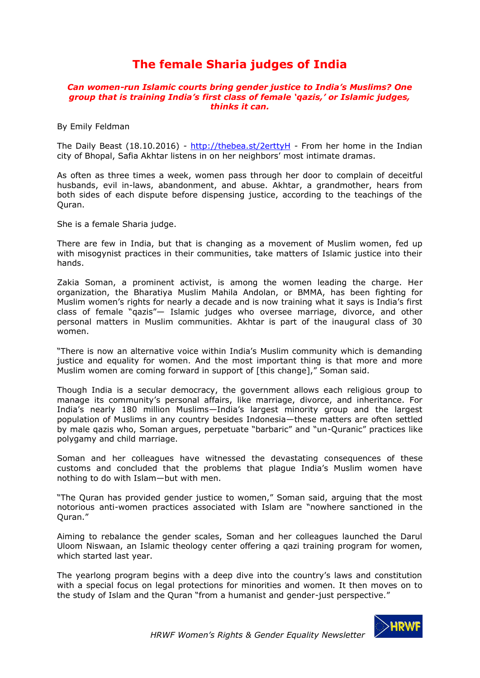# **The female Sharia judges of India**

### *Can women-run Islamic courts bring gender justice to India's Muslims? One group that is training India's first class of female 'qazis,' or Islamic judges, thinks it can.*

By Emily Feldman

The Daily Beast (18.10.2016) - <http://thebea.st/2erttyH> - From her home in the Indian city of Bhopal, Safia Akhtar listens in on her neighbors' most intimate dramas.

As often as three times a week, women pass through her door to complain of deceitful husbands, evil in-laws, abandonment, and abuse. Akhtar, a grandmother, hears from both sides of each dispute before dispensing justice, according to the teachings of the Quran.

She is a female Sharia judge.

There are few in India, but that is changing as a movement of Muslim women, fed up with misogynist practices in their communities, take matters of Islamic justice into their hands.

Zakia Soman, a prominent activist, is among the women leading the charge. Her organization, the Bharatiya Muslim Mahila Andolan, or BMMA, has been fighting for Muslim women's rights for nearly a decade and is now training what it says is India's first class of female "qazis"— Islamic judges who oversee marriage, divorce, and other personal matters in Muslim communities. Akhtar is part of the inaugural class of 30 women.

"There is now an alternative voice within India's Muslim community which is demanding justice and equality for women. And the most important thing is that more and more Muslim women are coming forward in support of [this change]," Soman said.

Though India is a secular democracy, the government allows each religious group to manage its community's personal affairs, like marriage, divorce, and inheritance. For India's nearly 180 million Muslims—India's largest minority group and the largest population of Muslims in any country besides Indonesia—these matters are often settled by male qazis who, Soman argues, perpetuate "barbaric" and "un-Quranic" practices like polygamy and child marriage.

Soman and her colleagues have witnessed the devastating consequences of these customs and concluded that the problems that plague India's Muslim women have nothing to do with Islam—but with men.

"The Quran has provided gender justice to women," Soman said, arguing that the most notorious anti-women practices associated with Islam are "nowhere sanctioned in the Quran."

Aiming to rebalance the gender scales, Soman and her colleagues launched the Darul Uloom Niswaan, an Islamic theology center offering a qazi training program for women, which started last year.

The yearlong program begins with a deep dive into the country's laws and constitution with a special focus on legal protections for minorities and women. It then moves on to the study of Islam and the Quran "from a humanist and gender-just perspective."

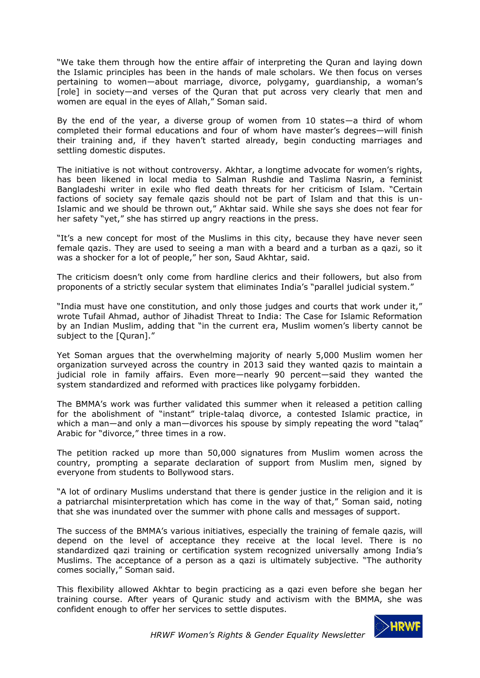"We take them through how the entire affair of interpreting the Quran and laying down the Islamic principles has been in the hands of male scholars. We then focus on verses pertaining to women—about marriage, divorce, polygamy, guardianship, a woman's [role] in society—and verses of the Quran that put across very clearly that men and women are equal in the eyes of Allah," Soman said.

By the end of the year, a diverse group of women from 10 states—a third of whom completed their formal educations and four of whom have master's degrees—will finish their training and, if they haven't started already, begin conducting marriages and settling domestic disputes.

The initiative is not without controversy. Akhtar, a longtime advocate for women's rights, has been likened in local media to Salman Rushdie and Taslima Nasrin, a feminist Bangladeshi writer in exile who fled death threats for her criticism of Islam. "Certain factions of society say female qazis should not be part of Islam and that this is un-Islamic and we should be thrown out," Akhtar said. While she says she does not fear for her safety "yet," she has stirred up angry reactions in the press.

"It's a new concept for most of the Muslims in this city, because they have never seen female qazis. They are used to seeing a man with a beard and a turban as a qazi, so it was a shocker for a lot of people," her son, Saud Akhtar, said.

The criticism doesn't only come from hardline clerics and their followers, but also from proponents of a strictly secular system that eliminates India's "parallel judicial system."

"India must have one constitution, and only those judges and courts that work under it," wrote Tufail Ahmad, author of Jihadist Threat to India: The Case for Islamic Reformation by an Indian Muslim, adding that "in the current era, Muslim women's liberty cannot be subject to the [Quran]."

Yet Soman argues that the overwhelming majority of nearly 5,000 Muslim women her organization surveyed across the country in 2013 said they wanted qazis to maintain a judicial role in family affairs. Even more—nearly 90 percent—said they wanted the system standardized and reformed with practices like polygamy forbidden.

The BMMA's work was further validated this summer when it released a petition calling for the abolishment of "instant" triple-talaq divorce, a contested Islamic practice, in which a man—and only a man—divorces his spouse by simply repeating the word "talag" Arabic for "divorce," three times in a row.

The petition racked up more than 50,000 signatures from Muslim women across the country, prompting a separate declaration of support from Muslim men, signed by everyone from students to Bollywood stars.

"A lot of ordinary Muslims understand that there is gender justice in the religion and it is a patriarchal misinterpretation which has come in the way of that," Soman said, noting that she was inundated over the summer with phone calls and messages of support.

The success of the BMMA's various initiatives, especially the training of female qazis, will depend on the level of acceptance they receive at the local level. There is no standardized qazi training or certification system recognized universally among India's Muslims. The acceptance of a person as a qazi is ultimately subjective. "The authority comes socially," Soman said.

This flexibility allowed Akhtar to begin practicing as a qazi even before she began her training course. After years of Quranic study and activism with the BMMA, she was confident enough to offer her services to settle disputes.



*HRWF Women's Rights & Gender Equality Newsletter*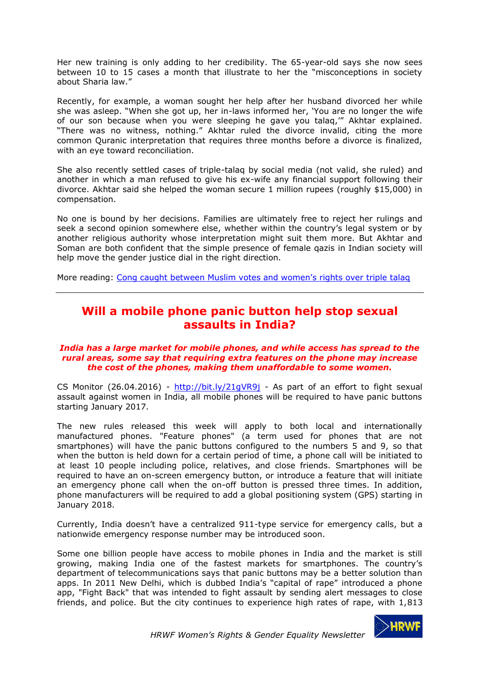Her new training is only adding to her credibility. The 65-year-old says she now sees between 10 to 15 cases a month that illustrate to her the "misconceptions in society about Sharia law."

Recently, for example, a woman sought her help after her husband divorced her while she was asleep. "When she got up, her in-laws informed her, 'You are no longer the wife of our son because when you were sleeping he gave you talaq,'" Akhtar explained. "There was no witness, nothing." Akhtar ruled the divorce invalid, citing the more common Quranic interpretation that requires three months before a divorce is finalized, with an eye toward reconciliation.

She also recently settled cases of triple-talaq by social media (not valid, she ruled) and another in which a man refused to give his ex-wife any financial support following their divorce. Akhtar said she helped the woman secure 1 million rupees (roughly \$15,000) in compensation.

No one is bound by her decisions. Families are ultimately free to reject her rulings and seek a second opinion somewhere else, whether within the country's legal system or by another religious authority whose interpretation might suit them more. But Akhtar and Soman are both confident that the simple presence of female qazis in Indian society will help move the gender justice dial in the right direction.

More reading: Co[ng caught between Muslim votes and women's rights over triple talaq](http://www.hindustantimes.com/india-news/cong-caught-between-muslim-votes-and-women-s-rights-over-triple-talaq/story-nvAidyBkAxtJCrkyUxEcpN.html?utm_medium=email&utm_source=flipboard)

### **Will a mobile phone panic button help stop sexual assaults in India?**

#### *India has a large market for mobile phones, and while access has spread to the rural areas, some say that requiring extra features on the phone may increase the cost of the phones, making them unaffordable to some women.*

CS Monitor (26.04.2016) - <http://bit.ly/21gVR9j> - As part of an effort to fight sexual assault against women in India, all mobile phones will be required to have panic buttons starting January 2017.

The new rules released this week will apply to both local and internationally manufactured phones. "Feature phones" (a term used for phones that are not smartphones) will have the panic buttons configured to the numbers 5 and 9, so that when the button is held down for a certain period of time, a phone call will be initiated to at least 10 people including police, relatives, and close friends. Smartphones will be required to have an on-screen emergency button, or introduce a feature that will initiate an emergency phone call when the on-off button is pressed three times. In addition, phone manufacturers will be required to add a global positioning system (GPS) starting in January 2018.

Currently, India doesn't have a centralized 911-type service for emergency calls, but a nationwide emergency response number may be introduced soon.

Some one billion people have access to mobile phones in India and the market is still growing, making India one of the fastest markets for smartphones. The country's department of telecommunications says that panic buttons may be a better solution than apps. In 2011 New Delhi, which is dubbed India's "capital of rape" introduced a phone app, "Fight Back" that was intended to fight assault by sending alert messages to close friends, and police. But the city continues to experience high rates of rape, with 1,813

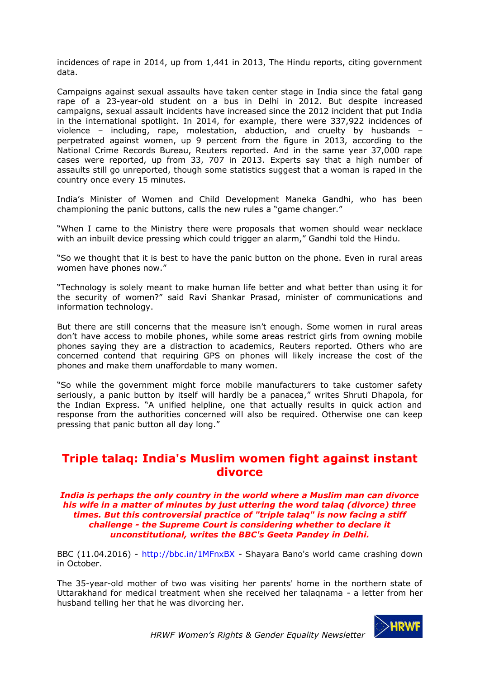incidences of rape in 2014, up from 1,441 in 2013, The Hindu reports, citing government data.

Campaigns against sexual assaults have taken center stage in India since the fatal gang rape of a 23-year-old student on a bus in Delhi in 2012. But despite increased campaigns, sexual assault incidents have increased since the 2012 incident that put India in the international spotlight. In 2014, for example, there were 337,922 incidences of violence – including, rape, molestation, abduction, and cruelty by husbands – perpetrated against women, up 9 percent from the figure in 2013, according to the National Crime Records Bureau, Reuters reported. And in the same year 37,000 rape cases were reported, up from 33, 707 in 2013. Experts say that a high number of assaults still go unreported, though some statistics suggest that a woman is raped in the country once every 15 minutes.

India's Minister of Women and Child Development Maneka Gandhi, who has been championing the panic buttons, calls the new rules a "game changer."

"When I came to the Ministry there were proposals that women should wear necklace with an inbuilt device pressing which could trigger an alarm," Gandhi told the Hindu.

"So we thought that it is best to have the panic button on the phone. Even in rural areas women have phones now."

"Technology is solely meant to make human life better and what better than using it for the security of women?" said Ravi Shankar Prasad, minister of communications and information technology.

But there are still concerns that the measure isn't enough. Some women in rural areas don't have access to mobile phones, while some areas restrict girls from owning mobile phones saying they are a distraction to academics, Reuters reported. Others who are concerned contend that requiring GPS on phones will likely increase the cost of the phones and make them unaffordable to many women.

"So while the government might force mobile manufacturers to take customer safety seriously, a panic button by itself will hardly be a panacea," writes Shruti Dhapola, for the Indian Express. "A unified helpline, one that actually results in quick action and response from the authorities concerned will also be required. Otherwise one can keep pressing that panic button all day long."

### **Triple talaq: India's Muslim women fight against instant divorce**

*India is perhaps the only country in the world where a Muslim man can divorce his wife in a matter of minutes by just uttering the word talaq (divorce) three times. But this controversial practice of "triple talaq" is now facing a stiff challenge - the Supreme Court is considering whether to declare it unconstitutional, writes the BBC's Geeta Pandey in Delhi.*

BBC (11.04.2016) - <http://bbc.in/1MFnxBX> - Shayara Bano's world came crashing down in October.

The 35-year-old mother of two was visiting her parents' home in the northern state of Uttarakhand for medical treatment when she received her talaqnama - a letter from her husband telling her that he was divorcing her.

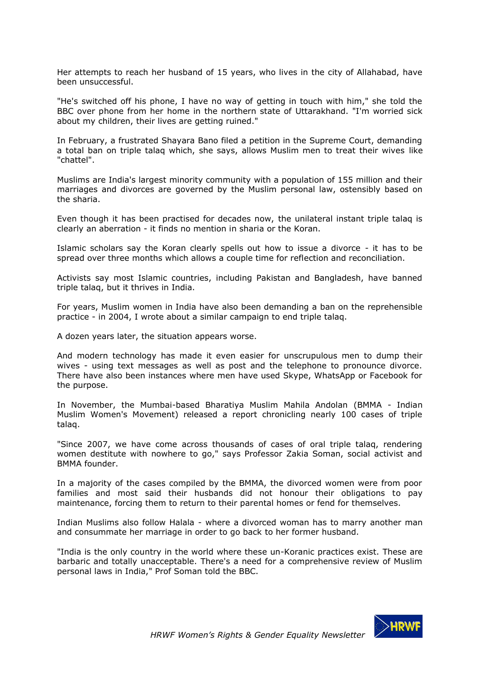Her attempts to reach her husband of 15 years, who lives in the city of Allahabad, have been unsuccessful.

"He's switched off his phone, I have no way of getting in touch with him," she told the BBC over phone from her home in the northern state of Uttarakhand. "I'm worried sick about my children, their lives are getting ruined."

In February, a frustrated Shayara Bano filed a petition in the Supreme Court, demanding a total ban on triple talaq which, she says, allows Muslim men to treat their wives like "chattel".

Muslims are India's largest minority community with a population of 155 million and their marriages and divorces are governed by the Muslim personal law, ostensibly based on the sharia.

Even though it has been practised for decades now, the unilateral instant triple talaq is clearly an aberration - it finds no mention in sharia or the Koran.

Islamic scholars say the Koran clearly spells out how to issue a divorce - it has to be spread over three months which allows a couple time for reflection and reconciliation.

Activists say most Islamic countries, including Pakistan and Bangladesh, have banned triple talaq, but it thrives in India.

For years, Muslim women in India have also been demanding a ban on the reprehensible practice - in 2004, I wrote about a similar campaign to end triple talaq.

A dozen years later, the situation appears worse.

And modern technology has made it even easier for unscrupulous men to dump their wives - using text messages as well as post and the telephone to pronounce divorce. There have also been instances where men have used Skype, WhatsApp or Facebook for the purpose.

In November, the Mumbai-based Bharatiya Muslim Mahila Andolan (BMMA - Indian Muslim Women's Movement) released a report chronicling nearly 100 cases of triple talaq.

"Since 2007, we have come across thousands of cases of oral triple talaq, rendering women destitute with nowhere to go," says Professor Zakia Soman, social activist and BMMA founder.

In a majority of the cases compiled by the BMMA, the divorced women were from poor families and most said their husbands did not honour their obligations to pay maintenance, forcing them to return to their parental homes or fend for themselves.

Indian Muslims also follow Halala - where a divorced woman has to marry another man and consummate her marriage in order to go back to her former husband.

"India is the only country in the world where these un-Koranic practices exist. These are barbaric and totally unacceptable. There's a need for a comprehensive review of Muslim personal laws in India," Prof Soman told the BBC.

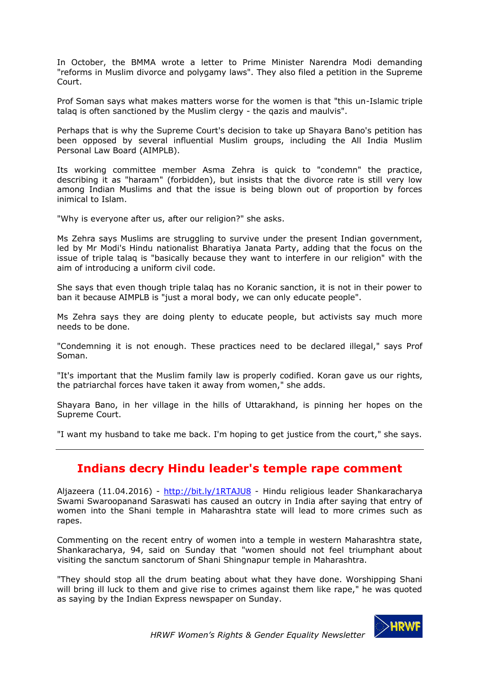In October, the BMMA wrote a letter to Prime Minister Narendra Modi demanding "reforms in Muslim divorce and polygamy laws". They also filed a petition in the Supreme Court.

Prof Soman says what makes matters worse for the women is that "this un-Islamic triple talaq is often sanctioned by the Muslim clergy - the qazis and maulvis".

Perhaps that is why the Supreme Court's decision to take up Shayara Bano's petition has been opposed by several influential Muslim groups, including the All India Muslim Personal Law Board (AIMPLB).

Its working committee member Asma Zehra is quick to "condemn" the practice, describing it as "haraam" (forbidden), but insists that the divorce rate is still very low among Indian Muslims and that the issue is being blown out of proportion by forces inimical to Islam.

"Why is everyone after us, after our religion?" she asks.

Ms Zehra says Muslims are struggling to survive under the present Indian government, led by Mr Modi's Hindu nationalist Bharatiya Janata Party, adding that the focus on the issue of triple talaq is "basically because they want to interfere in our religion" with the aim of introducing a uniform civil code.

She says that even though triple talaq has no Koranic sanction, it is not in their power to ban it because AIMPLB is "just a moral body, we can only educate people".

Ms Zehra says they are doing plenty to educate people, but activists say much more needs to be done.

"Condemning it is not enough. These practices need to be declared illegal," says Prof Soman.

"It's important that the Muslim family law is properly codified. Koran gave us our rights, the patriarchal forces have taken it away from women," she adds.

Shayara Bano, in her village in the hills of Uttarakhand, is pinning her hopes on the Supreme Court.

"I want my husband to take me back. I'm hoping to get justice from the court," she says.

### **Indians decry Hindu leader's temple rape comment**

Aljazeera (11.04.2016) - <http://bit.ly/1RTAJU8> - Hindu religious leader Shankaracharya Swami Swaroopanand Saraswati has caused an outcry in India after saying that entry of women into the Shani temple in Maharashtra state will lead to more crimes such as rapes.

Commenting on the recent entry of women into a temple in western Maharashtra state, Shankaracharya, 94, said on Sunday that "women should not feel triumphant about visiting the sanctum sanctorum of Shani Shingnapur temple in Maharashtra.

"They should stop all the drum beating about what they have done. Worshipping Shani will bring ill luck to them and give rise to crimes against them like rape," he was quoted as saying by the Indian Express newspaper on Sunday.

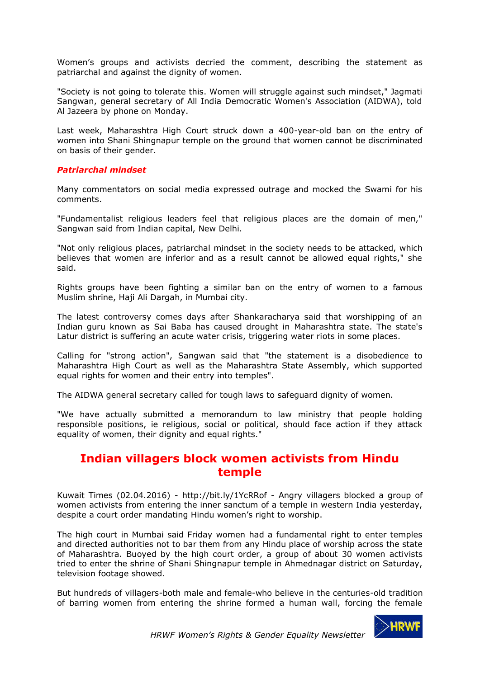Women's groups and activists decried the comment, describing the statement as patriarchal and against the dignity of women.

"Society is not going to tolerate this. Women will struggle against such mindset," Jagmati Sangwan, general secretary of All India Democratic Women's Association (AIDWA), told Al Jazeera by phone on Monday.

Last week, Maharashtra High Court struck down a 400-year-old ban on the entry of women into Shani Shingnapur temple on the ground that women cannot be discriminated on basis of their gender.

## *Patriarchal mindset*

Many commentators on social media expressed outrage and mocked the Swami for his comments.

"Fundamentalist religious leaders feel that religious places are the domain of men," Sangwan said from Indian capital, New Delhi.

"Not only religious places, patriarchal mindset in the society needs to be attacked, which believes that women are inferior and as a result cannot be allowed equal rights," she said.

Rights groups have been fighting a similar ban on the entry of women to a famous Muslim shrine, Haji Ali Dargah, in Mumbai city.

The latest controversy comes days after Shankaracharya said that worshipping of an Indian guru known as Sai Baba has caused drought in Maharashtra state. The state's Latur district is suffering an acute water crisis, triggering water riots in some places.

Calling for "strong action", Sangwan said that "the statement is a disobedience to Maharashtra High Court as well as the Maharashtra State Assembly, which supported equal rights for women and their entry into temples".

The AIDWA general secretary called for tough laws to safeguard dignity of women.

"We have actually submitted a memorandum to law ministry that people holding responsible positions, ie religious, social or political, should face action if they attack equality of women, their dignity and equal rights."

# **Indian villagers block women activists from Hindu temple**

Kuwait Times (02.04.2016) - <http://bit.ly/1YcRRof> - Angry villagers blocked a group of women activists from entering the inner sanctum of a temple in western India yesterday, despite a court order mandating Hindu women's right to worship.

The high court in Mumbai said Friday women had a fundamental right to enter temples and directed authorities not to bar them from any Hindu place of worship across the state of Maharashtra. Buoyed by the high court order, a group of about 30 women activists tried to enter the shrine of Shani Shingnapur temple in Ahmednagar district on Saturday, television footage showed.

But hundreds of villagers-both male and female-who believe in the centuries-old tradition of barring women from entering the shrine formed a human wall, forcing the female

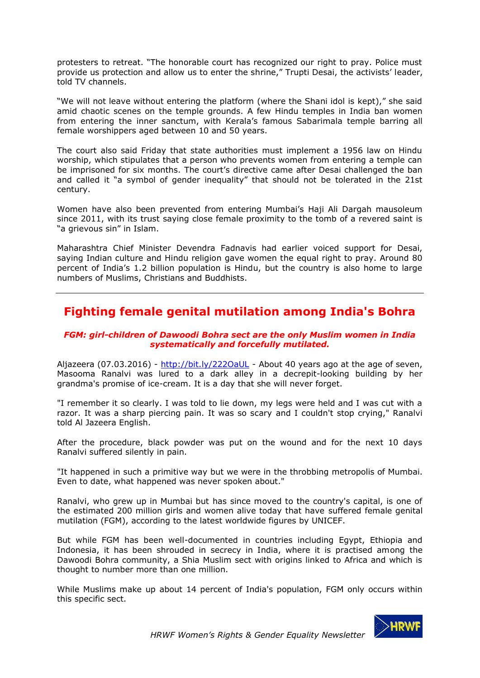protesters to retreat. "The honorable court has recognized our right to pray. Police must provide us protection and allow us to enter the shrine," Trupti Desai, the activists' leader, told TV channels.

"We will not leave without entering the platform (where the Shani idol is kept)," she said amid chaotic scenes on the temple grounds. A few Hindu temples in India ban women from entering the inner sanctum, with Kerala's famous Sabarimala temple barring all female worshippers aged between 10 and 50 years.

The court also said Friday that state authorities must implement a 1956 law on Hindu worship, which stipulates that a person who prevents women from entering a temple can be imprisoned for six months. The court's directive came after Desai challenged the ban and called it "a symbol of gender inequality" that should not be tolerated in the 21st century.

Women have also been prevented from entering Mumbai's Haji Ali Dargah mausoleum since 2011, with its trust saying close female proximity to the tomb of a revered saint is "a grievous sin" in Islam.

Maharashtra Chief Minister Devendra Fadnavis had earlier voiced support for Desai, saying Indian culture and Hindu religion gave women the equal right to pray. Around 80 percent of India's 1.2 billion population is Hindu, but the country is also home to large numbers of Muslims, Christians and Buddhists.

# **Fighting female genital mutilation among India's Bohra**

# *FGM: girl-children of Dawoodi Bohra sect are the only Muslim women in India systematically and forcefully mutilated.*

Aljazeera (07.03.2016) - <http://bit.ly/222OaUL> - About 40 years ago at the age of seven, Masooma Ranalvi was lured to a dark alley in a decrepit-looking building by her grandma's promise of ice-cream. It is a day that she will never forget.

"I remember it so clearly. I was told to lie down, my legs were held and I was cut with a razor. It was a sharp piercing pain. It was so scary and I couldn't stop crying," Ranalvi told Al Jazeera English.

After the procedure, black powder was put on the wound and for the next 10 days Ranalvi suffered silently in pain.

"It happened in such a primitive way but we were in the throbbing metropolis of Mumbai. Even to date, what happened was never spoken about."

Ranalvi, who grew up in Mumbai but has since moved to the country's capital, is one of the estimated 200 million girls and women alive today that have suffered female genital mutilation (FGM), according to the latest worldwide figures by UNICEF.

But while FGM has been well-documented in countries including Egypt, Ethiopia and Indonesia, it has been shrouded in secrecy in India, where it is practised among the Dawoodi Bohra community, a Shia Muslim sect with origins linked to Africa and which is thought to number more than one million.

While Muslims make up about 14 percent of India's population, FGM only occurs within this specific sect.

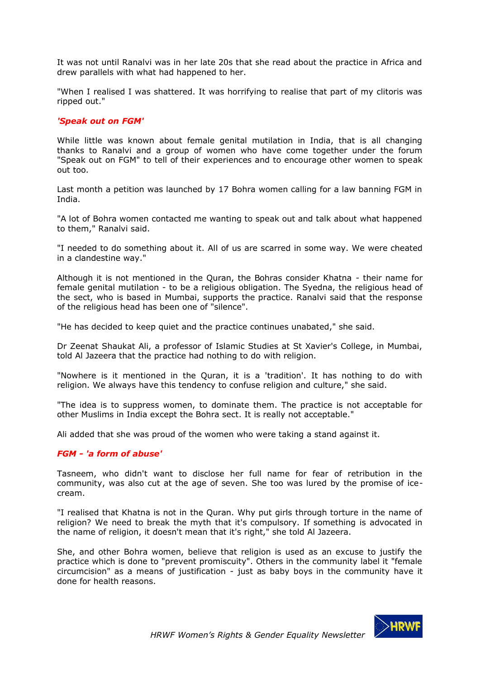It was not until Ranalvi was in her late 20s that she read about the practice in Africa and drew parallels with what had happened to her.

"When I realised I was shattered. It was horrifying to realise that part of my clitoris was ripped out."

#### *'Speak out on FGM'*

While little was known about female genital mutilation in India, that is all changing thanks to Ranalvi and a group of women who have come together under the forum "Speak out on FGM" to tell of their experiences and to encourage other women to speak out too.

Last month a petition was launched by 17 Bohra women calling for a law banning FGM in India.

"A lot of Bohra women contacted me wanting to speak out and talk about what happened to them," Ranalvi said.

"I needed to do something about it. All of us are scarred in some way. We were cheated in a clandestine way."

Although it is not mentioned in the Quran, the Bohras consider Khatna - their name for female genital mutilation - to be a religious obligation. The Syedna, the religious head of the sect, who is based in Mumbai, supports the practice. Ranalvi said that the response of the religious head has been one of "silence".

"He has decided to keep quiet and the practice continues unabated," she said.

Dr Zeenat Shaukat Ali, a professor of Islamic Studies at St Xavier's College, in Mumbai, told Al Jazeera that the practice had nothing to do with religion.

"Nowhere is it mentioned in the Quran, it is a 'tradition'. It has nothing to do with religion. We always have this tendency to confuse religion and culture," she said.

"The idea is to suppress women, to dominate them. The practice is not acceptable for other Muslims in India except the Bohra sect. It is really not acceptable."

Ali added that she was proud of the women who were taking a stand against it.

### *FGM - 'a form of abuse'*

Tasneem, who didn't want to disclose her full name for fear of retribution in the community, was also cut at the age of seven. She too was lured by the promise of icecream.

"I realised that Khatna is not in the Quran. Why put girls through torture in the name of religion? We need to break the myth that it's compulsory. If something is advocated in the name of religion, it doesn't mean that it's right," she told Al Jazeera.

She, and other Bohra women, believe that religion is used as an excuse to justify the practice which is done to "prevent promiscuity". Others in the community label it "female circumcision" as a means of justification - just as baby boys in the community have it done for health reasons.